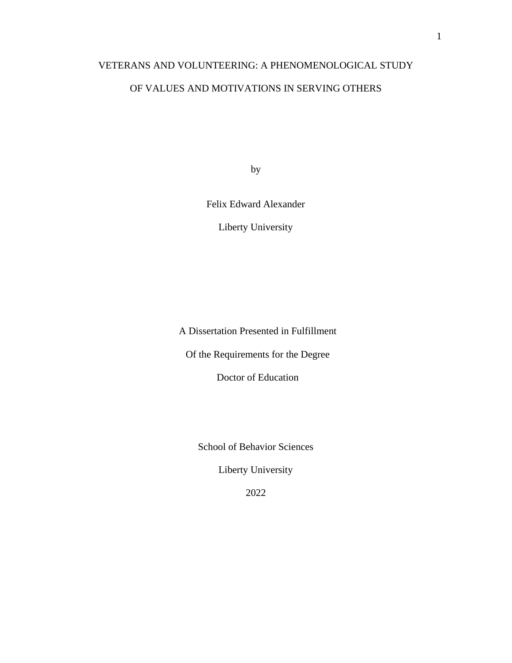# VETERANS AND VOLUNTEERING: A PHENOMENOLOGICAL STUDY

# OF VALUES AND MOTIVATIONS IN SERVING OTHERS

by

Felix Edward Alexander

Liberty University

A Dissertation Presented in Fulfillment

Of the Requirements for the Degree

Doctor of Education

School of Behavior Sciences

Liberty University

2022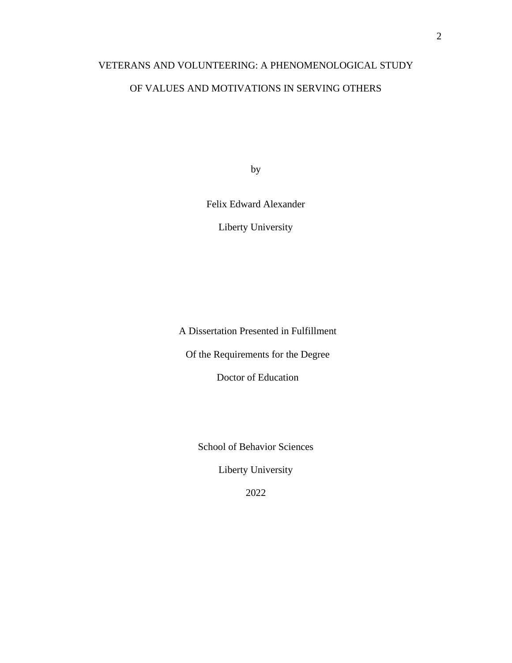# VETERANS AND VOLUNTEERING: A PHENOMENOLOGICAL STUDY

# OF VALUES AND MOTIVATIONS IN SERVING OTHERS

by

Felix Edward Alexander

Liberty University

A Dissertation Presented in Fulfillment

Of the Requirements for the Degree

Doctor of Education

School of Behavior Sciences

Liberty University

2022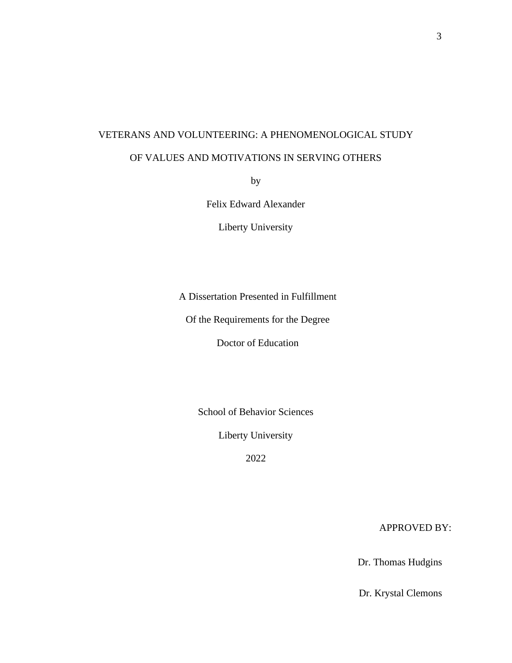# VETERANS AND VOLUNTEERING: A PHENOMENOLOGICAL STUDY

# OF VALUES AND MOTIVATIONS IN SERVING OTHERS

by

Felix Edward Alexander

Liberty University

A Dissertation Presented in Fulfillment

Of the Requirements for the Degree

Doctor of Education

School of Behavior Sciences

Liberty University

2022

APPROVED BY:

Dr. Thomas Hudgins

Dr. Krystal Clemons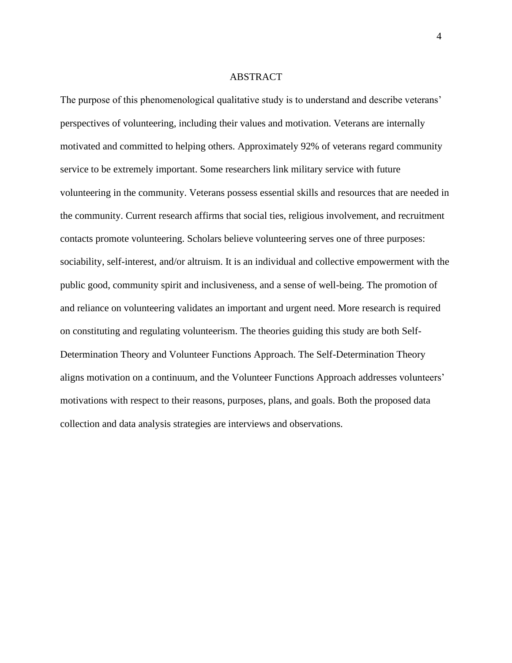#### ABSTRACT

The purpose of this phenomenological qualitative study is to understand and describe veterans' perspectives of volunteering, including their values and motivation. Veterans are internally motivated and committed to helping others. Approximately 92% of veterans regard community service to be extremely important. Some researchers link military service with future volunteering in the community. Veterans possess essential skills and resources that are needed in the community. Current research affirms that social ties, religious involvement, and recruitment contacts promote volunteering. Scholars believe volunteering serves one of three purposes: sociability, self-interest, and/or altruism. It is an individual and collective empowerment with the public good, community spirit and inclusiveness, and a sense of well-being. The promotion of and reliance on volunteering validates an important and urgent need. More research is required on constituting and regulating volunteerism. The theories guiding this study are both Self-Determination Theory and Volunteer Functions Approach. The Self-Determination Theory aligns motivation on a continuum, and the Volunteer Functions Approach addresses volunteers' motivations with respect to their reasons, purposes, plans, and goals. Both the proposed data collection and data analysis strategies are interviews and observations.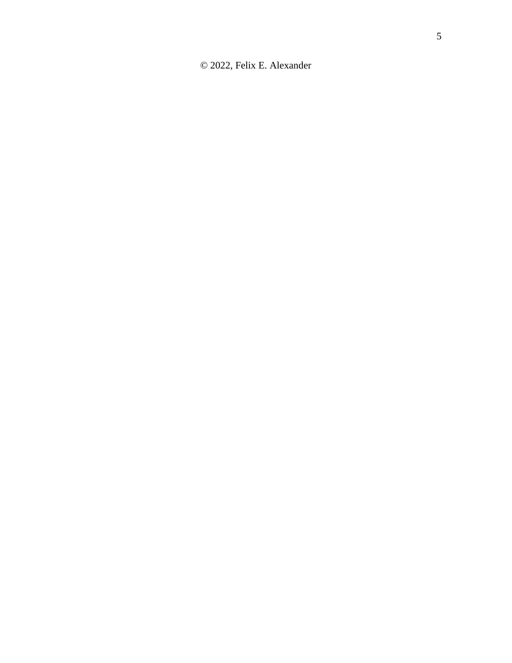© 2022, Felix E. Alexander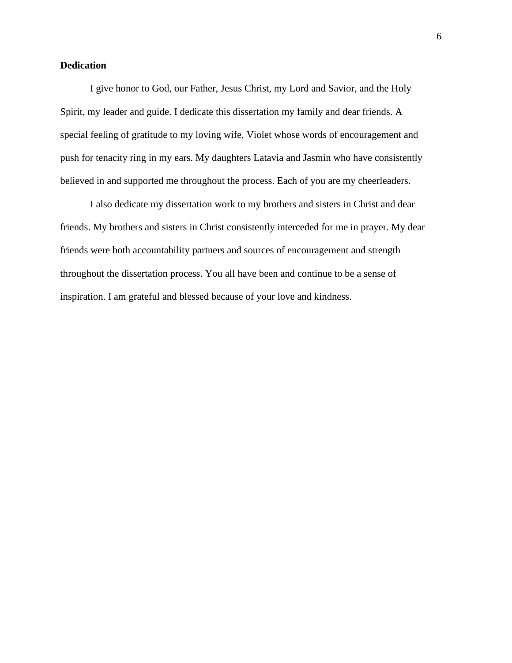# **Dedication**

I give honor to God, our Father, Jesus Christ, my Lord and Savior, and the Holy Spirit, my leader and guide. I dedicate this dissertation my family and dear friends. A special feeling of gratitude to my loving wife, Violet whose words of encouragement and push for tenacity ring in my ears. My daughters Latavia and Jasmin who have consistently believed in and supported me throughout the process. Each of you are my cheerleaders.

I also dedicate my dissertation work to my brothers and sisters in Christ and dear friends. My brothers and sisters in Christ consistently interceded for me in prayer. My dear friends were both accountability partners and sources of encouragement and strength throughout the dissertation process. You all have been and continue to be a sense of inspiration. I am grateful and blessed because of your love and kindness.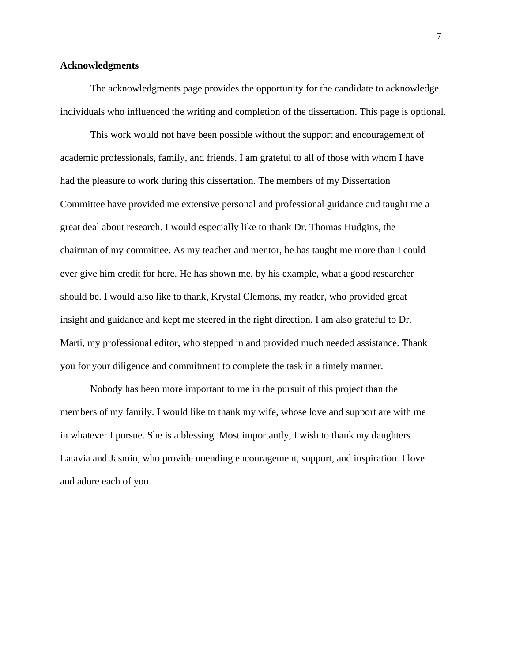## <span id="page-6-0"></span>**Acknowledgments**

The acknowledgments page provides the opportunity for the candidate to acknowledge individuals who influenced the writing and completion of the dissertation. This page is optional.

This work would not have been possible without the support and encouragement of academic professionals, family, and friends. I am grateful to all of those with whom I have had the pleasure to work during this dissertation. The members of my Dissertation Committee have provided me extensive personal and professional guidance and taught me a great deal about research. I would especially like to thank Dr. Thomas Hudgins, the chairman of my committee. As my teacher and mentor, he has taught me more than I could ever give him credit for here. He has shown me, by his example, what a good researcher should be. I would also like to thank, Krystal Clemons, my reader, who provided great insight and guidance and kept me steered in the right direction. I am also grateful to Dr. Marti, my professional editor, who stepped in and provided much needed assistance. Thank you for your diligence and commitment to complete the task in a timely manner.

Nobody has been more important to me in the pursuit of this project than the members of my family. I would like to thank my wife, whose love and support are with me in whatever I pursue. She is a blessing. Most importantly, I wish to thank my daughters Latavia and Jasmin, who provide unending encouragement, support, and inspiration. I love and adore each of you.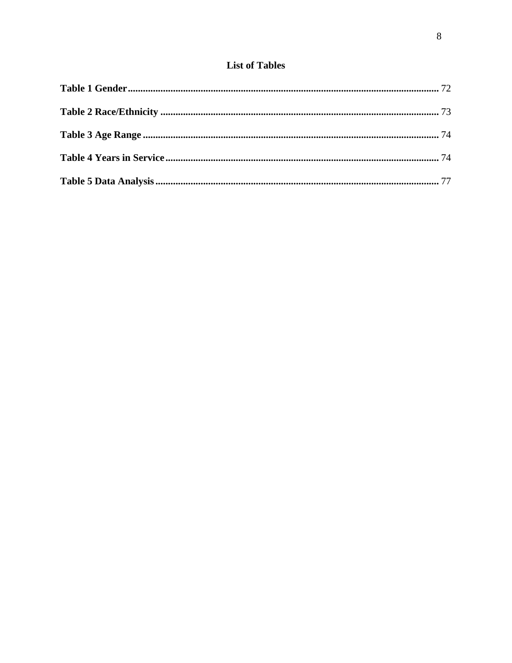# **List of Tables**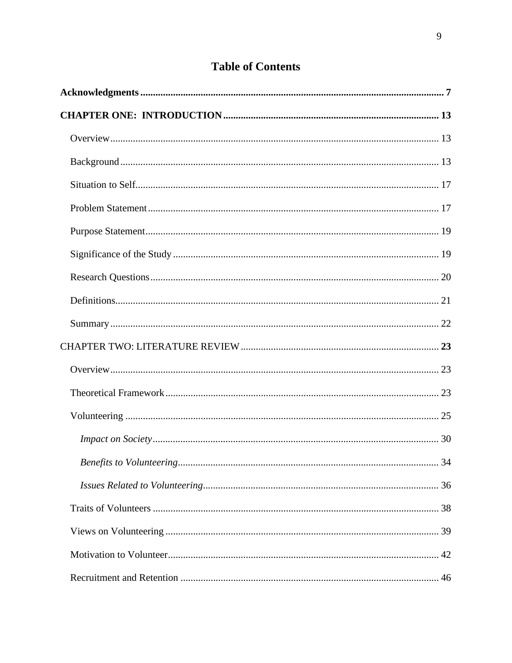# **Table of Contents**

| Benefits to Volunteering | 34 |
|--------------------------|----|
|                          |    |
|                          |    |
|                          |    |
|                          |    |
|                          |    |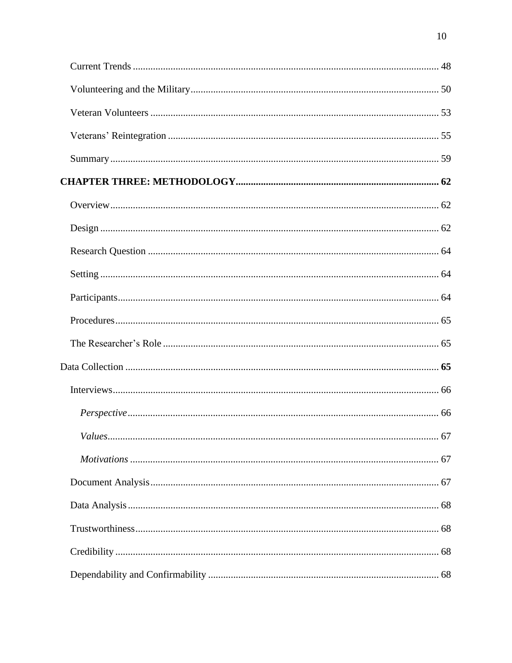| $\mathbf{r}$ $\mathbf{r}$ $\mathbf{r}$ |  |
|----------------------------------------|--|
|                                        |  |
|                                        |  |
|                                        |  |
|                                        |  |
|                                        |  |
|                                        |  |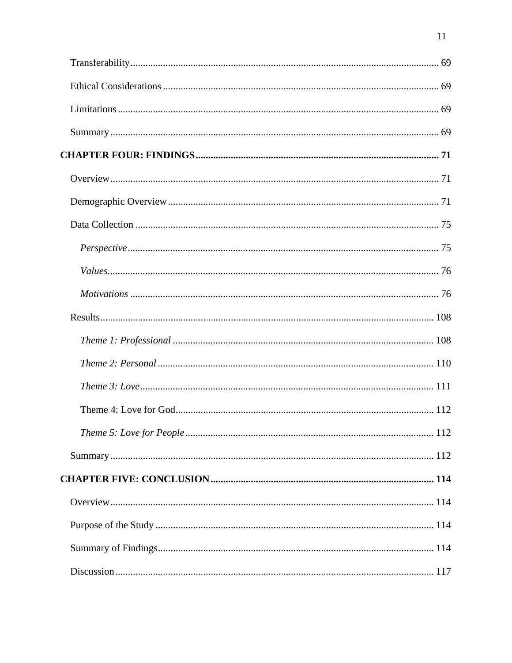$11\,$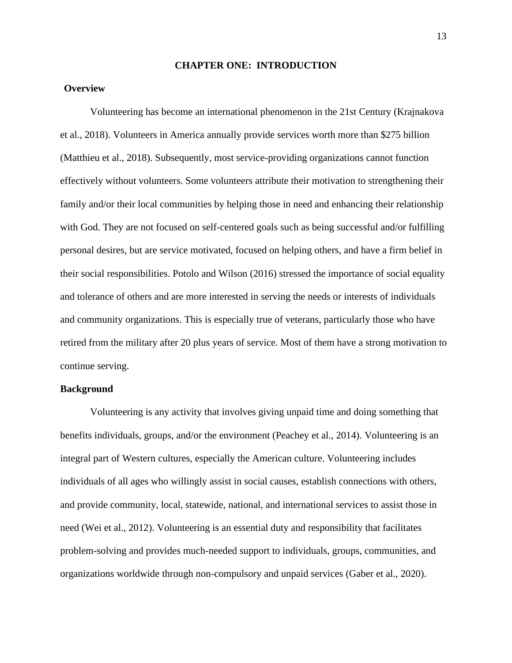#### **CHAPTER ONE: INTRODUCTION**

# <span id="page-12-1"></span><span id="page-12-0"></span>**Overview**

Volunteering has become an international phenomenon in the 21st Century (Krajnakova et al., 2018). Volunteers in America annually provide services worth more than \$275 billion (Matthieu et al., 2018). Subsequently, most service-providing organizations cannot function effectively without volunteers. Some volunteers attribute their motivation to strengthening their family and/or their local communities by helping those in need and enhancing their relationship with God. They are not focused on self-centered goals such as being successful and/or fulfilling personal desires, but are service motivated, focused on helping others, and have a firm belief in their social responsibilities. Potolo and Wilson (2016) stressed the importance of social equality and tolerance of others and are more interested in serving the needs or interests of individuals and community organizations. This is especially true of veterans, particularly those who have retired from the military after 20 plus years of service. Most of them have a strong motivation to continue serving.

## <span id="page-12-2"></span>**Background**

Volunteering is any activity that involves giving unpaid time and doing something that benefits individuals, groups, and/or the environment (Peachey et al., 2014). Volunteering is an integral part of Western cultures, especially the American culture. Volunteering includes individuals of all ages who willingly assist in social causes, establish connections with others, and provide community, local, statewide, national, and international services to assist those in need (Wei et al., 2012). Volunteering is an essential duty and responsibility that facilitates problem-solving and provides much-needed support to individuals, groups, communities, and organizations worldwide through non-compulsory and unpaid services (Gaber et al., 2020).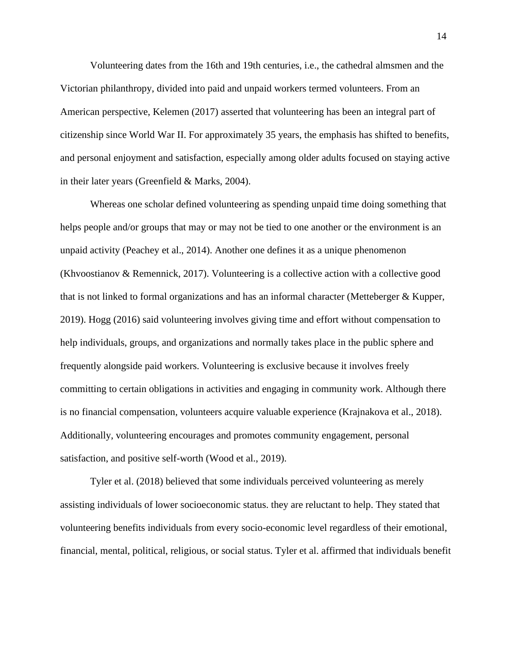Volunteering dates from the 16th and 19th centuries, i.e., the cathedral almsmen and the Victorian philanthropy, divided into paid and unpaid workers termed volunteers. From an American perspective, Kelemen (2017) asserted that volunteering has been an integral part of citizenship since World War II. For approximately 35 years, the emphasis has shifted to benefits, and personal enjoyment and satisfaction, especially among older adults focused on staying active in their later years (Greenfield & Marks, 2004).

Whereas one scholar defined volunteering as spending unpaid time doing something that helps people and/or groups that may or may not be tied to one another or the environment is an unpaid activity (Peachey et al., 2014). Another one defines it as a unique phenomenon (Khvoostianov & Remennick, 2017). Volunteering is a collective action with a collective good that is not linked to formal organizations and has an informal character (Metteberger & Kupper, 2019). Hogg (2016) said volunteering involves giving time and effort without compensation to help individuals, groups, and organizations and normally takes place in the public sphere and frequently alongside paid workers. Volunteering is exclusive because it involves freely committing to certain obligations in activities and engaging in community work. Although there is no financial compensation, volunteers acquire valuable experience (Krajnakova et al., 2018). Additionally, volunteering encourages and promotes community engagement, personal satisfaction, and positive self-worth (Wood et al., 2019).

Tyler et al. (2018) believed that some individuals perceived volunteering as merely assisting individuals of lower socioeconomic status. they are reluctant to help. They stated that volunteering benefits individuals from every socio-economic level regardless of their emotional, financial, mental, political, religious, or social status. Tyler et al. affirmed that individuals benefit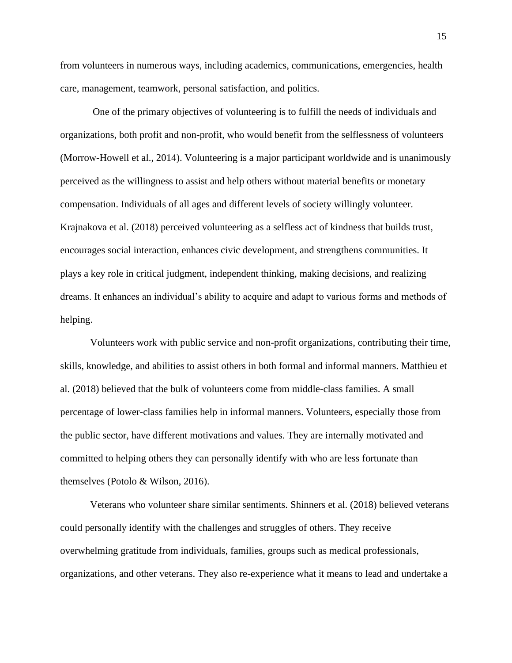from volunteers in numerous ways, including academics, communications, emergencies, health care, management, teamwork, personal satisfaction, and politics.

One of the primary objectives of volunteering is to fulfill the needs of individuals and organizations, both profit and non-profit, who would benefit from the selflessness of volunteers (Morrow-Howell et al., 2014). Volunteering is a major participant worldwide and is unanimously perceived as the willingness to assist and help others without material benefits or monetary compensation. Individuals of all ages and different levels of society willingly volunteer. Krajnakova et al. (2018) perceived volunteering as a selfless act of kindness that builds trust, encourages social interaction, enhances civic development, and strengthens communities. It plays a key role in critical judgment, independent thinking, making decisions, and realizing dreams. It enhances an individual's ability to acquire and adapt to various forms and methods of helping.

Volunteers work with public service and non-profit organizations, contributing their time, skills, knowledge, and abilities to assist others in both formal and informal manners. Matthieu et al. (2018) believed that the bulk of volunteers come from middle-class families. A small percentage of lower-class families help in informal manners. Volunteers, especially those from the public sector, have different motivations and values. They are internally motivated and committed to helping others they can personally identify with who are less fortunate than themselves (Potolo & Wilson, 2016).

Veterans who volunteer share similar sentiments. Shinners et al. (2018) believed veterans could personally identify with the challenges and struggles of others. They receive overwhelming gratitude from individuals, families, groups such as medical professionals, organizations, and other veterans. They also re-experience what it means to lead and undertake a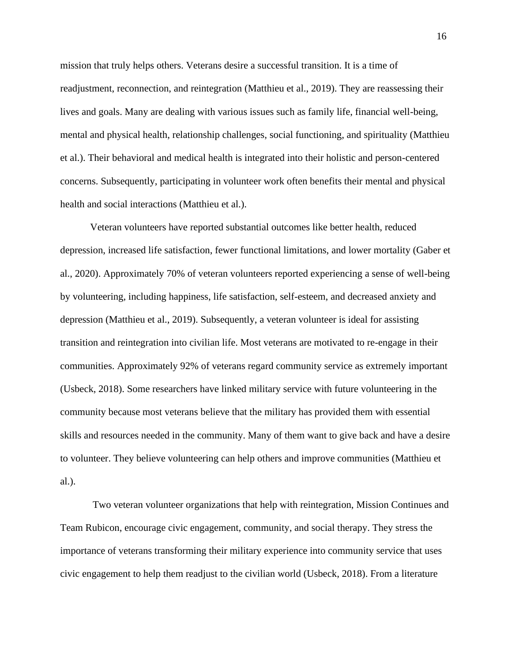mission that truly helps others. Veterans desire a successful transition. It is a time of readjustment, reconnection, and reintegration (Matthieu et al., 2019). They are reassessing their lives and goals. Many are dealing with various issues such as family life, financial well-being, mental and physical health, relationship challenges, social functioning, and spirituality (Matthieu et al.). Their behavioral and medical health is integrated into their holistic and person-centered concerns. Subsequently, participating in volunteer work often benefits their mental and physical health and social interactions (Matthieu et al.).

Veteran volunteers have reported substantial outcomes like better health, reduced depression, increased life satisfaction, fewer functional limitations, and lower mortality (Gaber et al., 2020). Approximately 70% of veteran volunteers reported experiencing a sense of well-being by volunteering, including happiness, life satisfaction, self-esteem, and decreased anxiety and depression (Matthieu et al., 2019). Subsequently, a veteran volunteer is ideal for assisting transition and reintegration into civilian life. Most veterans are motivated to re-engage in their communities. Approximately 92% of veterans regard community service as extremely important (Usbeck, 2018). Some researchers have linked military service with future volunteering in the community because most veterans believe that the military has provided them with essential skills and resources needed in the community. Many of them want to give back and have a desire to volunteer. They believe volunteering can help others and improve communities (Matthieu et al.).

Two veteran volunteer organizations that help with reintegration, Mission Continues and Team Rubicon, encourage civic engagement, community, and social therapy. They stress the importance of veterans transforming their military experience into community service that uses civic engagement to help them readjust to the civilian world (Usbeck, 2018). From a literature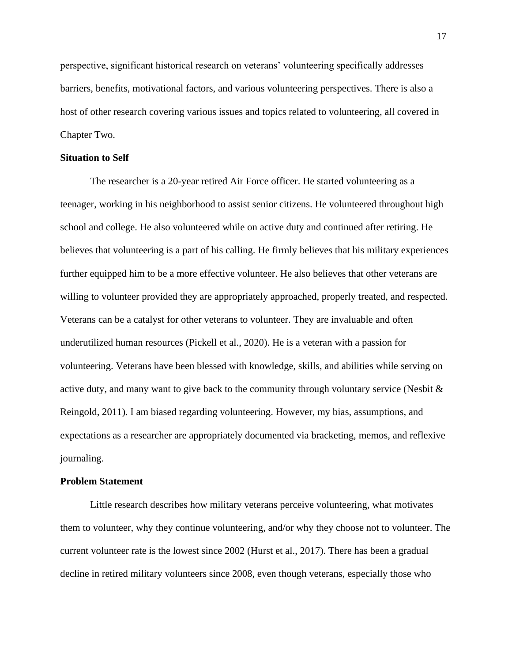perspective, significant historical research on veterans' volunteering specifically addresses barriers, benefits, motivational factors, and various volunteering perspectives. There is also a host of other research covering various issues and topics related to volunteering, all covered in Chapter Two.

#### <span id="page-16-0"></span>**Situation to Self**

The researcher is a 20-year retired Air Force officer. He started volunteering as a teenager, working in his neighborhood to assist senior citizens. He volunteered throughout high school and college. He also volunteered while on active duty and continued after retiring. He believes that volunteering is a part of his calling. He firmly believes that his military experiences further equipped him to be a more effective volunteer. He also believes that other veterans are willing to volunteer provided they are appropriately approached, properly treated, and respected. Veterans can be a catalyst for other veterans to volunteer. They are invaluable and often underutilized human resources (Pickell et al., 2020). He is a veteran with a passion for volunteering. Veterans have been blessed with knowledge, skills, and abilities while serving on active duty, and many want to give back to the community through voluntary service (Nesbit & Reingold, 2011). I am biased regarding volunteering. However, my bias, assumptions, and expectations as a researcher are appropriately documented via bracketing, memos, and reflexive journaling.

# <span id="page-16-1"></span>**Problem Statement**

Little research describes how military veterans perceive volunteering, what motivates them to volunteer, why they continue volunteering, and/or why they choose not to volunteer. The current volunteer rate is the lowest since 2002 (Hurst et al., 2017). There has been a gradual decline in retired military volunteers since 2008, even though veterans, especially those who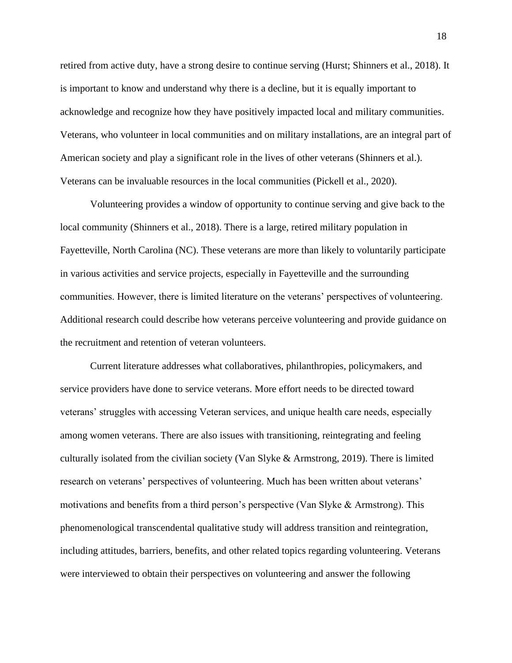retired from active duty, have a strong desire to continue serving (Hurst; Shinners et al., 2018). It is important to know and understand why there is a decline, but it is equally important to acknowledge and recognize how they have positively impacted local and military communities. Veterans, who volunteer in local communities and on military installations, are an integral part of American society and play a significant role in the lives of other veterans (Shinners et al.). Veterans can be invaluable resources in the local communities (Pickell et al., 2020).

Volunteering provides a window of opportunity to continue serving and give back to the local community (Shinners et al., 2018). There is a large, retired military population in Fayetteville, North Carolina (NC). These veterans are more than likely to voluntarily participate in various activities and service projects, especially in Fayetteville and the surrounding communities. However, there is limited literature on the veterans' perspectives of volunteering. Additional research could describe how veterans perceive volunteering and provide guidance on the recruitment and retention of veteran volunteers.

Current literature addresses what collaboratives, philanthropies, policymakers, and service providers have done to service veterans. More effort needs to be directed toward veterans' struggles with accessing Veteran services, and unique health care needs, especially among women veterans. There are also issues with transitioning, reintegrating and feeling culturally isolated from the civilian society (Van Slyke & Armstrong, 2019). There is limited research on veterans' perspectives of volunteering. Much has been written about veterans' motivations and benefits from a third person's perspective (Van Slyke & Armstrong). This phenomenological transcendental qualitative study will address transition and reintegration, including attitudes, barriers, benefits, and other related topics regarding volunteering. Veterans were interviewed to obtain their perspectives on volunteering and answer the following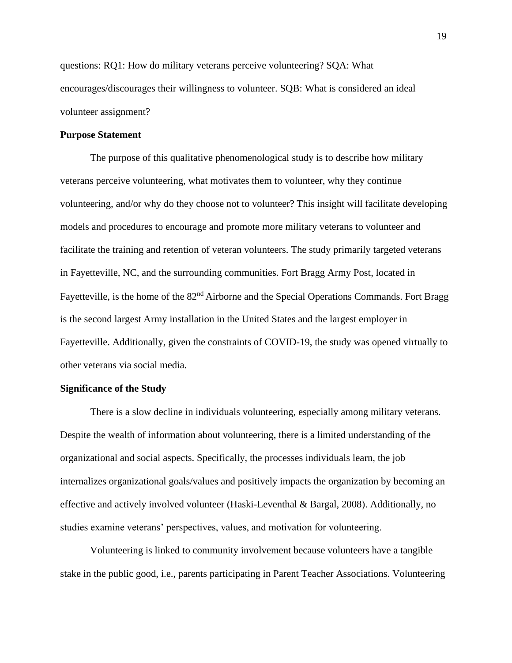questions: RQ1: How do military veterans perceive volunteering? SQA: What encourages/discourages their willingness to volunteer. SQB: What is considered an ideal volunteer assignment?

#### <span id="page-18-0"></span>**Purpose Statement**

The purpose of this qualitative phenomenological study is to describe how military veterans perceive volunteering, what motivates them to volunteer, why they continue volunteering, and/or why do they choose not to volunteer? This insight will facilitate developing models and procedures to encourage and promote more military veterans to volunteer and facilitate the training and retention of veteran volunteers. The study primarily targeted veterans in Fayetteville, NC, and the surrounding communities. Fort Bragg Army Post, located in Fayetteville, is the home of the 82<sup>nd</sup> Airborne and the Special Operations Commands. Fort Bragg is the second largest Army installation in the United States and the largest employer in Fayetteville. Additionally, given the constraints of COVID-19, the study was opened virtually to other veterans via social media.

## <span id="page-18-1"></span>**Significance of the Study**

There is a slow decline in individuals volunteering, especially among military veterans. Despite the wealth of information about volunteering, there is a limited understanding of the organizational and social aspects. Specifically, the processes individuals learn, the job internalizes organizational goals/values and positively impacts the organization by becoming an effective and actively involved volunteer (Haski-Leventhal & Bargal, 2008). Additionally, no studies examine veterans' perspectives, values, and motivation for volunteering.

Volunteering is linked to community involvement because volunteers have a tangible stake in the public good, i.e., parents participating in Parent Teacher Associations. Volunteering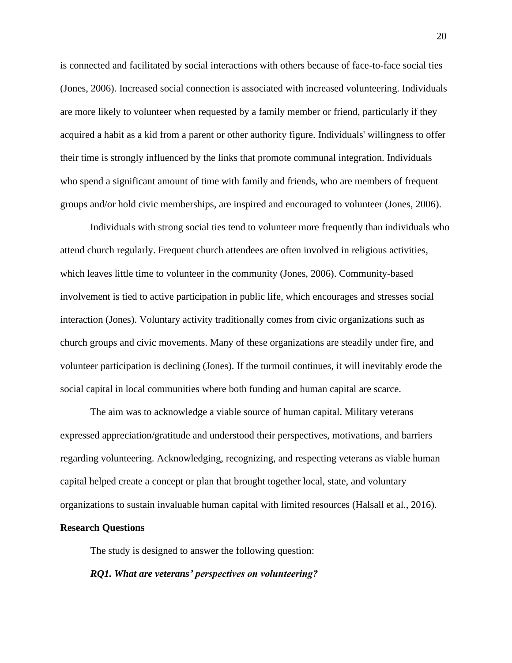is connected and facilitated by social interactions with others because of face-to-face social ties (Jones, 2006). Increased social connection is associated with increased volunteering. Individuals are more likely to volunteer when requested by a family member or friend, particularly if they acquired a habit as a kid from a parent or other authority figure. Individuals' willingness to offer their time is strongly influenced by the links that promote communal integration. Individuals who spend a significant amount of time with family and friends, who are members of frequent groups and/or hold civic memberships, are inspired and encouraged to volunteer (Jones, 2006).

Individuals with strong social ties tend to volunteer more frequently than individuals who attend church regularly. Frequent church attendees are often involved in religious activities, which leaves little time to volunteer in the community (Jones, 2006). Community-based involvement is tied to active participation in public life, which encourages and stresses social interaction (Jones). Voluntary activity traditionally comes from civic organizations such as church groups and civic movements. Many of these organizations are steadily under fire, and volunteer participation is declining (Jones). If the turmoil continues, it will inevitably erode the social capital in local communities where both funding and human capital are scarce.

The aim was to acknowledge a viable source of human capital. Military veterans expressed appreciation/gratitude and understood their perspectives, motivations, and barriers regarding volunteering. Acknowledging, recognizing, and respecting veterans as viable human capital helped create a concept or plan that brought together local, state, and voluntary organizations to sustain invaluable human capital with limited resources (Halsall et al., 2016).

# **Research Questions**

<span id="page-19-0"></span>The study is designed to answer the following question:

#### *RQ1. What are veterans' perspectives on volunteering?*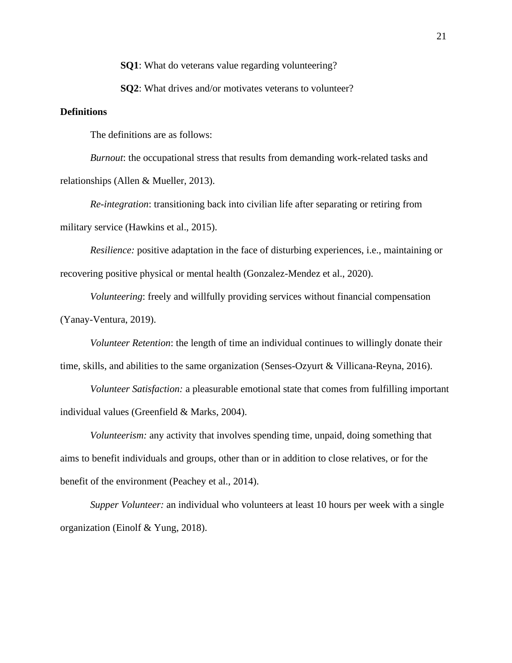**SQ1**: What do veterans value regarding volunteering?

**SO2**: What drives and/or motivates veterans to volunteer?

# <span id="page-20-0"></span>**Definitions**

The definitions are as follows:

*Burnout*: the occupational stress that results from demanding work-related tasks and relationships (Allen & Mueller, 2013).

*Re-integration*: transitioning back into civilian life after separating or retiring from military service (Hawkins et al., 2015).

*Resilience:* positive adaptation in the face of disturbing experiences, i.e., maintaining or recovering positive physical or mental health (Gonzalez-Mendez et al., 2020).

*Volunteering*: freely and willfully providing services without financial compensation (Yanay-Ventura, 2019).

*Volunteer Retention*: the length of time an individual continues to willingly donate their time, skills, and abilities to the same organization (Senses-Ozyurt & Villicana-Reyna, 2016).

*Volunteer Satisfaction:* a pleasurable emotional state that comes from fulfilling important individual values (Greenfield & Marks, 2004).

*Volunteerism:* any activity that involves spending time, unpaid, doing something that aims to benefit individuals and groups, other than or in addition to close relatives, or for the benefit of the environment (Peachey et al., 2014).

*Supper Volunteer:* an individual who volunteers at least 10 hours per week with a single organization (Einolf & Yung, 2018).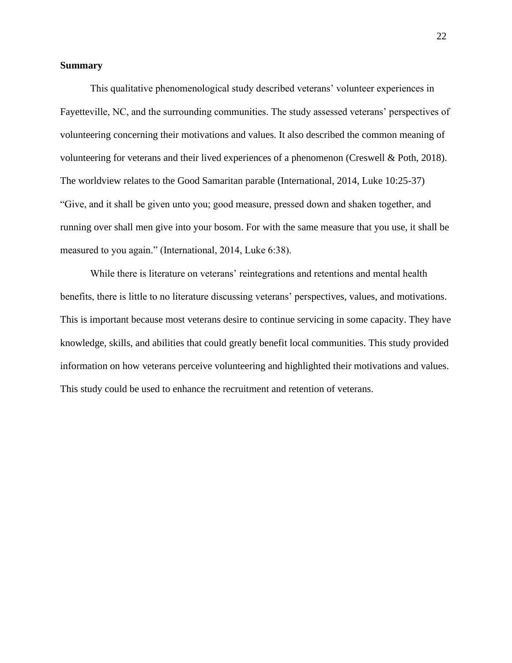## <span id="page-21-0"></span>**Summary**

This qualitative phenomenological study described veterans' volunteer experiences in Fayetteville, NC, and the surrounding communities. The study assessed veterans' perspectives of volunteering concerning their motivations and values. It also described the common meaning of volunteering for veterans and their lived experiences of a phenomenon (Creswell & Poth, 2018). The worldview relates to the Good Samaritan parable (International, 2014, Luke 10:25-37) "Give, and it shall be given unto you; good measure, pressed down and shaken together, and running over shall men give into your bosom. For with the same measure that you use, it shall be measured to you again." (International, 2014, Luke 6:38).

While there is literature on veterans' reintegrations and retentions and mental health benefits, there is little to no literature discussing veterans' perspectives, values, and motivations. This is important because most veterans desire to continue servicing in some capacity. They have knowledge, skills, and abilities that could greatly benefit local communities. This study provided information on how veterans perceive volunteering and highlighted their motivations and values. This study could be used to enhance the recruitment and retention of veterans.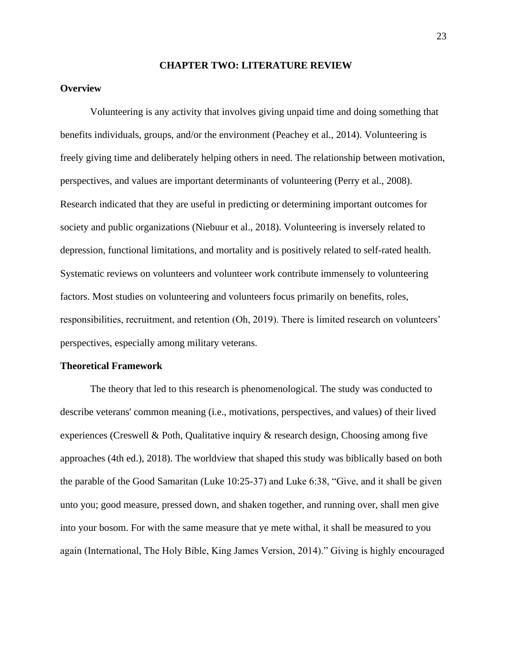#### **CHAPTER TWO: LITERATURE REVIEW**

# <span id="page-22-1"></span><span id="page-22-0"></span>**Overview**

Volunteering is any activity that involves giving unpaid time and doing something that benefits individuals, groups, and/or the environment (Peachey et al., 2014). Volunteering is freely giving time and deliberately helping others in need. The relationship between motivation, perspectives, and values are important determinants of volunteering (Perry et al., 2008). Research indicated that they are useful in predicting or determining important outcomes for society and public organizations (Niebuur et al., 2018). Volunteering is inversely related to depression, functional limitations, and mortality and is positively related to self-rated health. Systematic reviews on volunteers and volunteer work contribute immensely to volunteering factors. Most studies on volunteering and volunteers focus primarily on benefits, roles, responsibilities, recruitment, and retention (Oh, 2019). There is limited research on volunteers' perspectives, especially among military veterans.

#### <span id="page-22-2"></span>**Theoretical Framework**

The theory that led to this research is phenomenological. The study was conducted to describe veterans' common meaning (i.e., motivations, perspectives, and values) of their lived experiences (Creswell & Poth, Qualitative inquiry  $\&$  research design, Choosing among five approaches (4th ed.), 2018). The worldview that shaped this study was biblically based on both the parable of the Good Samaritan (Luke 10:25-37) and Luke 6:38, "Give, and it shall be given unto you; good measure, pressed down, and shaken together, and running over, shall men give into your bosom. For with the same measure that ye mete withal, it shall be measured to you again (International, The Holy Bible, King James Version, 2014)." Giving is highly encouraged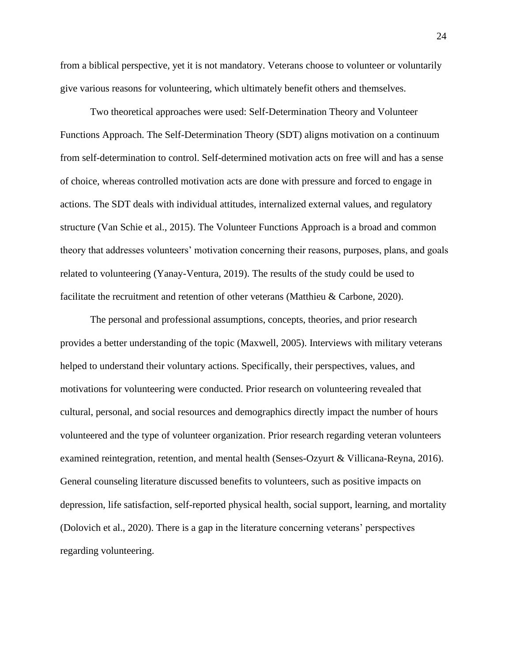from a biblical perspective, yet it is not mandatory. Veterans choose to volunteer or voluntarily give various reasons for volunteering, which ultimately benefit others and themselves.

Two theoretical approaches were used: Self-Determination Theory and Volunteer Functions Approach. The Self-Determination Theory (SDT) aligns motivation on a continuum from self-determination to control. Self-determined motivation acts on free will and has a sense of choice, whereas controlled motivation acts are done with pressure and forced to engage in actions. The SDT deals with individual attitudes, internalized external values, and regulatory structure (Van Schie et al., 2015). The Volunteer Functions Approach is a broad and common theory that addresses volunteers' motivation concerning their reasons, purposes, plans, and goals related to volunteering (Yanay-Ventura, 2019). The results of the study could be used to facilitate the recruitment and retention of other veterans (Matthieu & Carbone, 2020).

The personal and professional assumptions, concepts, theories, and prior research provides a better understanding of the topic (Maxwell, 2005). Interviews with military veterans helped to understand their voluntary actions. Specifically, their perspectives, values, and motivations for volunteering were conducted. Prior research on volunteering revealed that cultural, personal, and social resources and demographics directly impact the number of hours volunteered and the type of volunteer organization. Prior research regarding veteran volunteers examined reintegration, retention, and mental health (Senses-Ozyurt & Villicana-Reyna, 2016). General counseling literature discussed benefits to volunteers, such as positive impacts on depression, life satisfaction, self-reported physical health, social support, learning, and mortality (Dolovich et al., 2020). There is a gap in the literature concerning veterans' perspectives regarding volunteering.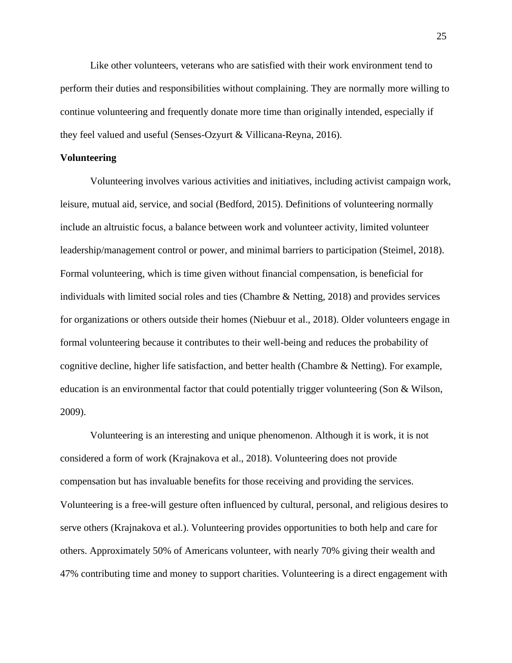Like other volunteers, veterans who are satisfied with their work environment tend to perform their duties and responsibilities without complaining. They are normally more willing to continue volunteering and frequently donate more time than originally intended, especially if they feel valued and useful (Senses-Ozyurt & Villicana-Reyna, 2016).

## <span id="page-24-0"></span>**Volunteering**

Volunteering involves various activities and initiatives, including activist campaign work, leisure, mutual aid, service, and social (Bedford, 2015). Definitions of volunteering normally include an altruistic focus, a balance between work and volunteer activity, limited volunteer leadership/management control or power, and minimal barriers to participation (Steimel, 2018). Formal volunteering, which is time given without financial compensation, is beneficial for individuals with limited social roles and ties (Chambre & Netting, 2018) and provides services for organizations or others outside their homes (Niebuur et al., 2018). Older volunteers engage in formal volunteering because it contributes to their well-being and reduces the probability of cognitive decline, higher life satisfaction, and better health (Chambre & Netting). For example, education is an environmental factor that could potentially trigger volunteering (Son & Wilson, 2009).

Volunteering is an interesting and unique phenomenon. Although it is work, it is not considered a form of work (Krajnakova et al., 2018). Volunteering does not provide compensation but has invaluable benefits for those receiving and providing the services. Volunteering is a free-will gesture often influenced by cultural, personal, and religious desires to serve others (Krajnakova et al.). Volunteering provides opportunities to both help and care for others. Approximately 50% of Americans volunteer, with nearly 70% giving their wealth and 47% contributing time and money to support charities. Volunteering is a direct engagement with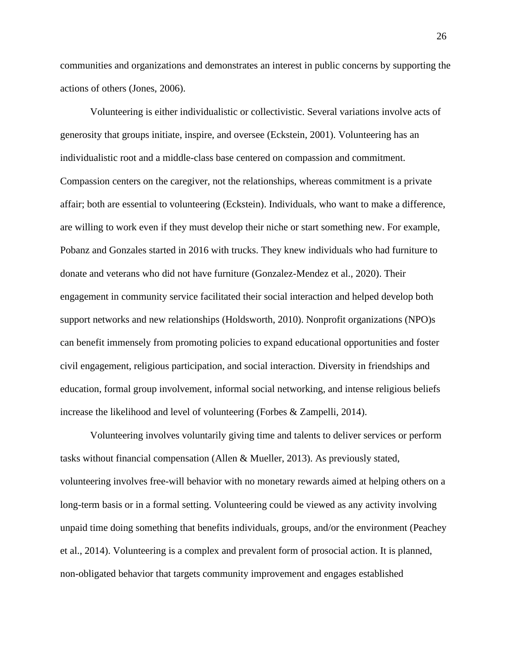communities and organizations and demonstrates an interest in public concerns by supporting the actions of others (Jones, 2006).

Volunteering is either individualistic or collectivistic. Several variations involve acts of generosity that groups initiate, inspire, and oversee (Eckstein, 2001). Volunteering has an individualistic root and a middle-class base centered on compassion and commitment. Compassion centers on the caregiver, not the relationships, whereas commitment is a private affair; both are essential to volunteering (Eckstein). Individuals, who want to make a difference, are willing to work even if they must develop their niche or start something new. For example, Pobanz and Gonzales started in 2016 with trucks. They knew individuals who had furniture to donate and veterans who did not have furniture (Gonzalez-Mendez et al., 2020). Their engagement in community service facilitated their social interaction and helped develop both support networks and new relationships (Holdsworth, 2010). Nonprofit organizations (NPO)s can benefit immensely from promoting policies to expand educational opportunities and foster civil engagement, religious participation, and social interaction. Diversity in friendships and education, formal group involvement, informal social networking, and intense religious beliefs increase the likelihood and level of volunteering (Forbes & Zampelli, 2014).

Volunteering involves voluntarily giving time and talents to deliver services or perform tasks without financial compensation (Allen & Mueller, 2013). As previously stated, volunteering involves free-will behavior with no monetary rewards aimed at helping others on a long-term basis or in a formal setting. Volunteering could be viewed as any activity involving unpaid time doing something that benefits individuals, groups, and/or the environment (Peachey et al., 2014). Volunteering is a complex and prevalent form of prosocial action. It is planned, non-obligated behavior that targets community improvement and engages established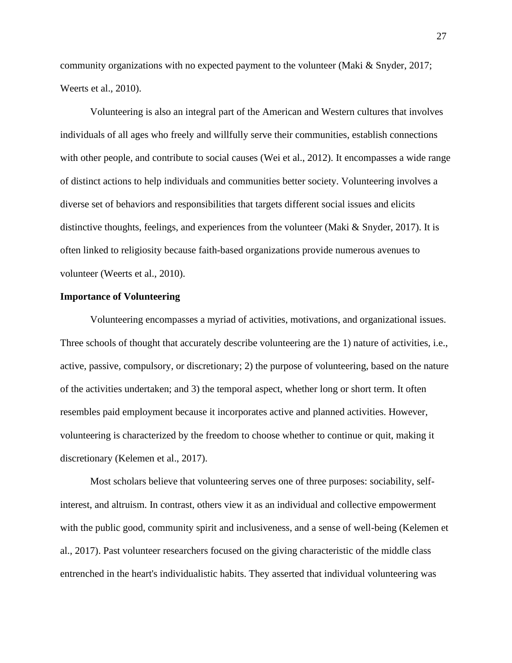community organizations with no expected payment to the volunteer (Maki & Snyder, 2017; Weerts et al., 2010).

Volunteering is also an integral part of the American and Western cultures that involves individuals of all ages who freely and willfully serve their communities, establish connections with other people, and contribute to social causes (Wei et al., 2012). It encompasses a wide range of distinct actions to help individuals and communities better society. Volunteering involves a diverse set of behaviors and responsibilities that targets different social issues and elicits distinctive thoughts, feelings, and experiences from the volunteer (Maki & Snyder, 2017). It is often linked to religiosity because faith-based organizations provide numerous avenues to volunteer (Weerts et al., 2010).

## **Importance of Volunteering**

Volunteering encompasses a myriad of activities, motivations, and organizational issues. Three schools of thought that accurately describe volunteering are the 1) nature of activities, i.e., active, passive, compulsory, or discretionary; 2) the purpose of volunteering, based on the nature of the activities undertaken; and 3) the temporal aspect, whether long or short term. It often resembles paid employment because it incorporates active and planned activities. However, volunteering is characterized by the freedom to choose whether to continue or quit, making it discretionary (Kelemen et al., 2017).

Most scholars believe that volunteering serves one of three purposes: sociability, selfinterest, and altruism. In contrast, others view it as an individual and collective empowerment with the public good, community spirit and inclusiveness, and a sense of well-being (Kelemen et al., 2017). Past volunteer researchers focused on the giving characteristic of the middle class entrenched in the heart's individualistic habits. They asserted that individual volunteering was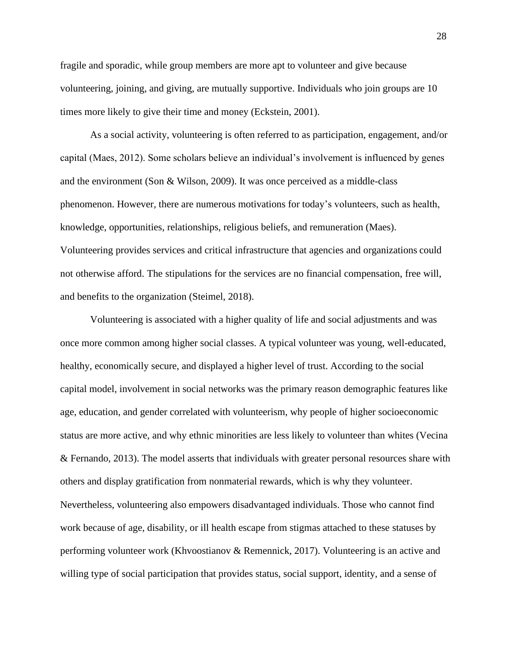fragile and sporadic, while group members are more apt to volunteer and give because volunteering, joining, and giving, are mutually supportive. Individuals who join groups are 10 times more likely to give their time and money (Eckstein, 2001).

As a social activity, volunteering is often referred to as participation, engagement, and/or capital (Maes, 2012). Some scholars believe an individual's involvement is influenced by genes and the environment (Son  $\&$  Wilson, 2009). It was once perceived as a middle-class phenomenon. However, there are numerous motivations for today's volunteers, such as health, knowledge, opportunities, relationships, religious beliefs, and remuneration (Maes). Volunteering provides services and critical infrastructure that agencies and organizations could not otherwise afford. The stipulations for the services are no financial compensation, free will, and benefits to the organization (Steimel, 2018).

Volunteering is associated with a higher quality of life and social adjustments and was once more common among higher social classes. A typical volunteer was young, well-educated, healthy, economically secure, and displayed a higher level of trust. According to the social capital model, involvement in social networks was the primary reason demographic features like age, education, and gender correlated with volunteerism, why people of higher socioeconomic status are more active, and why ethnic minorities are less likely to volunteer than whites (Vecina & Fernando, 2013). The model asserts that individuals with greater personal resources share with others and display gratification from nonmaterial rewards, which is why they volunteer. Nevertheless, volunteering also empowers disadvantaged individuals. Those who cannot find work because of age, disability, or ill health escape from stigmas attached to these statuses by performing volunteer work (Khvoostianov & Remennick, 2017). Volunteering is an active and willing type of social participation that provides status, social support, identity, and a sense of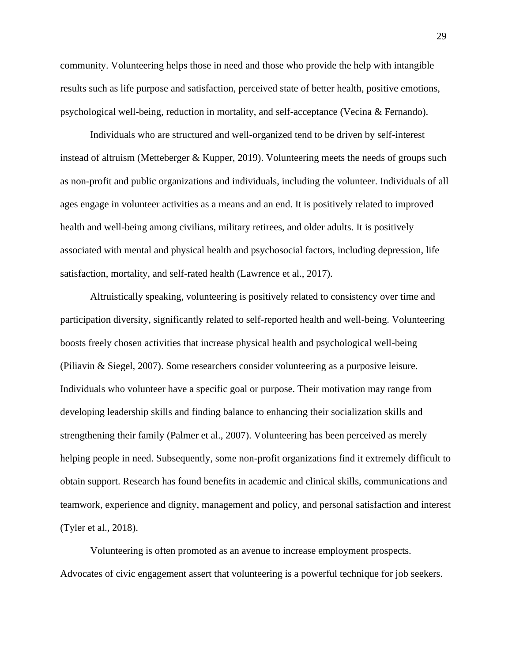community. Volunteering helps those in need and those who provide the help with intangible results such as life purpose and satisfaction, perceived state of better health, positive emotions, psychological well-being, reduction in mortality, and self-acceptance (Vecina & Fernando).

Individuals who are structured and well-organized tend to be driven by self-interest instead of altruism (Metteberger & Kupper, 2019). Volunteering meets the needs of groups such as non-profit and public organizations and individuals, including the volunteer. Individuals of all ages engage in volunteer activities as a means and an end. It is positively related to improved health and well-being among civilians, military retirees, and older adults. It is positively associated with mental and physical health and psychosocial factors, including depression, life satisfaction, mortality, and self-rated health (Lawrence et al., 2017).

Altruistically speaking, volunteering is positively related to consistency over time and participation diversity, significantly related to self-reported health and well-being. Volunteering boosts freely chosen activities that increase physical health and psychological well-being (Piliavin & Siegel, 2007). Some researchers consider volunteering as a purposive leisure. Individuals who volunteer have a specific goal or purpose. Their motivation may range from developing leadership skills and finding balance to enhancing their socialization skills and strengthening their family (Palmer et al., 2007). Volunteering has been perceived as merely helping people in need. Subsequently, some non-profit organizations find it extremely difficult to obtain support. Research has found benefits in academic and clinical skills, communications and teamwork, experience and dignity, management and policy, and personal satisfaction and interest (Tyler et al., 2018).

Volunteering is often promoted as an avenue to increase employment prospects. Advocates of civic engagement assert that volunteering is a powerful technique for job seekers.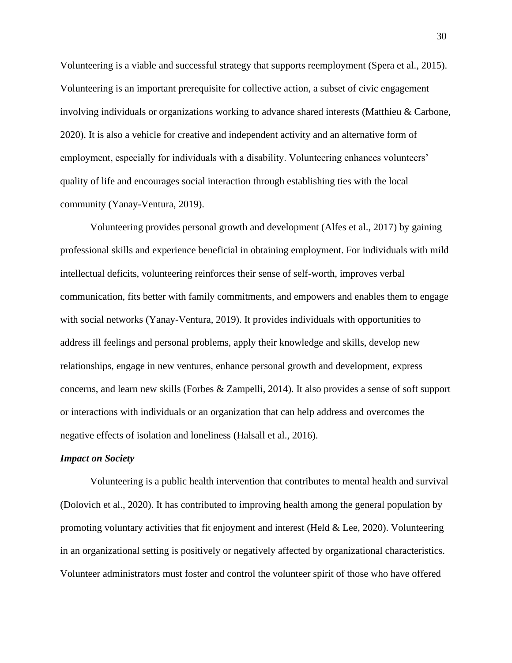Volunteering is a viable and successful strategy that supports reemployment (Spera et al., 2015). Volunteering is an important prerequisite for collective action, a subset of civic engagement involving individuals or organizations working to advance shared interests (Matthieu & Carbone, 2020). It is also a vehicle for creative and independent activity and an alternative form of employment, especially for individuals with a disability. Volunteering enhances volunteers' quality of life and encourages social interaction through establishing ties with the local community (Yanay-Ventura, 2019).

Volunteering provides personal growth and development (Alfes et al., 2017) by gaining professional skills and experience beneficial in obtaining employment. For individuals with mild intellectual deficits, volunteering reinforces their sense of self-worth, improves verbal communication, fits better with family commitments, and empowers and enables them to engage with social networks (Yanay-Ventura, 2019). It provides individuals with opportunities to address ill feelings and personal problems, apply their knowledge and skills, develop new relationships, engage in new ventures, enhance personal growth and development, express concerns, and learn new skills (Forbes & Zampelli, 2014). It also provides a sense of soft support or interactions with individuals or an organization that can help address and overcomes the negative effects of isolation and loneliness (Halsall et al., 2016).

## <span id="page-29-0"></span>*Impact on Society*

Volunteering is a public health intervention that contributes to mental health and survival (Dolovich et al., 2020). It has contributed to improving health among the general population by promoting voluntary activities that fit enjoyment and interest (Held & Lee, 2020). Volunteering in an organizational setting is positively or negatively affected by organizational characteristics. Volunteer administrators must foster and control the volunteer spirit of those who have offered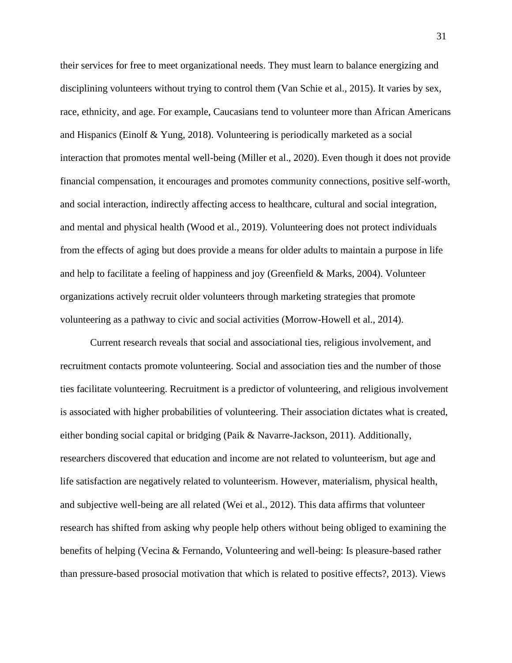their services for free to meet organizational needs. They must learn to balance energizing and disciplining volunteers without trying to control them (Van Schie et al., 2015). It varies by sex, race, ethnicity, and age. For example, Caucasians tend to volunteer more than African Americans and Hispanics (Einolf & Yung, 2018). Volunteering is periodically marketed as a social interaction that promotes mental well-being (Miller et al., 2020). Even though it does not provide financial compensation, it encourages and promotes community connections, positive self-worth, and social interaction, indirectly affecting access to healthcare, cultural and social integration, and mental and physical health (Wood et al., 2019). Volunteering does not protect individuals from the effects of aging but does provide a means for older adults to maintain a purpose in life and help to facilitate a feeling of happiness and joy (Greenfield & Marks, 2004). Volunteer organizations actively recruit older volunteers through marketing strategies that promote volunteering as a pathway to civic and social activities (Morrow-Howell et al., 2014).

Current research reveals that social and associational ties, religious involvement, and recruitment contacts promote volunteering. Social and association ties and the number of those ties facilitate volunteering. Recruitment is a predictor of volunteering, and religious involvement is associated with higher probabilities of volunteering. Their association dictates what is created, either bonding social capital or bridging (Paik & Navarre-Jackson, 2011). Additionally, researchers discovered that education and income are not related to volunteerism, but age and life satisfaction are negatively related to volunteerism. However, materialism, physical health, and subjective well-being are all related (Wei et al., 2012). This data affirms that volunteer research has shifted from asking why people help others without being obliged to examining the benefits of helping (Vecina & Fernando, Volunteering and well-being: Is pleasure-based rather than pressure-based prosocial motivation that which is related to positive effects?, 2013). Views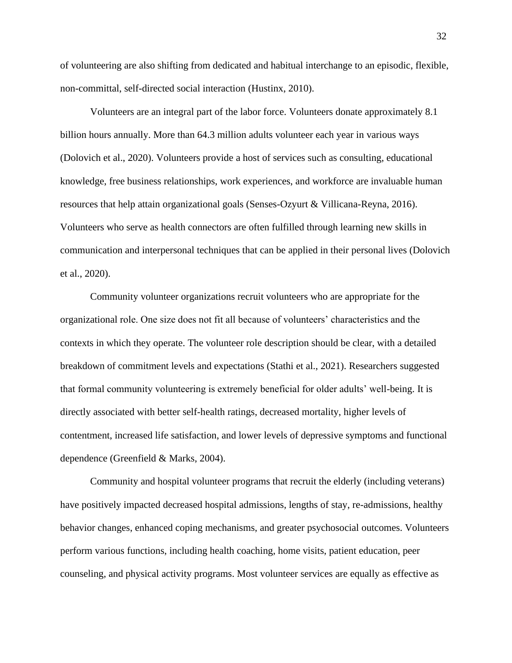of volunteering are also shifting from dedicated and habitual interchange to an episodic, flexible, non-committal, self-directed social interaction (Hustinx, 2010).

Volunteers are an integral part of the labor force. Volunteers donate approximately 8.1 billion hours annually. More than 64.3 million adults volunteer each year in various ways (Dolovich et al., 2020). Volunteers provide a host of services such as consulting, educational knowledge, free business relationships, work experiences, and workforce are invaluable human resources that help attain organizational goals (Senses-Ozyurt & Villicana-Reyna, 2016). Volunteers who serve as health connectors are often fulfilled through learning new skills in communication and interpersonal techniques that can be applied in their personal lives (Dolovich et al., 2020).

Community volunteer organizations recruit volunteers who are appropriate for the organizational role. One size does not fit all because of volunteers' characteristics and the contexts in which they operate. The volunteer role description should be clear, with a detailed breakdown of commitment levels and expectations (Stathi et al., 2021). Researchers suggested that formal community volunteering is extremely beneficial for older adults' well-being. It is directly associated with better self-health ratings, decreased mortality, higher levels of contentment, increased life satisfaction, and lower levels of depressive symptoms and functional dependence (Greenfield & Marks, 2004).

Community and hospital volunteer programs that recruit the elderly (including veterans) have positively impacted decreased hospital admissions, lengths of stay, re-admissions, healthy behavior changes, enhanced coping mechanisms, and greater psychosocial outcomes. Volunteers perform various functions, including health coaching, home visits, patient education, peer counseling, and physical activity programs. Most volunteer services are equally as effective as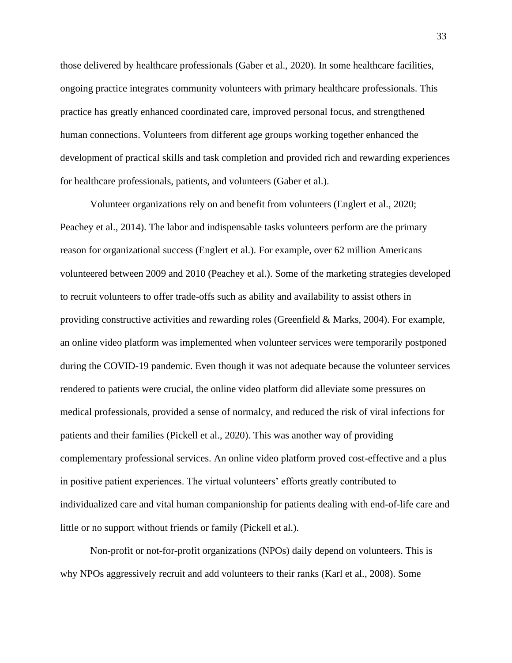those delivered by healthcare professionals (Gaber et al., 2020). In some healthcare facilities, ongoing practice integrates community volunteers with primary healthcare professionals. This practice has greatly enhanced coordinated care, improved personal focus, and strengthened human connections. Volunteers from different age groups working together enhanced the development of practical skills and task completion and provided rich and rewarding experiences for healthcare professionals, patients, and volunteers (Gaber et al.).

Volunteer organizations rely on and benefit from volunteers (Englert et al., 2020; Peachey et al., 2014). The labor and indispensable tasks volunteers perform are the primary reason for organizational success (Englert et al.). For example, over 62 million Americans volunteered between 2009 and 2010 (Peachey et al.). Some of the marketing strategies developed to recruit volunteers to offer trade-offs such as ability and availability to assist others in providing constructive activities and rewarding roles (Greenfield & Marks, 2004). For example, an online video platform was implemented when volunteer services were temporarily postponed during the COVID-19 pandemic. Even though it was not adequate because the volunteer services rendered to patients were crucial, the online video platform did alleviate some pressures on medical professionals, provided a sense of normalcy, and reduced the risk of viral infections for patients and their families (Pickell et al., 2020). This was another way of providing complementary professional services. An online video platform proved cost-effective and a plus in positive patient experiences. The virtual volunteers' efforts greatly contributed to individualized care and vital human companionship for patients dealing with end-of-life care and little or no support without friends or family (Pickell et al.).

Non-profit or not-for-profit organizations (NPOs) daily depend on volunteers. This is why NPOs aggressively recruit and add volunteers to their ranks (Karl et al., 2008). Some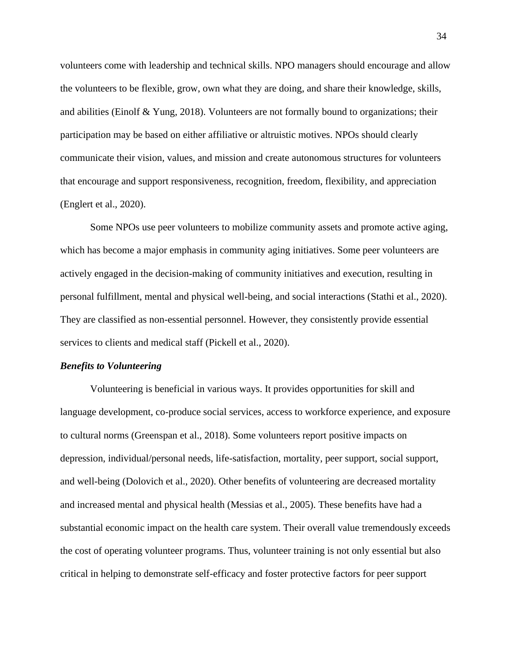volunteers come with leadership and technical skills. NPO managers should encourage and allow the volunteers to be flexible, grow, own what they are doing, and share their knowledge, skills, and abilities (Einolf  $&$  Yung, 2018). Volunteers are not formally bound to organizations; their participation may be based on either affiliative or altruistic motives. NPOs should clearly communicate their vision, values, and mission and create autonomous structures for volunteers that encourage and support responsiveness, recognition, freedom, flexibility, and appreciation (Englert et al., 2020).

Some NPOs use peer volunteers to mobilize community assets and promote active aging, which has become a major emphasis in community aging initiatives. Some peer volunteers are actively engaged in the decision-making of community initiatives and execution, resulting in personal fulfillment, mental and physical well-being, and social interactions (Stathi et al., 2020). They are classified as non-essential personnel. However, they consistently provide essential services to clients and medical staff (Pickell et al., 2020).

## <span id="page-33-0"></span>*Benefits to Volunteering*

Volunteering is beneficial in various ways. It provides opportunities for skill and language development, co-produce social services, access to workforce experience, and exposure to cultural norms (Greenspan et al., 2018). Some volunteers report positive impacts on depression, individual/personal needs, life-satisfaction, mortality, peer support, social support, and well-being (Dolovich et al., 2020). Other benefits of volunteering are decreased mortality and increased mental and physical health (Messias et al., 2005). These benefits have had a substantial economic impact on the health care system. Their overall value tremendously exceeds the cost of operating volunteer programs. Thus, volunteer training is not only essential but also critical in helping to demonstrate self-efficacy and foster protective factors for peer support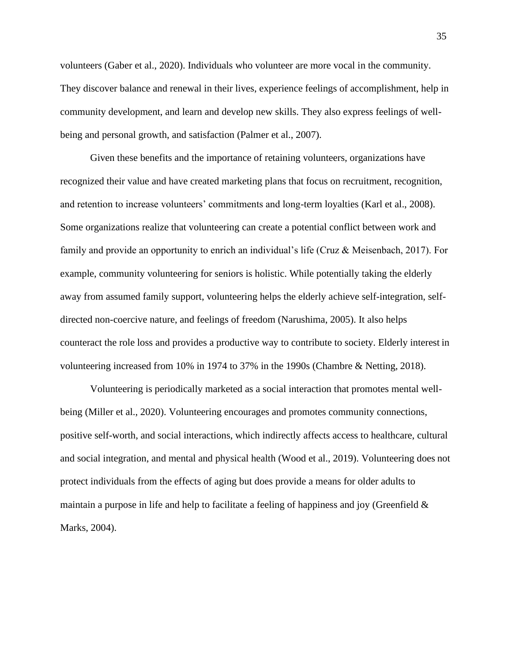volunteers (Gaber et al., 2020). Individuals who volunteer are more vocal in the community. They discover balance and renewal in their lives, experience feelings of accomplishment, help in community development, and learn and develop new skills. They also express feelings of wellbeing and personal growth, and satisfaction (Palmer et al., 2007).

Given these benefits and the importance of retaining volunteers, organizations have recognized their value and have created marketing plans that focus on recruitment, recognition, and retention to increase volunteers' commitments and long-term loyalties (Karl et al., 2008). Some organizations realize that volunteering can create a potential conflict between work and family and provide an opportunity to enrich an individual's life (Cruz & Meisenbach, 2017). For example, community volunteering for seniors is holistic. While potentially taking the elderly away from assumed family support, volunteering helps the elderly achieve self-integration, selfdirected non-coercive nature, and feelings of freedom (Narushima, 2005). It also helps counteract the role loss and provides a productive way to contribute to society. Elderly interest in volunteering increased from 10% in 1974 to 37% in the 1990s (Chambre & Netting, 2018).

Volunteering is periodically marketed as a social interaction that promotes mental wellbeing (Miller et al., 2020). Volunteering encourages and promotes community connections, positive self-worth, and social interactions, which indirectly affects access to healthcare, cultural and social integration, and mental and physical health (Wood et al., 2019). Volunteering does not protect individuals from the effects of aging but does provide a means for older adults to maintain a purpose in life and help to facilitate a feeling of happiness and joy (Greenfield  $\&$ Marks, 2004).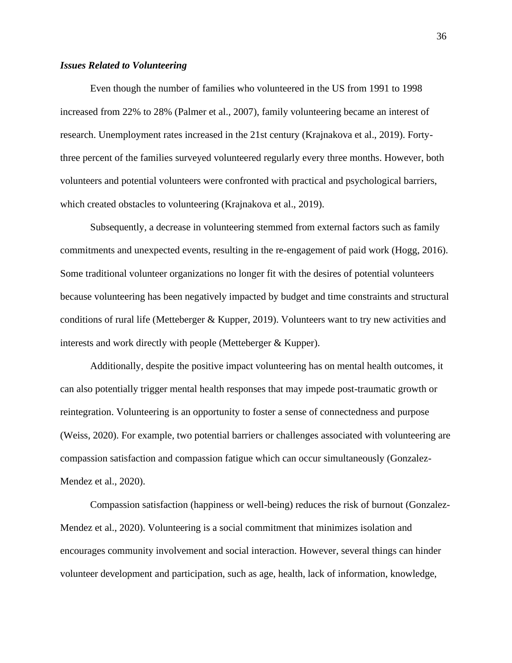## <span id="page-35-0"></span>*Issues Related to Volunteering*

Even though the number of families who volunteered in the US from 1991 to 1998 increased from 22% to 28% (Palmer et al., 2007), family volunteering became an interest of research. Unemployment rates increased in the 21st century (Krajnakova et al., 2019). Fortythree percent of the families surveyed volunteered regularly every three months. However, both volunteers and potential volunteers were confronted with practical and psychological barriers, which created obstacles to volunteering (Krajnakova et al., 2019).

Subsequently, a decrease in volunteering stemmed from external factors such as family commitments and unexpected events, resulting in the re-engagement of paid work (Hogg, 2016). Some traditional volunteer organizations no longer fit with the desires of potential volunteers because volunteering has been negatively impacted by budget and time constraints and structural conditions of rural life (Metteberger & Kupper, 2019). Volunteers want to try new activities and interests and work directly with people (Metteberger & Kupper).

Additionally, despite the positive impact volunteering has on mental health outcomes, it can also potentially trigger mental health responses that may impede post-traumatic growth or reintegration. Volunteering is an opportunity to foster a sense of connectedness and purpose (Weiss, 2020). For example, two potential barriers or challenges associated with volunteering are compassion satisfaction and compassion fatigue which can occur simultaneously (Gonzalez-Mendez et al., 2020).

Compassion satisfaction (happiness or well-being) reduces the risk of burnout (Gonzalez-Mendez et al., 2020). Volunteering is a social commitment that minimizes isolation and encourages community involvement and social interaction. However, several things can hinder volunteer development and participation, such as age, health, lack of information, knowledge,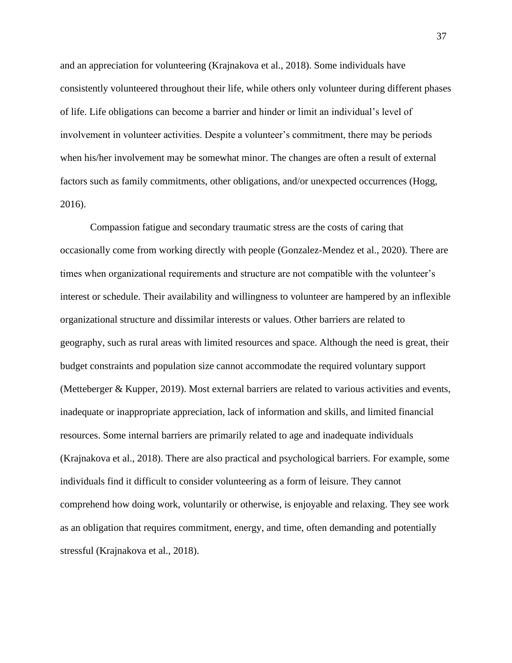and an appreciation for volunteering (Krajnakova et al., 2018). Some individuals have consistently volunteered throughout their life, while others only volunteer during different phases of life. Life obligations can become a barrier and hinder or limit an individual's level of involvement in volunteer activities. Despite a volunteer's commitment, there may be periods when his/her involvement may be somewhat minor. The changes are often a result of external factors such as family commitments, other obligations, and/or unexpected occurrences (Hogg, 2016).

Compassion fatigue and secondary traumatic stress are the costs of caring that occasionally come from working directly with people (Gonzalez-Mendez et al., 2020). There are times when organizational requirements and structure are not compatible with the volunteer's interest or schedule. Their availability and willingness to volunteer are hampered by an inflexible organizational structure and dissimilar interests or values. Other barriers are related to geography, such as rural areas with limited resources and space. Although the need is great, their budget constraints and population size cannot accommodate the required voluntary support (Metteberger & Kupper, 2019). Most external barriers are related to various activities and events, inadequate or inappropriate appreciation, lack of information and skills, and limited financial resources. Some internal barriers are primarily related to age and inadequate individuals (Krajnakova et al., 2018). There are also practical and psychological barriers. For example, some individuals find it difficult to consider volunteering as a form of leisure. They cannot comprehend how doing work, voluntarily or otherwise, is enjoyable and relaxing. They see work as an obligation that requires commitment, energy, and time, often demanding and potentially stressful (Krajnakova et al., 2018).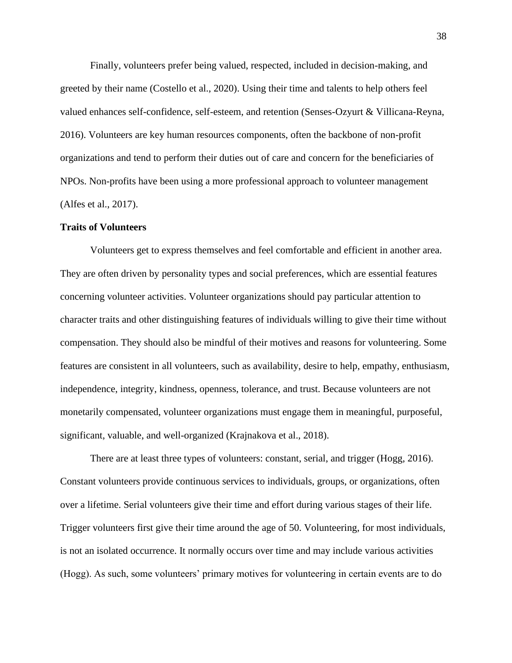Finally, volunteers prefer being valued, respected, included in decision-making, and greeted by their name (Costello et al., 2020). Using their time and talents to help others feel valued enhances self-confidence, self-esteem, and retention (Senses-Ozyurt & Villicana-Reyna, 2016). Volunteers are key human resources components, often the backbone of non-profit organizations and tend to perform their duties out of care and concern for the beneficiaries of NPOs. Non-profits have been using a more professional approach to volunteer management (Alfes et al., 2017).

### **Traits of Volunteers**

Volunteers get to express themselves and feel comfortable and efficient in another area. They are often driven by personality types and social preferences, which are essential features concerning volunteer activities. Volunteer organizations should pay particular attention to character traits and other distinguishing features of individuals willing to give their time without compensation. They should also be mindful of their motives and reasons for volunteering. Some features are consistent in all volunteers, such as availability, desire to help, empathy, enthusiasm, independence, integrity, kindness, openness, tolerance, and trust. Because volunteers are not monetarily compensated, volunteer organizations must engage them in meaningful, purposeful, significant, valuable, and well-organized (Krajnakova et al., 2018).

There are at least three types of volunteers: constant, serial, and trigger (Hogg, 2016). Constant volunteers provide continuous services to individuals, groups, or organizations, often over a lifetime. Serial volunteers give their time and effort during various stages of their life. Trigger volunteers first give their time around the age of 50. Volunteering, for most individuals, is not an isolated occurrence. It normally occurs over time and may include various activities (Hogg). As such, some volunteers' primary motives for volunteering in certain events are to do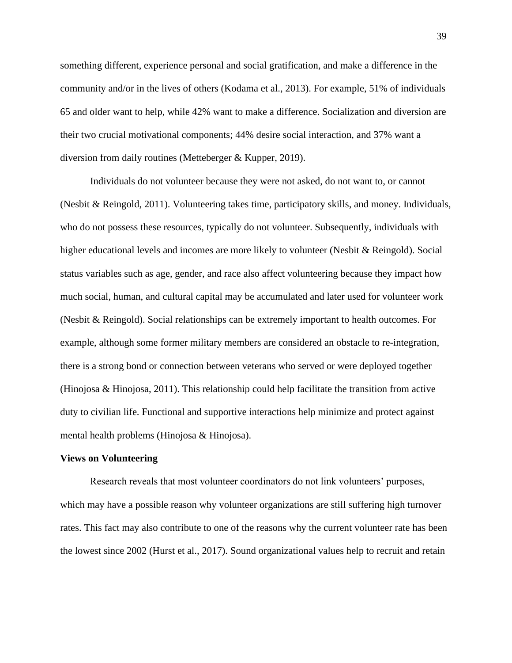something different, experience personal and social gratification, and make a difference in the community and/or in the lives of others (Kodama et al., 2013). For example, 51% of individuals 65 and older want to help, while 42% want to make a difference. Socialization and diversion are their two crucial motivational components; 44% desire social interaction, and 37% want a diversion from daily routines (Metteberger & Kupper, 2019).

Individuals do not volunteer because they were not asked, do not want to, or cannot (Nesbit & Reingold, 2011). Volunteering takes time, participatory skills, and money. Individuals, who do not possess these resources, typically do not volunteer. Subsequently, individuals with higher educational levels and incomes are more likely to volunteer (Nesbit & Reingold). Social status variables such as age, gender, and race also affect volunteering because they impact how much social, human, and cultural capital may be accumulated and later used for volunteer work (Nesbit & Reingold). Social relationships can be extremely important to health outcomes. For example, although some former military members are considered an obstacle to re-integration, there is a strong bond or connection between veterans who served or were deployed together (Hinojosa & Hinojosa, 2011). This relationship could help facilitate the transition from active duty to civilian life. Functional and supportive interactions help minimize and protect against mental health problems (Hinojosa & Hinojosa).

### **Views on Volunteering**

Research reveals that most volunteer coordinators do not link volunteers' purposes, which may have a possible reason why volunteer organizations are still suffering high turnover rates. This fact may also contribute to one of the reasons why the current volunteer rate has been the lowest since 2002 (Hurst et al., 2017). Sound organizational values help to recruit and retain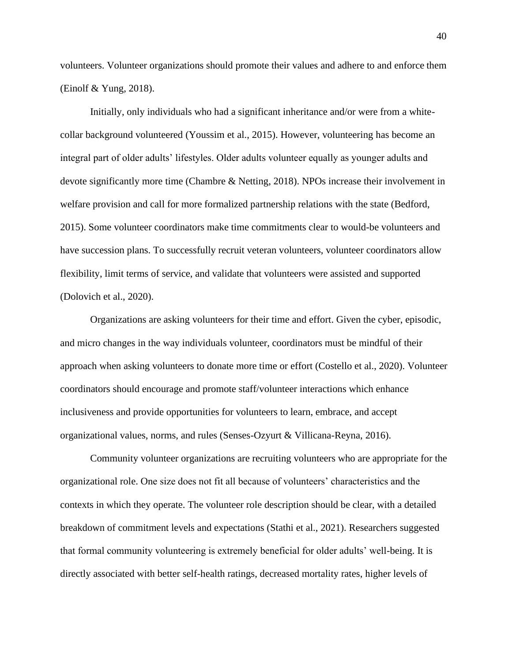volunteers. Volunteer organizations should promote their values and adhere to and enforce them (Einolf & Yung, 2018).

Initially, only individuals who had a significant inheritance and/or were from a whitecollar background volunteered (Youssim et al., 2015). However, volunteering has become an integral part of older adults' lifestyles. Older adults volunteer equally as younger adults and devote significantly more time (Chambre & Netting, 2018). NPOs increase their involvement in welfare provision and call for more formalized partnership relations with the state (Bedford, 2015). Some volunteer coordinators make time commitments clear to would-be volunteers and have succession plans. To successfully recruit veteran volunteers, volunteer coordinators allow flexibility, limit terms of service, and validate that volunteers were assisted and supported (Dolovich et al., 2020).

Organizations are asking volunteers for their time and effort. Given the cyber, episodic, and micro changes in the way individuals volunteer, coordinators must be mindful of their approach when asking volunteers to donate more time or effort (Costello et al., 2020). Volunteer coordinators should encourage and promote staff/volunteer interactions which enhance inclusiveness and provide opportunities for volunteers to learn, embrace, and accept organizational values, norms, and rules (Senses-Ozyurt & Villicana-Reyna, 2016).

Community volunteer organizations are recruiting volunteers who are appropriate for the organizational role. One size does not fit all because of volunteers' characteristics and the contexts in which they operate. The volunteer role description should be clear, with a detailed breakdown of commitment levels and expectations (Stathi et al., 2021). Researchers suggested that formal community volunteering is extremely beneficial for older adults' well-being. It is directly associated with better self-health ratings, decreased mortality rates, higher levels of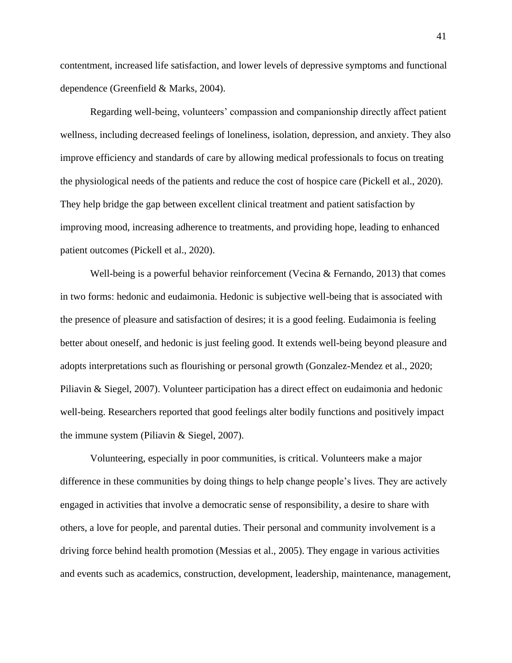contentment, increased life satisfaction, and lower levels of depressive symptoms and functional dependence (Greenfield & Marks, 2004).

Regarding well-being, volunteers' compassion and companionship directly affect patient wellness, including decreased feelings of loneliness, isolation, depression, and anxiety. They also improve efficiency and standards of care by allowing medical professionals to focus on treating the physiological needs of the patients and reduce the cost of hospice care (Pickell et al., 2020). They help bridge the gap between excellent clinical treatment and patient satisfaction by improving mood, increasing adherence to treatments, and providing hope, leading to enhanced patient outcomes (Pickell et al., 2020).

Well-being is a powerful behavior reinforcement (Vecina  $&$  Fernando, 2013) that comes in two forms: hedonic and eudaimonia. Hedonic is subjective well-being that is associated with the presence of pleasure and satisfaction of desires; it is a good feeling. Eudaimonia is feeling better about oneself, and hedonic is just feeling good. It extends well-being beyond pleasure and adopts interpretations such as flourishing or personal growth (Gonzalez-Mendez et al., 2020; Piliavin & Siegel, 2007). Volunteer participation has a direct effect on eudaimonia and hedonic well-being. Researchers reported that good feelings alter bodily functions and positively impact the immune system (Piliavin & Siegel, 2007).

Volunteering, especially in poor communities, is critical. Volunteers make a major difference in these communities by doing things to help change people's lives. They are actively engaged in activities that involve a democratic sense of responsibility, a desire to share with others, a love for people, and parental duties. Their personal and community involvement is a driving force behind health promotion (Messias et al., 2005). They engage in various activities and events such as academics, construction, development, leadership, maintenance, management,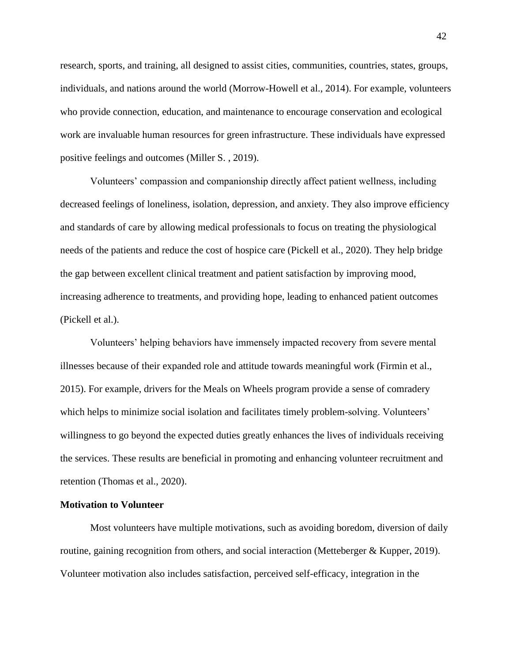research, sports, and training, all designed to assist cities, communities, countries, states, groups, individuals, and nations around the world (Morrow-Howell et al., 2014). For example, volunteers who provide connection, education, and maintenance to encourage conservation and ecological work are invaluable human resources for green infrastructure. These individuals have expressed positive feelings and outcomes (Miller S. , 2019).

Volunteers' compassion and companionship directly affect patient wellness, including decreased feelings of loneliness, isolation, depression, and anxiety. They also improve efficiency and standards of care by allowing medical professionals to focus on treating the physiological needs of the patients and reduce the cost of hospice care (Pickell et al., 2020). They help bridge the gap between excellent clinical treatment and patient satisfaction by improving mood, increasing adherence to treatments, and providing hope, leading to enhanced patient outcomes (Pickell et al.).

Volunteers' helping behaviors have immensely impacted recovery from severe mental illnesses because of their expanded role and attitude towards meaningful work (Firmin et al., 2015). For example, drivers for the Meals on Wheels program provide a sense of comradery which helps to minimize social isolation and facilitates timely problem-solving. Volunteers' willingness to go beyond the expected duties greatly enhances the lives of individuals receiving the services. These results are beneficial in promoting and enhancing volunteer recruitment and retention (Thomas et al., 2020).

#### **Motivation to Volunteer**

Most volunteers have multiple motivations, such as avoiding boredom, diversion of daily routine, gaining recognition from others, and social interaction (Metteberger & Kupper, 2019). Volunteer motivation also includes satisfaction, perceived self-efficacy, integration in the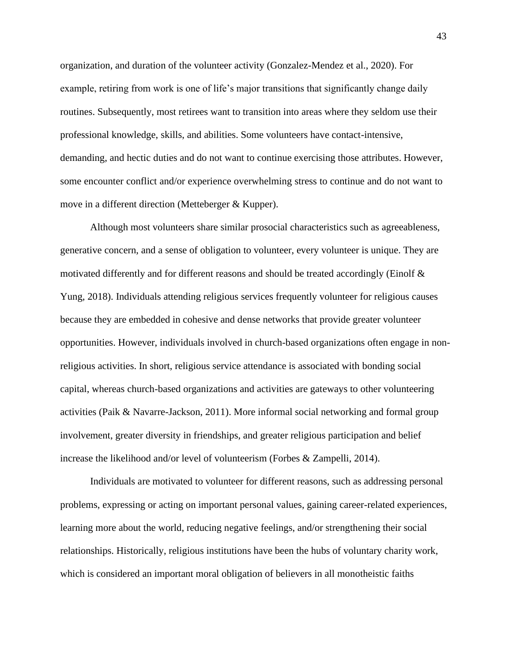organization, and duration of the volunteer activity (Gonzalez-Mendez et al., 2020). For example, retiring from work is one of life's major transitions that significantly change daily routines. Subsequently, most retirees want to transition into areas where they seldom use their professional knowledge, skills, and abilities. Some volunteers have contact-intensive, demanding, and hectic duties and do not want to continue exercising those attributes. However, some encounter conflict and/or experience overwhelming stress to continue and do not want to move in a different direction (Metteberger & Kupper).

Although most volunteers share similar prosocial characteristics such as agreeableness, generative concern, and a sense of obligation to volunteer, every volunteer is unique. They are motivated differently and for different reasons and should be treated accordingly (Einolf & Yung, 2018). Individuals attending religious services frequently volunteer for religious causes because they are embedded in cohesive and dense networks that provide greater volunteer opportunities. However, individuals involved in church-based organizations often engage in nonreligious activities. In short, religious service attendance is associated with bonding social capital, whereas church-based organizations and activities are gateways to other volunteering activities (Paik & Navarre-Jackson, 2011). More informal social networking and formal group involvement, greater diversity in friendships, and greater religious participation and belief increase the likelihood and/or level of volunteerism (Forbes & Zampelli, 2014).

Individuals are motivated to volunteer for different reasons, such as addressing personal problems, expressing or acting on important personal values, gaining career-related experiences, learning more about the world, reducing negative feelings, and/or strengthening their social relationships. Historically, religious institutions have been the hubs of voluntary charity work, which is considered an important moral obligation of believers in all monotheistic faiths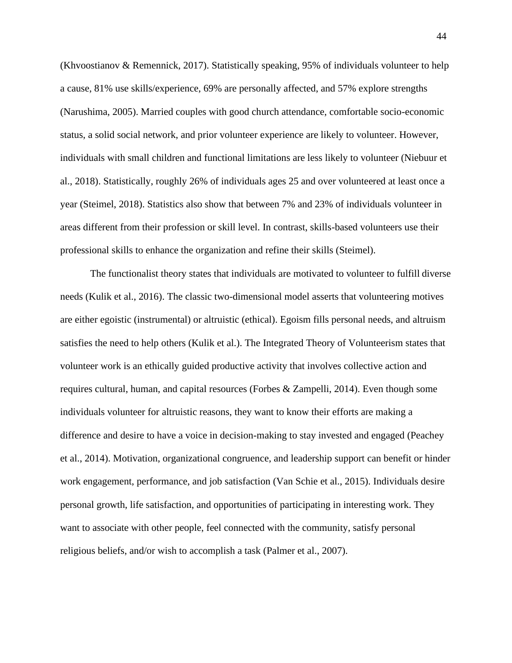(Khvoostianov & Remennick, 2017). Statistically speaking, 95% of individuals volunteer to help a cause, 81% use skills/experience, 69% are personally affected, and 57% explore strengths (Narushima, 2005). Married couples with good church attendance, comfortable socio-economic status, a solid social network, and prior volunteer experience are likely to volunteer. However, individuals with small children and functional limitations are less likely to volunteer (Niebuur et al., 2018). Statistically, roughly 26% of individuals ages 25 and over volunteered at least once a year (Steimel, 2018). Statistics also show that between 7% and 23% of individuals volunteer in areas different from their profession or skill level. In contrast, skills-based volunteers use their professional skills to enhance the organization and refine their skills (Steimel).

The functionalist theory states that individuals are motivated to volunteer to fulfill diverse needs (Kulik et al., 2016). The classic two-dimensional model asserts that volunteering motives are either egoistic (instrumental) or altruistic (ethical). Egoism fills personal needs, and altruism satisfies the need to help others (Kulik et al.). The Integrated Theory of Volunteerism states that volunteer work is an ethically guided productive activity that involves collective action and requires cultural, human, and capital resources (Forbes & Zampelli, 2014). Even though some individuals volunteer for altruistic reasons, they want to know their efforts are making a difference and desire to have a voice in decision-making to stay invested and engaged (Peachey et al., 2014). Motivation, organizational congruence, and leadership support can benefit or hinder work engagement, performance, and job satisfaction (Van Schie et al., 2015). Individuals desire personal growth, life satisfaction, and opportunities of participating in interesting work. They want to associate with other people, feel connected with the community, satisfy personal religious beliefs, and/or wish to accomplish a task (Palmer et al., 2007).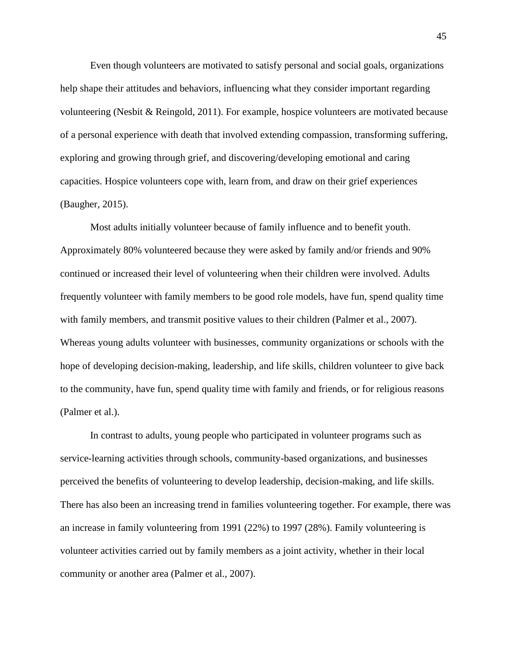Even though volunteers are motivated to satisfy personal and social goals, organizations help shape their attitudes and behaviors, influencing what they consider important regarding volunteering (Nesbit & Reingold, 2011). For example, hospice volunteers are motivated because of a personal experience with death that involved extending compassion, transforming suffering, exploring and growing through grief, and discovering/developing emotional and caring capacities. Hospice volunteers cope with, learn from, and draw on their grief experiences (Baugher, 2015).

Most adults initially volunteer because of family influence and to benefit youth. Approximately 80% volunteered because they were asked by family and/or friends and 90% continued or increased their level of volunteering when their children were involved. Adults frequently volunteer with family members to be good role models, have fun, spend quality time with family members, and transmit positive values to their children (Palmer et al., 2007). Whereas young adults volunteer with businesses, community organizations or schools with the hope of developing decision-making, leadership, and life skills, children volunteer to give back to the community, have fun, spend quality time with family and friends, or for religious reasons (Palmer et al.).

In contrast to adults, young people who participated in volunteer programs such as service-learning activities through schools, community-based organizations, and businesses perceived the benefits of volunteering to develop leadership, decision-making, and life skills. There has also been an increasing trend in families volunteering together. For example, there was an increase in family volunteering from 1991 (22%) to 1997 (28%). Family volunteering is volunteer activities carried out by family members as a joint activity, whether in their local community or another area (Palmer et al., 2007).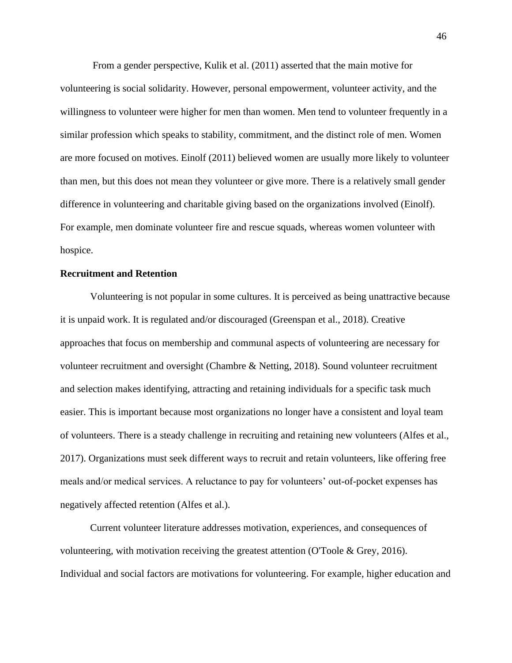From a gender perspective, Kulik et al. (2011) asserted that the main motive for volunteering is social solidarity. However, personal empowerment, volunteer activity, and the willingness to volunteer were higher for men than women. Men tend to volunteer frequently in a similar profession which speaks to stability, commitment, and the distinct role of men. Women are more focused on motives. Einolf (2011) believed women are usually more likely to volunteer than men, but this does not mean they volunteer or give more. There is a relatively small gender difference in volunteering and charitable giving based on the organizations involved (Einolf). For example, men dominate volunteer fire and rescue squads, whereas women volunteer with hospice.

# **Recruitment and Retention**

Volunteering is not popular in some cultures. It is perceived as being unattractive because it is unpaid work. It is regulated and/or discouraged (Greenspan et al., 2018). Creative approaches that focus on membership and communal aspects of volunteering are necessary for volunteer recruitment and oversight (Chambre & Netting, 2018). Sound volunteer recruitment and selection makes identifying, attracting and retaining individuals for a specific task much easier. This is important because most organizations no longer have a consistent and loyal team of volunteers. There is a steady challenge in recruiting and retaining new volunteers (Alfes et al., 2017). Organizations must seek different ways to recruit and retain volunteers, like offering free meals and/or medical services. A reluctance to pay for volunteers' out-of-pocket expenses has negatively affected retention (Alfes et al.).

Current volunteer literature addresses motivation, experiences, and consequences of volunteering, with motivation receiving the greatest attention (O'Toole & Grey, 2016). Individual and social factors are motivations for volunteering. For example, higher education and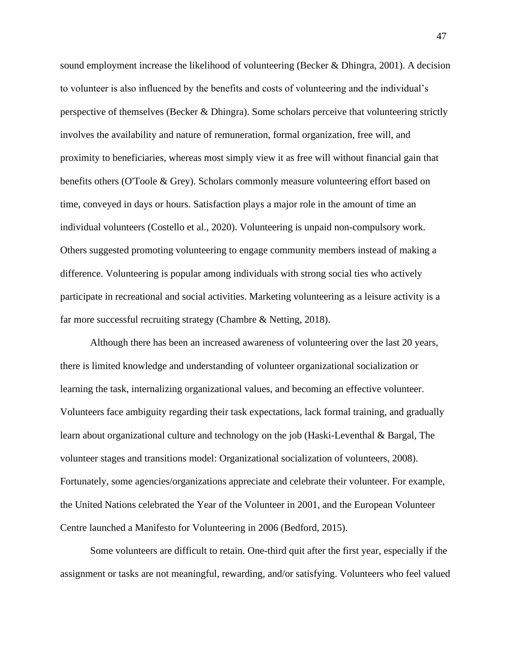sound employment increase the likelihood of volunteering (Becker & Dhingra, 2001). A decision to volunteer is also influenced by the benefits and costs of volunteering and the individual's perspective of themselves (Becker  $\&$  Dhingra). Some scholars perceive that volunteering strictly involves the availability and nature of remuneration, formal organization, free will, and proximity to beneficiaries, whereas most simply view it as free will without financial gain that benefits others (O'Toole & Grey). Scholars commonly measure volunteering effort based on time, conveyed in days or hours. Satisfaction plays a major role in the amount of time an individual volunteers (Costello et al., 2020). Volunteering is unpaid non-compulsory work. Others suggested promoting volunteering to engage community members instead of making a difference. Volunteering is popular among individuals with strong social ties who actively participate in recreational and social activities. Marketing volunteering as a leisure activity is a far more successful recruiting strategy (Chambre & Netting, 2018).

Although there has been an increased awareness of volunteering over the last 20 years, there is limited knowledge and understanding of volunteer organizational socialization or learning the task, internalizing organizational values, and becoming an effective volunteer. Volunteers face ambiguity regarding their task expectations, lack formal training, and gradually learn about organizational culture and technology on the job (Haski-Leventhal & Bargal, The volunteer stages and transitions model: Organizational socialization of volunteers, 2008). Fortunately, some agencies/organizations appreciate and celebrate their volunteer. For example, the United Nations celebrated the Year of the Volunteer in 2001, and the European Volunteer Centre launched a Manifesto for Volunteering in 2006 (Bedford, 2015).

Some volunteers are difficult to retain. One-third quit after the first year, especially if the assignment or tasks are not meaningful, rewarding, and/or satisfying. Volunteers who feel valued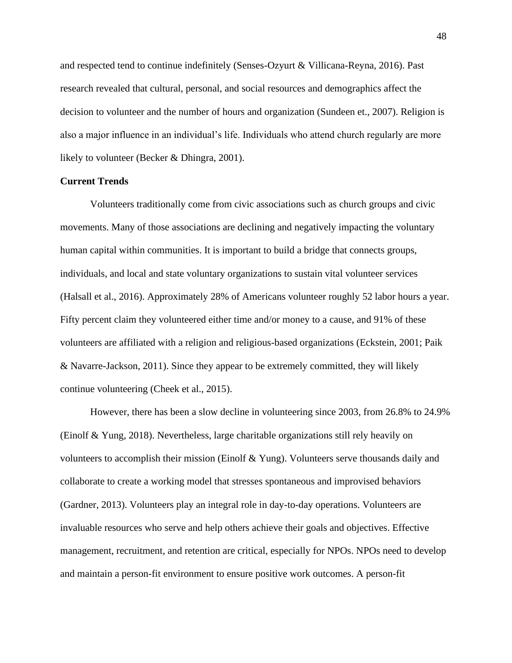and respected tend to continue indefinitely (Senses-Ozyurt & Villicana-Reyna, 2016). Past research revealed that cultural, personal, and social resources and demographics affect the decision to volunteer and the number of hours and organization (Sundeen et., 2007). Religion is also a major influence in an individual's life. Individuals who attend church regularly are more likely to volunteer (Becker & Dhingra, 2001).

## **Current Trends**

Volunteers traditionally come from civic associations such as church groups and civic movements. Many of those associations are declining and negatively impacting the voluntary human capital within communities. It is important to build a bridge that connects groups, individuals, and local and state voluntary organizations to sustain vital volunteer services (Halsall et al., 2016). Approximately 28% of Americans volunteer roughly 52 labor hours a year. Fifty percent claim they volunteered either time and/or money to a cause, and 91% of these volunteers are affiliated with a religion and religious-based organizations (Eckstein, 2001; Paik & Navarre-Jackson, 2011). Since they appear to be extremely committed, they will likely continue volunteering (Cheek et al., 2015).

However, there has been a slow decline in volunteering since 2003, from 26.8% to 24.9% (Einolf & Yung, 2018). Nevertheless, large charitable organizations still rely heavily on volunteers to accomplish their mission (Einolf & Yung). Volunteers serve thousands daily and collaborate to create a working model that stresses spontaneous and improvised behaviors (Gardner, 2013). Volunteers play an integral role in day-to-day operations. Volunteers are invaluable resources who serve and help others achieve their goals and objectives. Effective management, recruitment, and retention are critical, especially for NPOs. NPOs need to develop and maintain a person-fit environment to ensure positive work outcomes. A person-fit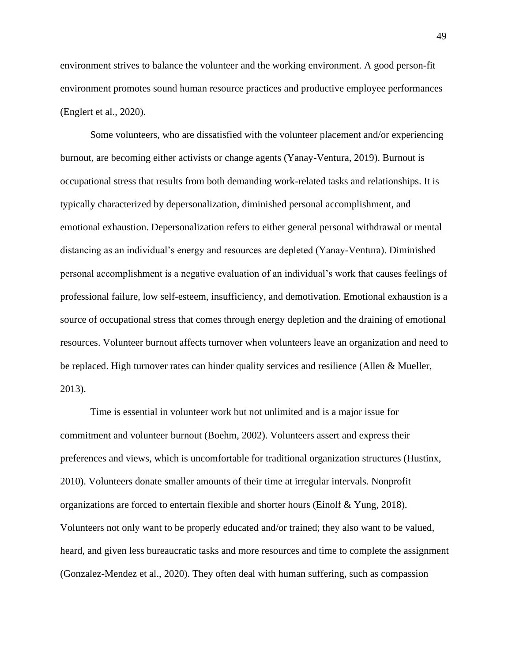environment strives to balance the volunteer and the working environment. A good person-fit environment promotes sound human resource practices and productive employee performances (Englert et al., 2020).

Some volunteers, who are dissatisfied with the volunteer placement and/or experiencing burnout, are becoming either activists or change agents (Yanay-Ventura, 2019). Burnout is occupational stress that results from both demanding work-related tasks and relationships. It is typically characterized by depersonalization, diminished personal accomplishment, and emotional exhaustion. Depersonalization refers to either general personal withdrawal or mental distancing as an individual's energy and resources are depleted (Yanay-Ventura). Diminished personal accomplishment is a negative evaluation of an individual's work that causes feelings of professional failure, low self-esteem, insufficiency, and demotivation. Emotional exhaustion is a source of occupational stress that comes through energy depletion and the draining of emotional resources. Volunteer burnout affects turnover when volunteers leave an organization and need to be replaced. High turnover rates can hinder quality services and resilience (Allen & Mueller, 2013).

Time is essential in volunteer work but not unlimited and is a major issue for commitment and volunteer burnout (Boehm, 2002). Volunteers assert and express their preferences and views, which is uncomfortable for traditional organization structures (Hustinx, 2010). Volunteers donate smaller amounts of their time at irregular intervals. Nonprofit organizations are forced to entertain flexible and shorter hours (Einolf & Yung, 2018). Volunteers not only want to be properly educated and/or trained; they also want to be valued, heard, and given less bureaucratic tasks and more resources and time to complete the assignment (Gonzalez-Mendez et al., 2020). They often deal with human suffering, such as compassion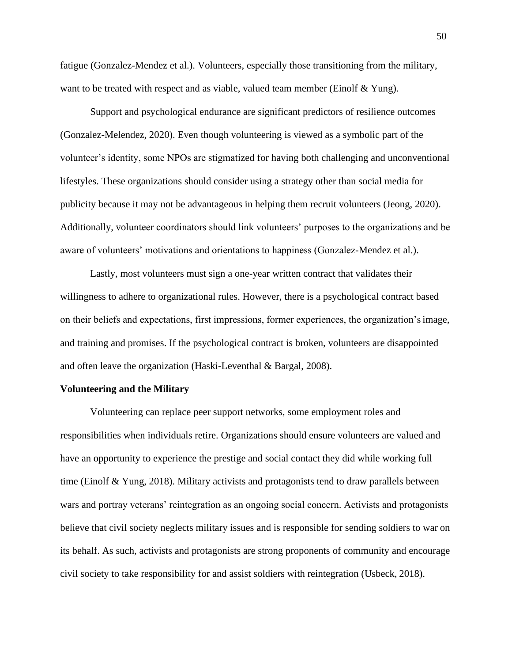fatigue (Gonzalez-Mendez et al.). Volunteers, especially those transitioning from the military, want to be treated with respect and as viable, valued team member (Einolf & Yung).

Support and psychological endurance are significant predictors of resilience outcomes (Gonzalez-Melendez, 2020). Even though volunteering is viewed as a symbolic part of the volunteer's identity, some NPOs are stigmatized for having both challenging and unconventional lifestyles. These organizations should consider using a strategy other than social media for publicity because it may not be advantageous in helping them recruit volunteers (Jeong, 2020). Additionally, volunteer coordinators should link volunteers' purposes to the organizations and be aware of volunteers' motivations and orientations to happiness (Gonzalez-Mendez et al.).

Lastly, most volunteers must sign a one-year written contract that validates their willingness to adhere to organizational rules. However, there is a psychological contract based on their beliefs and expectations, first impressions, former experiences, the organization'simage, and training and promises. If the psychological contract is broken, volunteers are disappointed and often leave the organization (Haski-Leventhal & Bargal, 2008).

#### **Volunteering and the Military**

Volunteering can replace peer support networks, some employment roles and responsibilities when individuals retire. Organizations should ensure volunteers are valued and have an opportunity to experience the prestige and social contact they did while working full time (Einolf & Yung, 2018). Military activists and protagonists tend to draw parallels between wars and portray veterans' reintegration as an ongoing social concern. Activists and protagonists believe that civil society neglects military issues and is responsible for sending soldiers to war on its behalf. As such, activists and protagonists are strong proponents of community and encourage civil society to take responsibility for and assist soldiers with reintegration (Usbeck, 2018).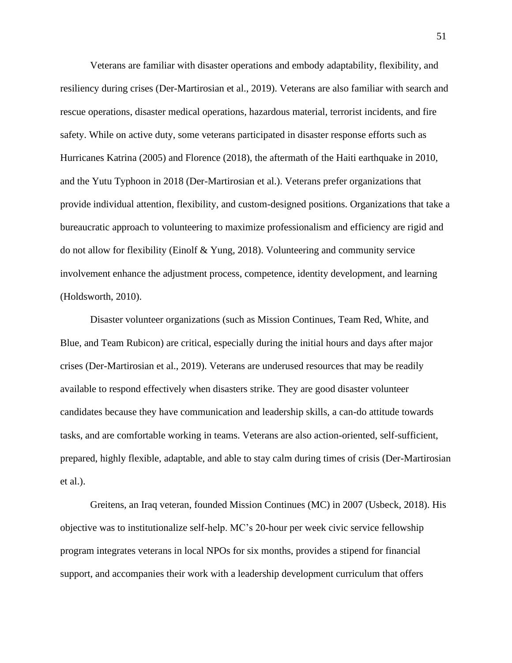Veterans are familiar with disaster operations and embody adaptability, flexibility, and resiliency during crises (Der-Martirosian et al., 2019). Veterans are also familiar with search and rescue operations, disaster medical operations, hazardous material, terrorist incidents, and fire safety. While on active duty, some veterans participated in disaster response efforts such as Hurricanes Katrina (2005) and Florence (2018), the aftermath of the Haiti earthquake in 2010, and the Yutu Typhoon in 2018 (Der-Martirosian et al.). Veterans prefer organizations that provide individual attention, flexibility, and custom-designed positions. Organizations that take a bureaucratic approach to volunteering to maximize professionalism and efficiency are rigid and do not allow for flexibility (Einolf & Yung, 2018). Volunteering and community service involvement enhance the adjustment process, competence, identity development, and learning (Holdsworth, 2010).

Disaster volunteer organizations (such as Mission Continues, Team Red, White, and Blue, and Team Rubicon) are critical, especially during the initial hours and days after major crises (Der-Martirosian et al., 2019). Veterans are underused resources that may be readily available to respond effectively when disasters strike. They are good disaster volunteer candidates because they have communication and leadership skills, a can-do attitude towards tasks, and are comfortable working in teams. Veterans are also action-oriented, self-sufficient, prepared, highly flexible, adaptable, and able to stay calm during times of crisis (Der-Martirosian et al.).

Greitens, an Iraq veteran, founded Mission Continues (MC) in 2007 (Usbeck, 2018). His objective was to institutionalize self-help. MC's 20-hour per week civic service fellowship program integrates veterans in local NPOs for six months, provides a stipend for financial support, and accompanies their work with a leadership development curriculum that offers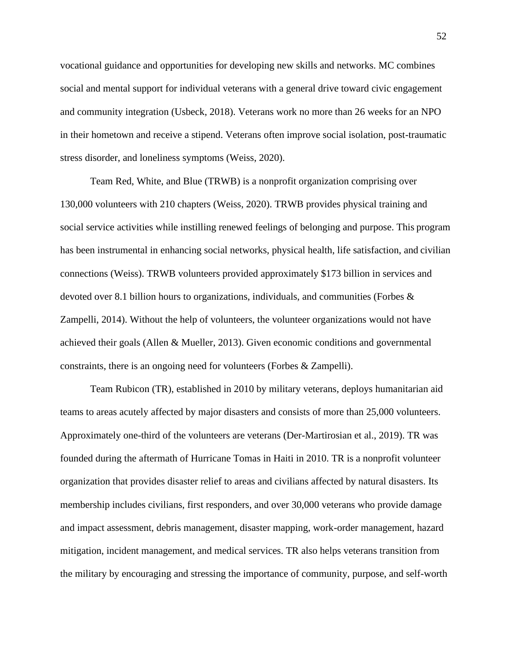vocational guidance and opportunities for developing new skills and networks. MC combines social and mental support for individual veterans with a general drive toward civic engagement and community integration (Usbeck, 2018). Veterans work no more than 26 weeks for an NPO in their hometown and receive a stipend. Veterans often improve social isolation, post-traumatic stress disorder, and loneliness symptoms (Weiss, 2020).

Team Red, White, and Blue (TRWB) is a nonprofit organization comprising over 130,000 volunteers with 210 chapters (Weiss, 2020). TRWB provides physical training and social service activities while instilling renewed feelings of belonging and purpose. This program has been instrumental in enhancing social networks, physical health, life satisfaction, and civilian connections (Weiss). TRWB volunteers provided approximately \$173 billion in services and devoted over 8.1 billion hours to organizations, individuals, and communities (Forbes & Zampelli, 2014). Without the help of volunteers, the volunteer organizations would not have achieved their goals (Allen & Mueller, 2013). Given economic conditions and governmental constraints, there is an ongoing need for volunteers (Forbes & Zampelli).

Team Rubicon (TR), established in 2010 by military veterans, deploys humanitarian aid teams to areas acutely affected by major disasters and consists of more than 25,000 volunteers. Approximately one-third of the volunteers are veterans (Der-Martirosian et al., 2019). TR was founded during the aftermath of Hurricane Tomas in Haiti in 2010. TR is a nonprofit volunteer organization that provides disaster relief to areas and civilians affected by natural disasters. Its membership includes civilians, first responders, and over 30,000 veterans who provide damage and impact assessment, debris management, disaster mapping, work-order management, hazard mitigation, incident management, and medical services. TR also helps veterans transition from the military by encouraging and stressing the importance of community, purpose, and self-worth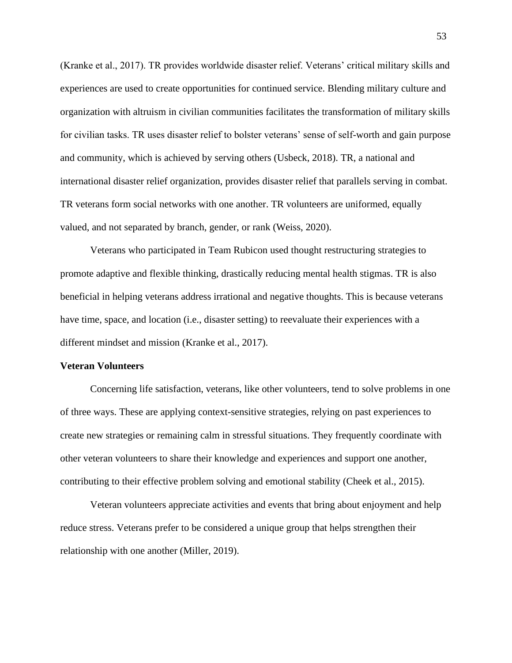(Kranke et al., 2017). TR provides worldwide disaster relief. Veterans' critical military skills and experiences are used to create opportunities for continued service. Blending military culture and organization with altruism in civilian communities facilitates the transformation of military skills for civilian tasks. TR uses disaster relief to bolster veterans' sense of self-worth and gain purpose and community, which is achieved by serving others (Usbeck, 2018). TR, a national and international disaster relief organization, provides disaster relief that parallels serving in combat. TR veterans form social networks with one another. TR volunteers are uniformed, equally valued, and not separated by branch, gender, or rank (Weiss, 2020).

Veterans who participated in Team Rubicon used thought restructuring strategies to promote adaptive and flexible thinking, drastically reducing mental health stigmas. TR is also beneficial in helping veterans address irrational and negative thoughts. This is because veterans have time, space, and location (i.e., disaster setting) to reevaluate their experiences with a different mindset and mission (Kranke et al., 2017).

### **Veteran Volunteers**

Concerning life satisfaction, veterans, like other volunteers, tend to solve problems in one of three ways. These are applying context-sensitive strategies, relying on past experiences to create new strategies or remaining calm in stressful situations. They frequently coordinate with other veteran volunteers to share their knowledge and experiences and support one another, contributing to their effective problem solving and emotional stability (Cheek et al., 2015).

Veteran volunteers appreciate activities and events that bring about enjoyment and help reduce stress. Veterans prefer to be considered a unique group that helps strengthen their relationship with one another (Miller, 2019).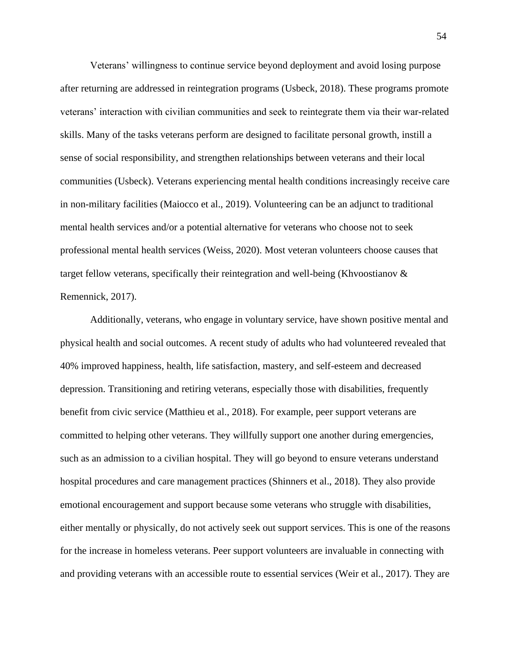Veterans' willingness to continue service beyond deployment and avoid losing purpose after returning are addressed in reintegration programs (Usbeck, 2018). These programs promote veterans' interaction with civilian communities and seek to reintegrate them via their war-related skills. Many of the tasks veterans perform are designed to facilitate personal growth, instill a sense of social responsibility, and strengthen relationships between veterans and their local communities (Usbeck). Veterans experiencing mental health conditions increasingly receive care in non-military facilities (Maiocco et al., 2019). Volunteering can be an adjunct to traditional mental health services and/or a potential alternative for veterans who choose not to seek professional mental health services (Weiss, 2020). Most veteran volunteers choose causes that target fellow veterans, specifically their reintegration and well-being (Khvoostianov & Remennick, 2017).

Additionally, veterans, who engage in voluntary service, have shown positive mental and physical health and social outcomes. A recent study of adults who had volunteered revealed that 40% improved happiness, health, life satisfaction, mastery, and self-esteem and decreased depression. Transitioning and retiring veterans, especially those with disabilities, frequently benefit from civic service (Matthieu et al., 2018). For example, peer support veterans are committed to helping other veterans. They willfully support one another during emergencies, such as an admission to a civilian hospital. They will go beyond to ensure veterans understand hospital procedures and care management practices (Shinners et al., 2018). They also provide emotional encouragement and support because some veterans who struggle with disabilities, either mentally or physically, do not actively seek out support services. This is one of the reasons for the increase in homeless veterans. Peer support volunteers are invaluable in connecting with and providing veterans with an accessible route to essential services (Weir et al., 2017). They are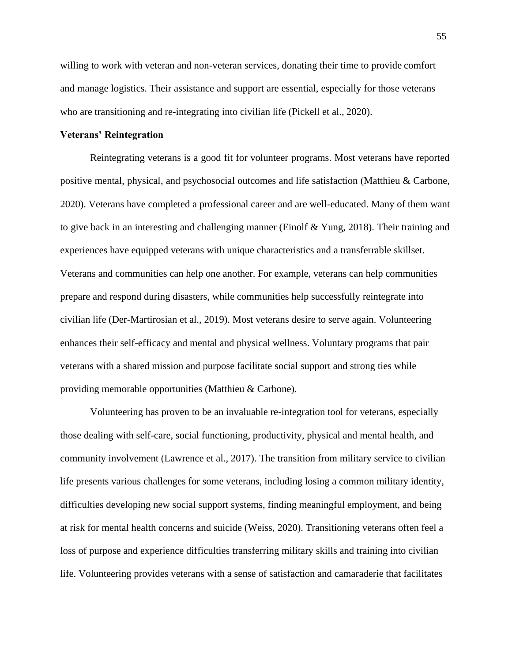willing to work with veteran and non-veteran services, donating their time to provide comfort and manage logistics. Their assistance and support are essential, especially for those veterans who are transitioning and re-integrating into civilian life (Pickell et al., 2020).

### **Veterans' Reintegration**

Reintegrating veterans is a good fit for volunteer programs. Most veterans have reported positive mental, physical, and psychosocial outcomes and life satisfaction (Matthieu & Carbone, 2020). Veterans have completed a professional career and are well-educated. Many of them want to give back in an interesting and challenging manner (Einolf & Yung, 2018). Their training and experiences have equipped veterans with unique characteristics and a transferrable skillset. Veterans and communities can help one another. For example, veterans can help communities prepare and respond during disasters, while communities help successfully reintegrate into civilian life (Der-Martirosian et al., 2019). Most veterans desire to serve again. Volunteering enhances their self-efficacy and mental and physical wellness. Voluntary programs that pair veterans with a shared mission and purpose facilitate social support and strong ties while providing memorable opportunities (Matthieu & Carbone).

Volunteering has proven to be an invaluable re-integration tool for veterans, especially those dealing with self-care, social functioning, productivity, physical and mental health, and community involvement (Lawrence et al., 2017). The transition from military service to civilian life presents various challenges for some veterans, including losing a common military identity, difficulties developing new social support systems, finding meaningful employment, and being at risk for mental health concerns and suicide (Weiss, 2020). Transitioning veterans often feel a loss of purpose and experience difficulties transferring military skills and training into civilian life. Volunteering provides veterans with a sense of satisfaction and camaraderie that facilitates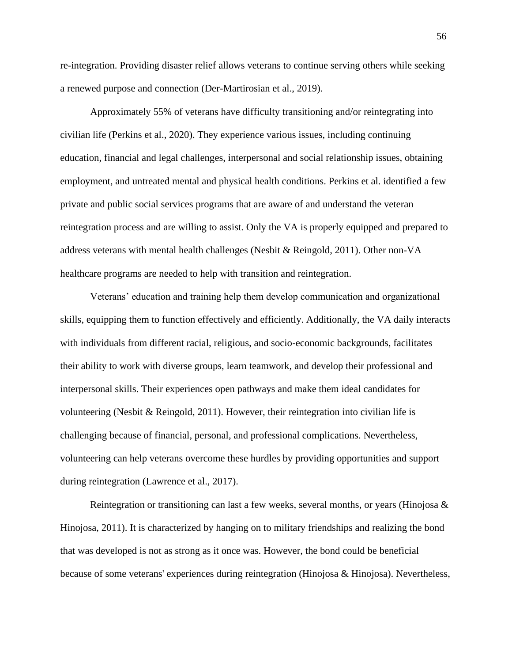re-integration. Providing disaster relief allows veterans to continue serving others while seeking a renewed purpose and connection (Der-Martirosian et al., 2019).

Approximately 55% of veterans have difficulty transitioning and/or reintegrating into civilian life (Perkins et al., 2020). They experience various issues, including continuing education, financial and legal challenges, interpersonal and social relationship issues, obtaining employment, and untreated mental and physical health conditions. Perkins et al. identified a few private and public social services programs that are aware of and understand the veteran reintegration process and are willing to assist. Only the VA is properly equipped and prepared to address veterans with mental health challenges (Nesbit & Reingold, 2011). Other non-VA healthcare programs are needed to help with transition and reintegration.

Veterans' education and training help them develop communication and organizational skills, equipping them to function effectively and efficiently. Additionally, the VA daily interacts with individuals from different racial, religious, and socio-economic backgrounds, facilitates their ability to work with diverse groups, learn teamwork, and develop their professional and interpersonal skills. Their experiences open pathways and make them ideal candidates for volunteering (Nesbit & Reingold, 2011). However, their reintegration into civilian life is challenging because of financial, personal, and professional complications. Nevertheless, volunteering can help veterans overcome these hurdles by providing opportunities and support during reintegration (Lawrence et al., 2017).

Reintegration or transitioning can last a few weeks, several months, or years (Hinojosa & Hinojosa, 2011). It is characterized by hanging on to military friendships and realizing the bond that was developed is not as strong as it once was. However, the bond could be beneficial because of some veterans' experiences during reintegration (Hinojosa & Hinojosa). Nevertheless,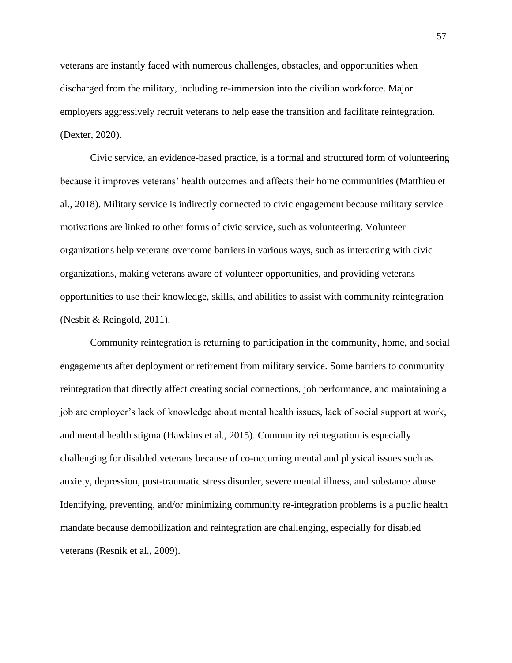veterans are instantly faced with numerous challenges, obstacles, and opportunities when discharged from the military, including re-immersion into the civilian workforce. Major employers aggressively recruit veterans to help ease the transition and facilitate reintegration. (Dexter, 2020).

Civic service, an evidence-based practice, is a formal and structured form of volunteering because it improves veterans' health outcomes and affects their home communities (Matthieu et al., 2018). Military service is indirectly connected to civic engagement because military service motivations are linked to other forms of civic service, such as volunteering. Volunteer organizations help veterans overcome barriers in various ways, such as interacting with civic organizations, making veterans aware of volunteer opportunities, and providing veterans opportunities to use their knowledge, skills, and abilities to assist with community reintegration (Nesbit & Reingold, 2011).

Community reintegration is returning to participation in the community, home, and social engagements after deployment or retirement from military service. Some barriers to community reintegration that directly affect creating social connections, job performance, and maintaining a job are employer's lack of knowledge about mental health issues, lack of social support at work, and mental health stigma (Hawkins et al., 2015). Community reintegration is especially challenging for disabled veterans because of co-occurring mental and physical issues such as anxiety, depression, post-traumatic stress disorder, severe mental illness, and substance abuse. Identifying, preventing, and/or minimizing community re-integration problems is a public health mandate because demobilization and reintegration are challenging, especially for disabled veterans (Resnik et al., 2009).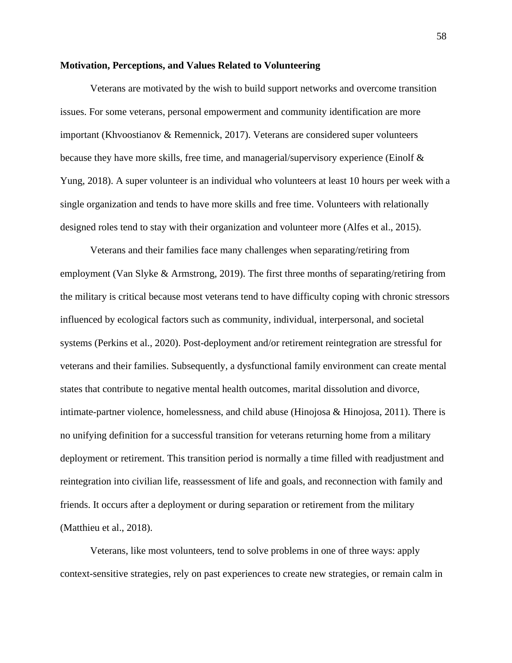#### **Motivation, Perceptions, and Values Related to Volunteering**

Veterans are motivated by the wish to build support networks and overcome transition issues. For some veterans, personal empowerment and community identification are more important (Khvoostianov & Remennick, 2017). Veterans are considered super volunteers because they have more skills, free time, and managerial/supervisory experience (Einolf & Yung, 2018). A super volunteer is an individual who volunteers at least 10 hours per week with a single organization and tends to have more skills and free time. Volunteers with relationally designed roles tend to stay with their organization and volunteer more (Alfes et al., 2015).

Veterans and their families face many challenges when separating/retiring from employment (Van Slyke & Armstrong, 2019). The first three months of separating/retiring from the military is critical because most veterans tend to have difficulty coping with chronic stressors influenced by ecological factors such as community, individual, interpersonal, and societal systems (Perkins et al., 2020). Post-deployment and/or retirement reintegration are stressful for veterans and their families. Subsequently, a dysfunctional family environment can create mental states that contribute to negative mental health outcomes, marital dissolution and divorce, intimate-partner violence, homelessness, and child abuse (Hinojosa & Hinojosa, 2011). There is no unifying definition for a successful transition for veterans returning home from a military deployment or retirement. This transition period is normally a time filled with readjustment and reintegration into civilian life, reassessment of life and goals, and reconnection with family and friends. It occurs after a deployment or during separation or retirement from the military (Matthieu et al., 2018).

Veterans, like most volunteers, tend to solve problems in one of three ways: apply context-sensitive strategies, rely on past experiences to create new strategies, or remain calm in

58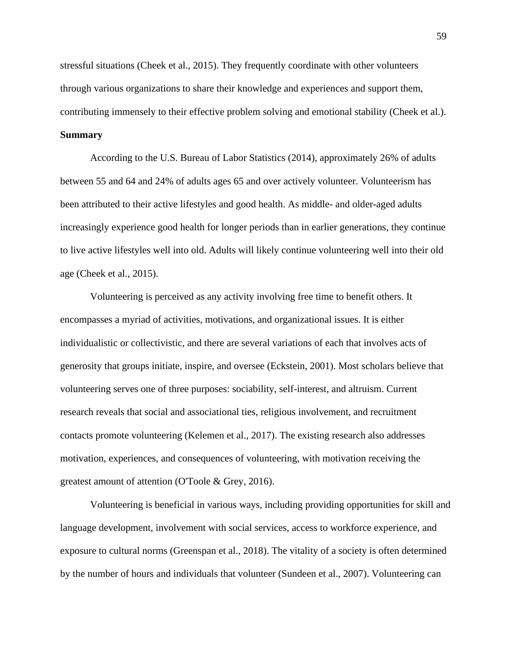stressful situations (Cheek et al., 2015). They frequently coordinate with other volunteers through various organizations to share their knowledge and experiences and support them, contributing immensely to their effective problem solving and emotional stability (Cheek et al.). **Summary**

According to the U.S. Bureau of Labor Statistics (2014), approximately 26% of adults between 55 and 64 and 24% of adults ages 65 and over actively volunteer. Volunteerism has been attributed to their active lifestyles and good health. As middle- and older-aged adults increasingly experience good health for longer periods than in earlier generations, they continue to live active lifestyles well into old. Adults will likely continue volunteering well into their old age (Cheek et al., 2015).

Volunteering is perceived as any activity involving free time to benefit others. It encompasses a myriad of activities, motivations, and organizational issues. It is either individualistic or collectivistic, and there are several variations of each that involves acts of generosity that groups initiate, inspire, and oversee (Eckstein, 2001). Most scholars believe that volunteering serves one of three purposes: sociability, self-interest, and altruism. Current research reveals that social and associational ties, religious involvement, and recruitment contacts promote volunteering (Kelemen et al., 2017). The existing research also addresses motivation, experiences, and consequences of volunteering, with motivation receiving the greatest amount of attention (O'Toole & Grey, 2016).

Volunteering is beneficial in various ways, including providing opportunities for skill and language development, involvement with social services, access to workforce experience, and exposure to cultural norms (Greenspan et al., 2018). The vitality of a society is often determined by the number of hours and individuals that volunteer (Sundeen et al., 2007). Volunteering can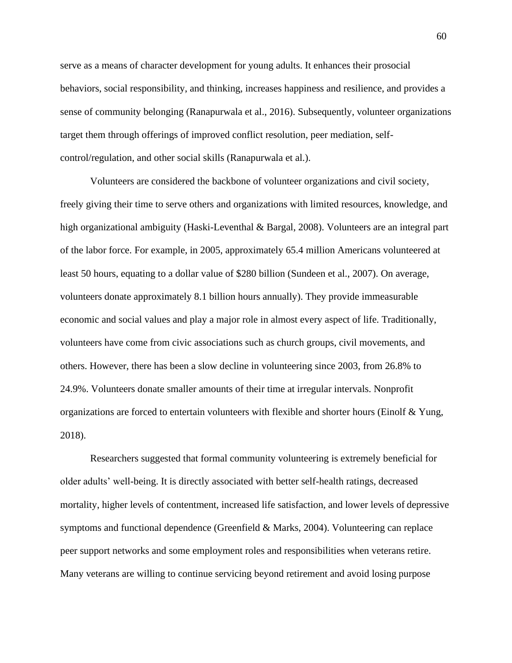serve as a means of character development for young adults. It enhances their prosocial behaviors, social responsibility, and thinking, increases happiness and resilience, and provides a sense of community belonging (Ranapurwala et al., 2016). Subsequently, volunteer organizations target them through offerings of improved conflict resolution, peer mediation, selfcontrol/regulation, and other social skills (Ranapurwala et al.).

Volunteers are considered the backbone of volunteer organizations and civil society, freely giving their time to serve others and organizations with limited resources, knowledge, and high organizational ambiguity (Haski-Leventhal & Bargal, 2008). Volunteers are an integral part of the labor force. For example, in 2005, approximately 65.4 million Americans volunteered at least 50 hours, equating to a dollar value of \$280 billion (Sundeen et al., 2007). On average, volunteers donate approximately 8.1 billion hours annually). They provide immeasurable economic and social values and play a major role in almost every aspect of life. Traditionally, volunteers have come from civic associations such as church groups, civil movements, and others. However, there has been a slow decline in volunteering since 2003, from 26.8% to 24.9%. Volunteers donate smaller amounts of their time at irregular intervals. Nonprofit organizations are forced to entertain volunteers with flexible and shorter hours (Einolf & Yung, 2018).

Researchers suggested that formal community volunteering is extremely beneficial for older adults' well-being. It is directly associated with better self-health ratings, decreased mortality, higher levels of contentment, increased life satisfaction, and lower levels of depressive symptoms and functional dependence (Greenfield  $\&$  Marks, 2004). Volunteering can replace peer support networks and some employment roles and responsibilities when veterans retire. Many veterans are willing to continue servicing beyond retirement and avoid losing purpose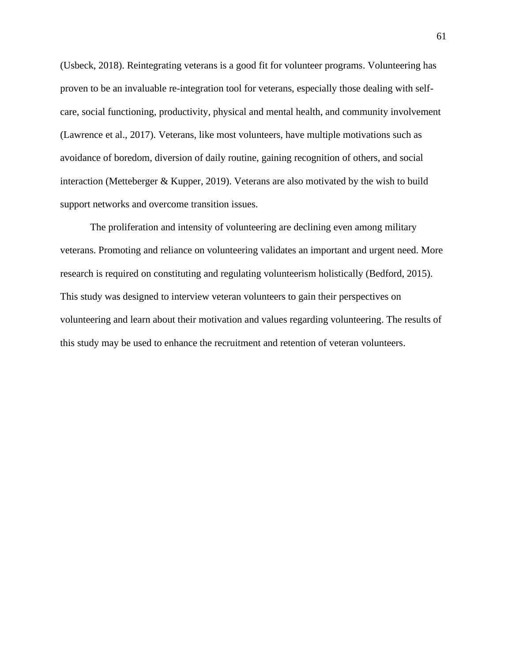(Usbeck, 2018). Reintegrating veterans is a good fit for volunteer programs. Volunteering has proven to be an invaluable re-integration tool for veterans, especially those dealing with selfcare, social functioning, productivity, physical and mental health, and community involvement (Lawrence et al., 2017). Veterans, like most volunteers, have multiple motivations such as avoidance of boredom, diversion of daily routine, gaining recognition of others, and social interaction (Metteberger & Kupper, 2019). Veterans are also motivated by the wish to build support networks and overcome transition issues.

The proliferation and intensity of volunteering are declining even among military veterans. Promoting and reliance on volunteering validates an important and urgent need. More research is required on constituting and regulating volunteerism holistically (Bedford, 2015). This study was designed to interview veteran volunteers to gain their perspectives on volunteering and learn about their motivation and values regarding volunteering. The results of this study may be used to enhance the recruitment and retention of veteran volunteers.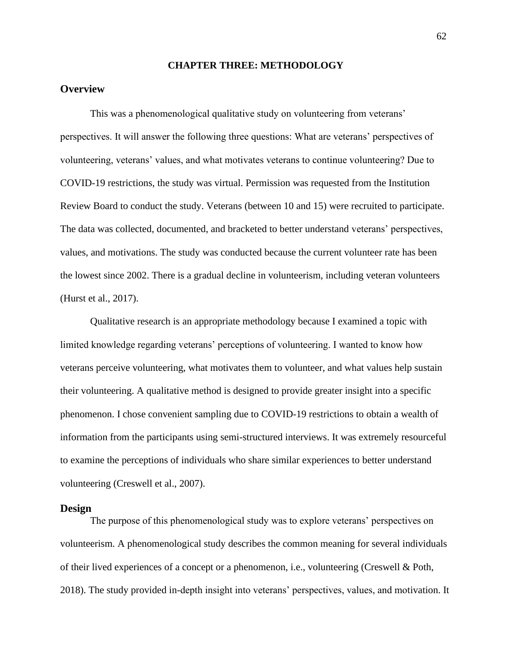### **CHAPTER THREE: METHODOLOGY**

# **Overview**

This was a phenomenological qualitative study on volunteering from veterans' perspectives. It will answer the following three questions: What are veterans' perspectives of volunteering, veterans' values, and what motivates veterans to continue volunteering? Due to COVID-19 restrictions, the study was virtual. Permission was requested from the Institution Review Board to conduct the study. Veterans (between 10 and 15) were recruited to participate. The data was collected, documented, and bracketed to better understand veterans' perspectives, values, and motivations. The study was conducted because the current volunteer rate has been the lowest since 2002. There is a gradual decline in volunteerism, including veteran volunteers (Hurst et al., 2017).

Qualitative research is an appropriate methodology because I examined a topic with limited knowledge regarding veterans' perceptions of volunteering. I wanted to know how veterans perceive volunteering, what motivates them to volunteer, and what values help sustain their volunteering. A qualitative method is designed to provide greater insight into a specific phenomenon. I chose convenient sampling due to COVID-19 restrictions to obtain a wealth of information from the participants using semi-structured interviews. It was extremely resourceful to examine the perceptions of individuals who share similar experiences to better understand volunteering (Creswell et al., 2007).

#### **Design**

The purpose of this phenomenological study was to explore veterans' perspectives on volunteerism. A phenomenological study describes the common meaning for several individuals of their lived experiences of a concept or a phenomenon, i.e., volunteering (Creswell & Poth, 2018). The study provided in-depth insight into veterans' perspectives, values, and motivation. It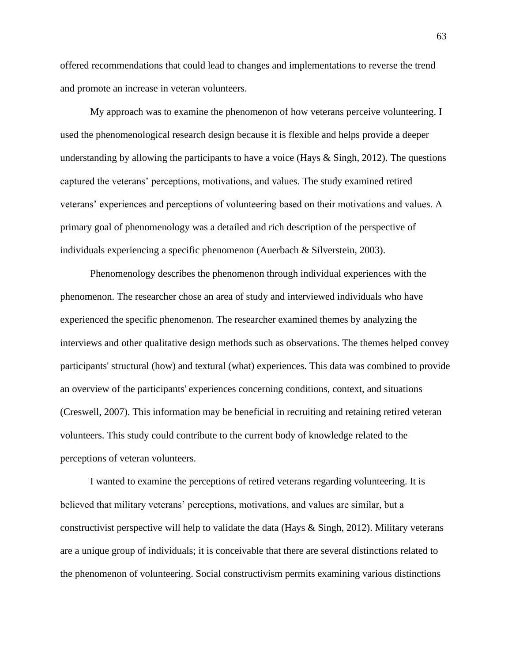offered recommendations that could lead to changes and implementations to reverse the trend and promote an increase in veteran volunteers.

My approach was to examine the phenomenon of how veterans perceive volunteering. I used the phenomenological research design because it is flexible and helps provide a deeper understanding by allowing the participants to have a voice (Hays  $\&$  Singh, 2012). The questions captured the veterans' perceptions, motivations, and values. The study examined retired veterans' experiences and perceptions of volunteering based on their motivations and values. A primary goal of phenomenology was a detailed and rich description of the perspective of individuals experiencing a specific phenomenon (Auerbach & Silverstein, 2003).

Phenomenology describes the phenomenon through individual experiences with the phenomenon. The researcher chose an area of study and interviewed individuals who have experienced the specific phenomenon. The researcher examined themes by analyzing the interviews and other qualitative design methods such as observations. The themes helped convey participants' structural (how) and textural (what) experiences. This data was combined to provide an overview of the participants' experiences concerning conditions, context, and situations (Creswell, 2007). This information may be beneficial in recruiting and retaining retired veteran volunteers. This study could contribute to the current body of knowledge related to the perceptions of veteran volunteers.

I wanted to examine the perceptions of retired veterans regarding volunteering. It is believed that military veterans' perceptions, motivations, and values are similar, but a constructivist perspective will help to validate the data (Hays & Singh, 2012). Military veterans are a unique group of individuals; it is conceivable that there are several distinctions related to the phenomenon of volunteering. Social constructivism permits examining various distinctions

63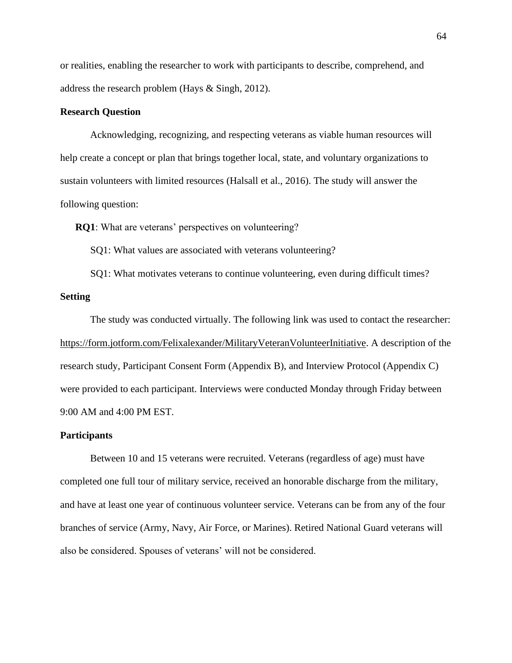or realities, enabling the researcher to work with participants to describe, comprehend, and address the research problem (Hays & Singh, 2012).

# **Research Question**

Acknowledging, recognizing, and respecting veterans as viable human resources will help create a concept or plan that brings together local, state, and voluntary organizations to sustain volunteers with limited resources (Halsall et al., 2016). The study will answer the following question:

**RQ1**: What are veterans' perspectives on volunteering?

SQ1: What values are associated with veterans volunteering?

SQ1: What motivates veterans to continue volunteering, even during difficult times? **Setting**

The study was conducted virtually. The following link was used to contact the researcher: [https://form.jotform.com/Felixalexander/MilitaryVeteranVolunteerInitiative.](https://form.jotform.com/Felixalexander/MilitaryVeteranVolunteerInitiative) A description of the research study, Participant Consent Form (Appendix B), and Interview Protocol (Appendix C) were provided to each participant. Interviews were conducted Monday through Friday between 9:00 AM and 4:00 PM EST.

#### **Participants**

Between 10 and 15 veterans were recruited. Veterans (regardless of age) must have completed one full tour of military service, received an honorable discharge from the military, and have at least one year of continuous volunteer service. Veterans can be from any of the four branches of service (Army, Navy, Air Force, or Marines). Retired National Guard veterans will also be considered. Spouses of veterans' will not be considered.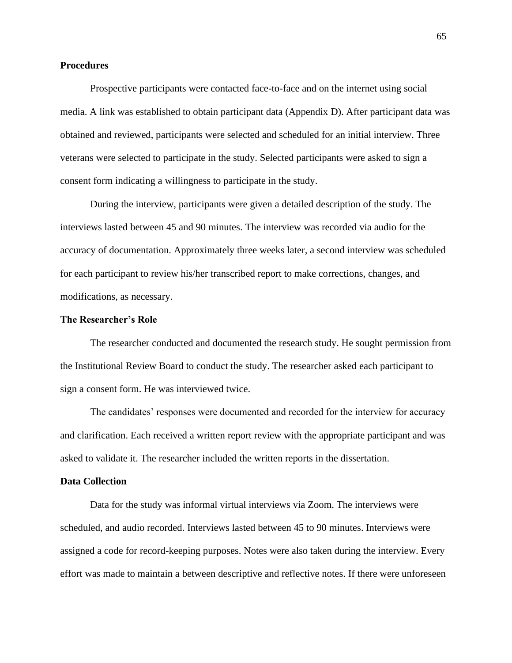### **Procedures**

Prospective participants were contacted face-to-face and on the internet using social media. A link was established to obtain participant data (Appendix D). After participant data was obtained and reviewed, participants were selected and scheduled for an initial interview. Three veterans were selected to participate in the study. Selected participants were asked to sign a consent form indicating a willingness to participate in the study.

During the interview, participants were given a detailed description of the study. The interviews lasted between 45 and 90 minutes. The interview was recorded via audio for the accuracy of documentation. Approximately three weeks later, a second interview was scheduled for each participant to review his/her transcribed report to make corrections, changes, and modifications, as necessary.

# **The Researcher's Role**

The researcher conducted and documented the research study. He sought permission from the Institutional Review Board to conduct the study. The researcher asked each participant to sign a consent form. He was interviewed twice.

The candidates' responses were documented and recorded for the interview for accuracy and clarification. Each received a written report review with the appropriate participant and was asked to validate it. The researcher included the written reports in the dissertation.

## **Data Collection**

Data for the study was informal virtual interviews via Zoom. The interviews were scheduled, and audio recorded. Interviews lasted between 45 to 90 minutes. Interviews were assigned a code for record-keeping purposes. Notes were also taken during the interview. Every effort was made to maintain a between descriptive and reflective notes. If there were unforeseen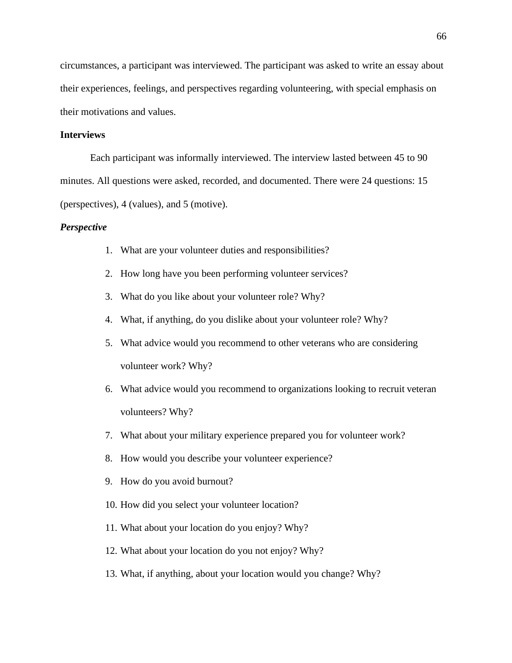circumstances, a participant was interviewed. The participant was asked to write an essay about their experiences, feelings, and perspectives regarding volunteering, with special emphasis on their motivations and values.

# **Interviews**

Each participant was informally interviewed. The interview lasted between 45 to 90 minutes. All questions were asked, recorded, and documented. There were 24 questions: 15 (perspectives), 4 (values), and 5 (motive).

# *Perspective*

- 1. What are your volunteer duties and responsibilities?
- 2. How long have you been performing volunteer services?
- 3. What do you like about your volunteer role? Why?
- 4. What, if anything, do you dislike about your volunteer role? Why?
- 5. What advice would you recommend to other veterans who are considering volunteer work? Why?
- 6. What advice would you recommend to organizations looking to recruit veteran volunteers? Why?
- 7. What about your military experience prepared you for volunteer work?
- 8. How would you describe your volunteer experience?
- 9. How do you avoid burnout?
- 10. How did you select your volunteer location?
- 11. What about your location do you enjoy? Why?
- 12. What about your location do you not enjoy? Why?
- 13. What, if anything, about your location would you change? Why?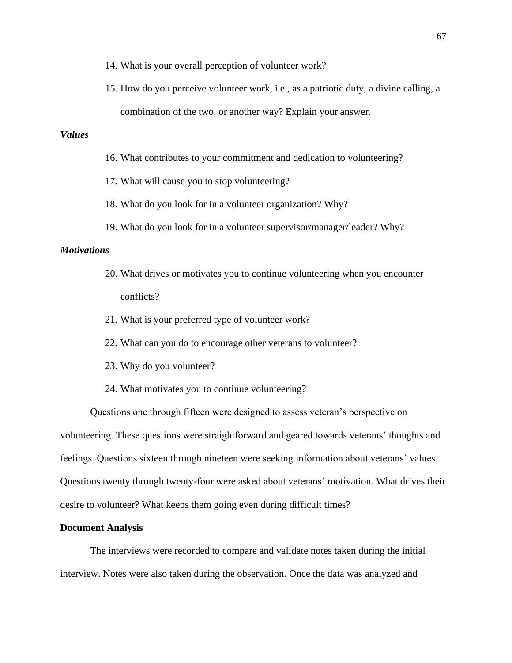- 14. What is your overall perception of volunteer work?
- 15. How do you perceive volunteer work, i.e., as a patriotic duty, a divine calling, a combination of the two, or another way? Explain your answer.

# *Values*

- 16. What contributes to your commitment and dedication to volunteering?
- 17. What will cause you to stop volunteering?
- 18. What do you look for in a volunteer organization? Why?
- 19. What do you look for in a volunteer supervisor/manager/leader? Why?

# *Motivations*

- 20. What drives or motivates you to continue volunteering when you encounter conflicts?
- 21. What is your preferred type of volunteer work?
- 22. What can you do to encourage other veterans to volunteer?
- 23. Why do you volunteer?
- 24. What motivates you to continue volunteering?

Questions one through fifteen were designed to assess veteran's perspective on volunteering. These questions were straightforward and geared towards veterans' thoughts and feelings. Questions sixteen through nineteen were seeking information about veterans' values. Questions twenty through twenty-four were asked about veterans' motivation. What drives their desire to volunteer? What keeps them going even during difficult times?

#### **Document Analysis**

The interviews were recorded to compare and validate notes taken during the initial interview. Notes were also taken during the observation. Once the data was analyzed and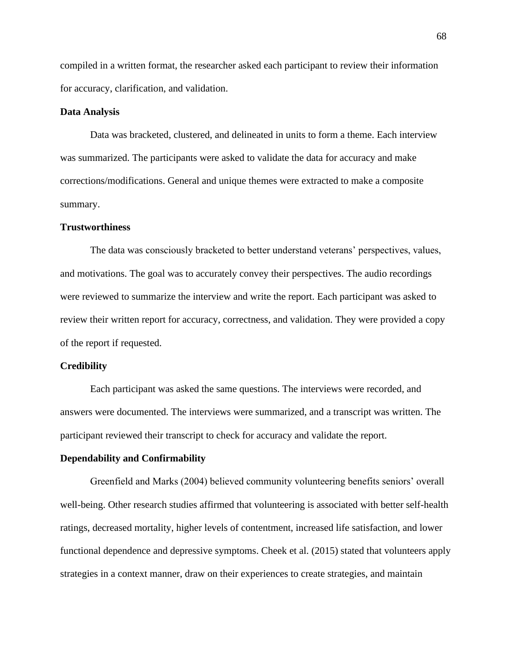compiled in a written format, the researcher asked each participant to review their information for accuracy, clarification, and validation.

#### **Data Analysis**

Data was bracketed, clustered, and delineated in units to form a theme. Each interview was summarized. The participants were asked to validate the data for accuracy and make corrections/modifications. General and unique themes were extracted to make a composite summary.

### **Trustworthiness**

The data was consciously bracketed to better understand veterans' perspectives, values, and motivations. The goal was to accurately convey their perspectives. The audio recordings were reviewed to summarize the interview and write the report. Each participant was asked to review their written report for accuracy, correctness, and validation. They were provided a copy of the report if requested.

### **Credibility**

Each participant was asked the same questions. The interviews were recorded, and answers were documented. The interviews were summarized, and a transcript was written. The participant reviewed their transcript to check for accuracy and validate the report.

### **Dependability and Confirmability**

Greenfield and Marks (2004) believed community volunteering benefits seniors' overall well-being. Other research studies affirmed that volunteering is associated with better self-health ratings, decreased mortality, higher levels of contentment, increased life satisfaction, and lower functional dependence and depressive symptoms. Cheek et al. (2015) stated that volunteers apply strategies in a context manner, draw on their experiences to create strategies, and maintain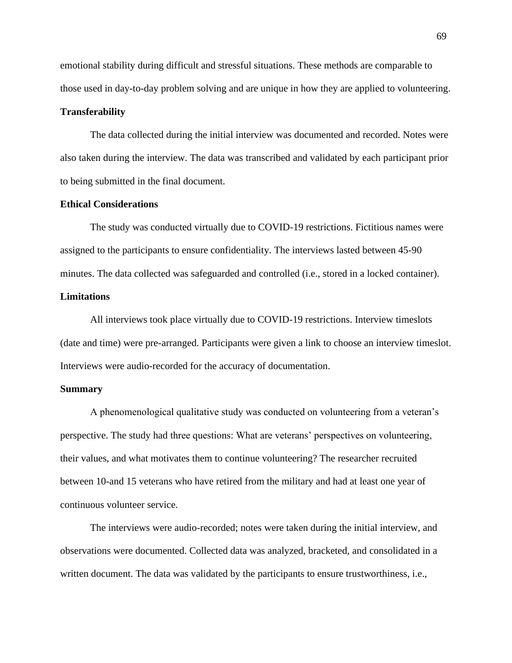emotional stability during difficult and stressful situations. These methods are comparable to those used in day-to-day problem solving and are unique in how they are applied to volunteering.

## **Transferability**

The data collected during the initial interview was documented and recorded. Notes were also taken during the interview. The data was transcribed and validated by each participant prior to being submitted in the final document.

### **Ethical Considerations**

The study was conducted virtually due to COVID-19 restrictions. Fictitious names were assigned to the participants to ensure confidentiality. The interviews lasted between 45-90 minutes. The data collected was safeguarded and controlled (i.e., stored in a locked container).

# **Limitations**

All interviews took place virtually due to COVID-19 restrictions. Interview timeslots (date and time) were pre-arranged. Participants were given a link to choose an interview timeslot. Interviews were audio-recorded for the accuracy of documentation.

### **Summary**

A phenomenological qualitative study was conducted on volunteering from a veteran's perspective. The study had three questions: What are veterans' perspectives on volunteering, their values, and what motivates them to continue volunteering? The researcher recruited between 10-and 15 veterans who have retired from the military and had at least one year of continuous volunteer service.

The interviews were audio-recorded; notes were taken during the initial interview, and observations were documented. Collected data was analyzed, bracketed, and consolidated in a written document. The data was validated by the participants to ensure trustworthiness, i.e.,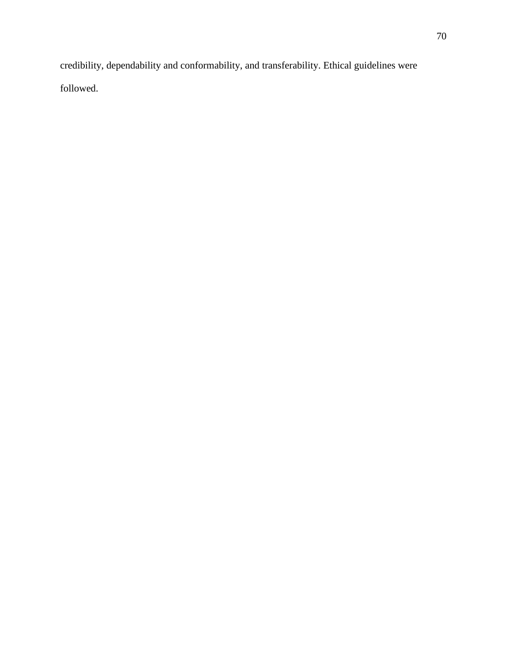credibility, dependability and conformability, and transferability. Ethical guidelines were followed.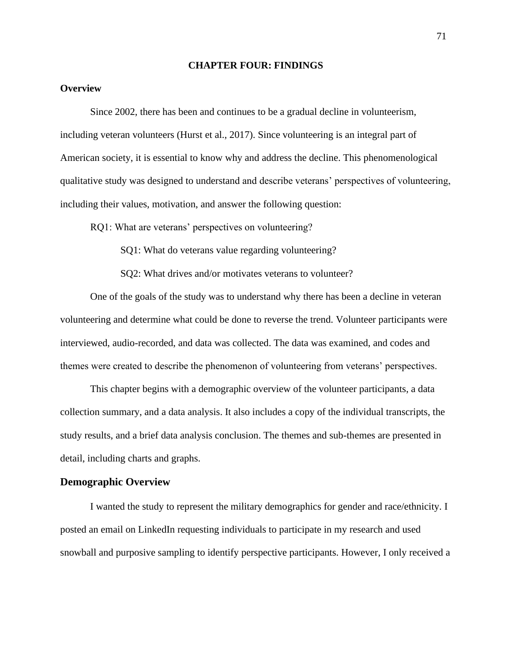#### **CHAPTER FOUR: FINDINGS**

### **Overview**

Since 2002, there has been and continues to be a gradual decline in volunteerism, including veteran volunteers (Hurst et al., 2017). Since volunteering is an integral part of American society, it is essential to know why and address the decline. This phenomenological qualitative study was designed to understand and describe veterans' perspectives of volunteering, including their values, motivation, and answer the following question:

RQ1: What are veterans' perspectives on volunteering?

SQ1: What do veterans value regarding volunteering?

SQ2: What drives and/or motivates veterans to volunteer?

One of the goals of the study was to understand why there has been a decline in veteran volunteering and determine what could be done to reverse the trend. Volunteer participants were interviewed, audio-recorded, and data was collected. The data was examined, and codes and themes were created to describe the phenomenon of volunteering from veterans' perspectives.

This chapter begins with a demographic overview of the volunteer participants, a data collection summary, and a data analysis. It also includes a copy of the individual transcripts, the study results, and a brief data analysis conclusion. The themes and sub-themes are presented in detail, including charts and graphs.

#### **Demographic Overview**

I wanted the study to represent the military demographics for gender and race/ethnicity. I posted an email on LinkedIn requesting individuals to participate in my research and used snowball and purposive sampling to identify perspective participants. However, I only received a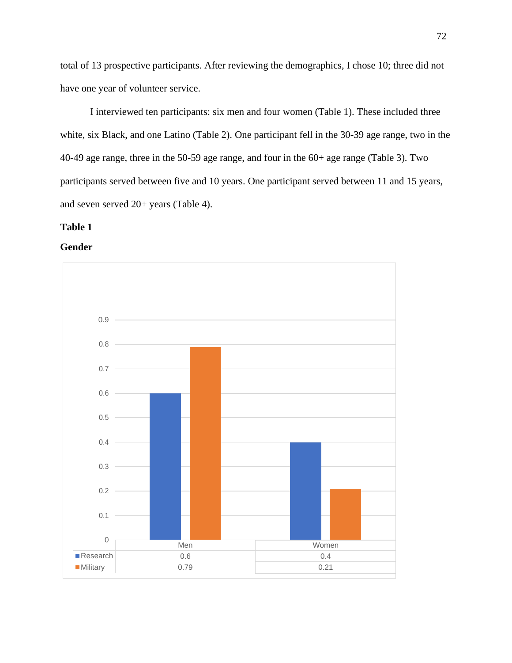total of 13 prospective participants. After reviewing the demographics, I chose 10; three did not have one year of volunteer service.

I interviewed ten participants: six men and four women (Table 1). These included three white, six Black, and one Latino (Table 2). One participant fell in the 30-39 age range, two in the 40-49 age range, three in the 50-59 age range, and four in the 60+ age range (Table 3). Two participants served between five and 10 years. One participant served between 11 and 15 years, and seven served 20+ years (Table 4).

# **Table 1**

**Gender**

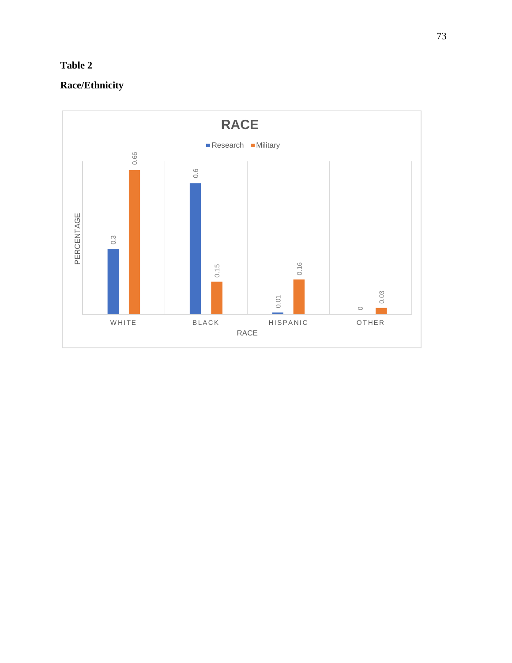# **Table 2**

# **Race/Ethnicity**

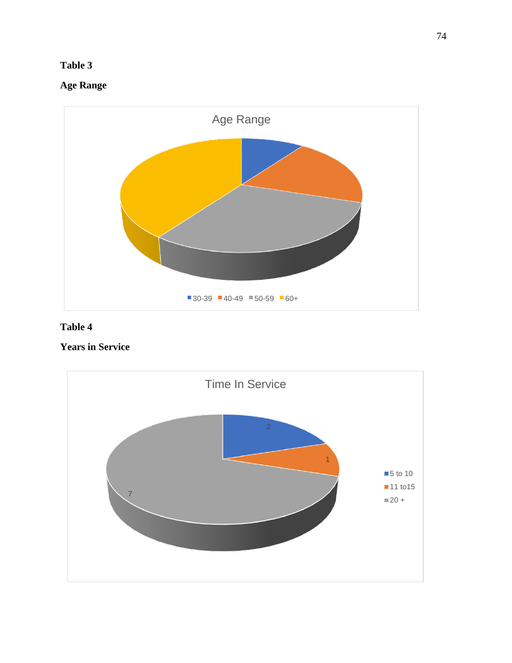## **Table 3**

# **Age Range**



## **Table 4**

# **Years in Service**

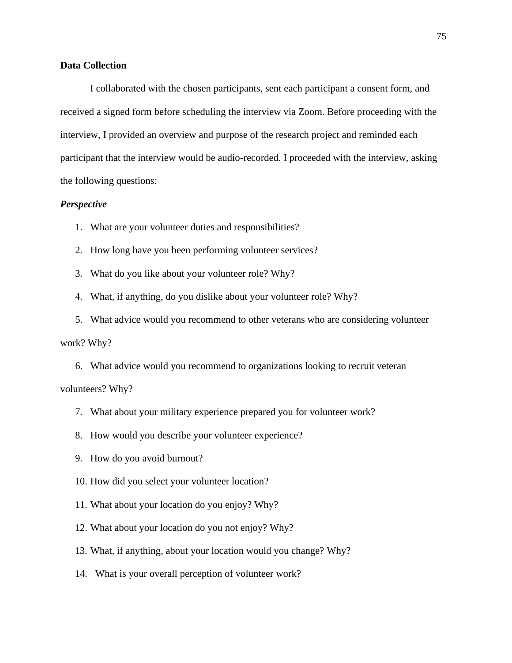## **Data Collection**

I collaborated with the chosen participants, sent each participant a consent form, and received a signed form before scheduling the interview via Zoom. Before proceeding with the interview, I provided an overview and purpose of the research project and reminded each participant that the interview would be audio-recorded. I proceeded with the interview, asking the following questions:

### *Perspective*

- 1. What are your volunteer duties and responsibilities?
- 2. How long have you been performing volunteer services?
- 3. What do you like about your volunteer role? Why?
- 4. What, if anything, do you dislike about your volunteer role? Why?

5. What advice would you recommend to other veterans who are considering volunteer work? Why?

6. What advice would you recommend to organizations looking to recruit veteran volunteers? Why?

- 7. What about your military experience prepared you for volunteer work?
- 8. How would you describe your volunteer experience?
- 9. How do you avoid burnout?
- 10. How did you select your volunteer location?
- 11. What about your location do you enjoy? Why?
- 12. What about your location do you not enjoy? Why?
- 13. What, if anything, about your location would you change? Why?
- 14. What is your overall perception of volunteer work?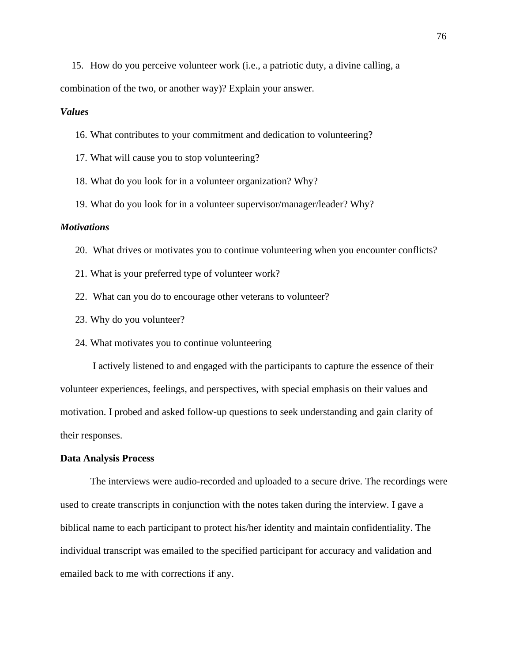15. How do you perceive volunteer work (i.e., a patriotic duty, a divine calling, a combination of the two, or another way)? Explain your answer.

## *Values*

16. What contributes to your commitment and dedication to volunteering?

- 17. What will cause you to stop volunteering?
- 18. What do you look for in a volunteer organization? Why?
- 19. What do you look for in a volunteer supervisor/manager/leader? Why?

#### *Motivations*

- 20. What drives or motivates you to continue volunteering when you encounter conflicts?
- 21. What is your preferred type of volunteer work?
- 22. What can you do to encourage other veterans to volunteer?
- 23. Why do you volunteer?
- 24. What motivates you to continue volunteering

I actively listened to and engaged with the participants to capture the essence of their volunteer experiences, feelings, and perspectives, with special emphasis on their values and motivation. I probed and asked follow-up questions to seek understanding and gain clarity of their responses.

#### **Data Analysis Process**

The interviews were audio-recorded and uploaded to a secure drive. The recordings were used to create transcripts in conjunction with the notes taken during the interview. I gave a biblical name to each participant to protect his/her identity and maintain confidentiality. The individual transcript was emailed to the specified participant for accuracy and validation and emailed back to me with corrections if any.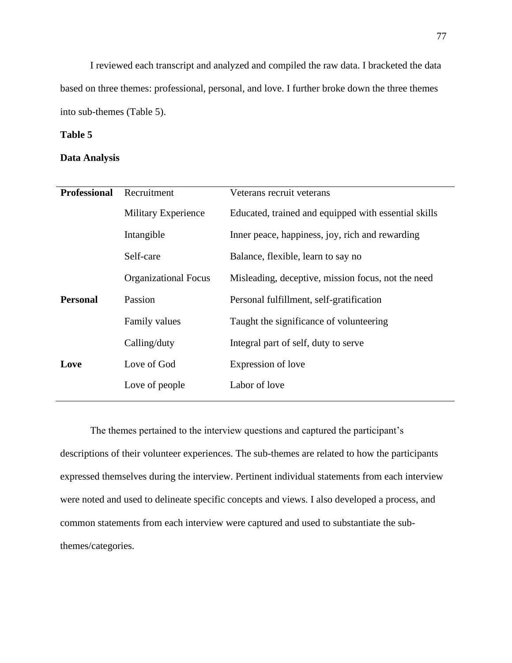I reviewed each transcript and analyzed and compiled the raw data. I bracketed the data based on three themes: professional, personal, and love. I further broke down the three themes into sub-themes (Table 5).

## **Table 5**

## **Data Analysis**

| <b>Professional</b> | Recruitment                 | Veterans recruit veterans                            |
|---------------------|-----------------------------|------------------------------------------------------|
|                     | Military Experience         | Educated, trained and equipped with essential skills |
|                     | Intangible                  | Inner peace, happiness, joy, rich and rewarding      |
|                     | Self-care                   | Balance, flexible, learn to say no                   |
|                     | <b>Organizational Focus</b> | Misleading, deceptive, mission focus, not the need   |
| <b>Personal</b>     | Passion                     | Personal fulfillment, self-gratification             |
|                     | Family values               | Taught the significance of volunteering              |
|                     | Calling/duty                | Integral part of self, duty to serve                 |
| Love                | Love of God                 | Expression of love                                   |
|                     | Love of people              | Labor of love                                        |
|                     |                             |                                                      |

The themes pertained to the interview questions and captured the participant's descriptions of their volunteer experiences. The sub-themes are related to how the participants expressed themselves during the interview. Pertinent individual statements from each interview were noted and used to delineate specific concepts and views. I also developed a process, and common statements from each interview were captured and used to substantiate the subthemes/categories.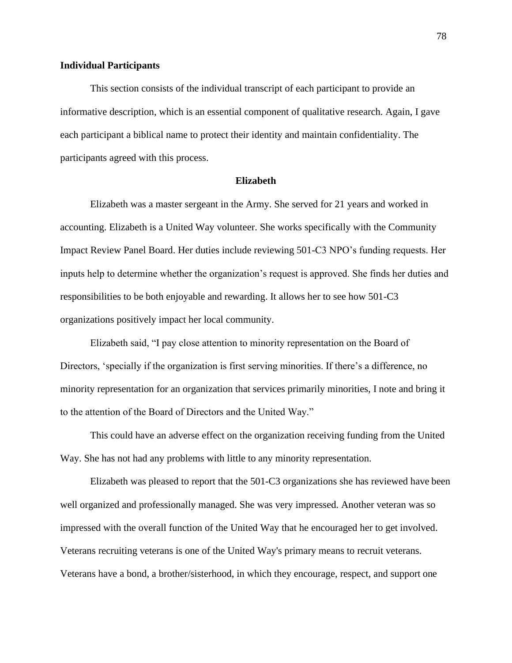#### **Individual Participants**

This section consists of the individual transcript of each participant to provide an informative description, which is an essential component of qualitative research. Again, I gave each participant a biblical name to protect their identity and maintain confidentiality. The participants agreed with this process.

### **Elizabeth**

Elizabeth was a master sergeant in the Army. She served for 21 years and worked in accounting. Elizabeth is a United Way volunteer. She works specifically with the Community Impact Review Panel Board. Her duties include reviewing 501-C3 NPO's funding requests. Her inputs help to determine whether the organization's request is approved. She finds her duties and responsibilities to be both enjoyable and rewarding. It allows her to see how 501-C3 organizations positively impact her local community.

Elizabeth said, "I pay close attention to minority representation on the Board of Directors, 'specially if the organization is first serving minorities. If there's a difference, no minority representation for an organization that services primarily minorities, I note and bring it to the attention of the Board of Directors and the United Way."

This could have an adverse effect on the organization receiving funding from the United Way. She has not had any problems with little to any minority representation.

Elizabeth was pleased to report that the 501-C3 organizations she has reviewed have been well organized and professionally managed. She was very impressed. Another veteran was so impressed with the overall function of the United Way that he encouraged her to get involved. Veterans recruiting veterans is one of the United Way's primary means to recruit veterans. Veterans have a bond, a brother/sisterhood, in which they encourage, respect, and support one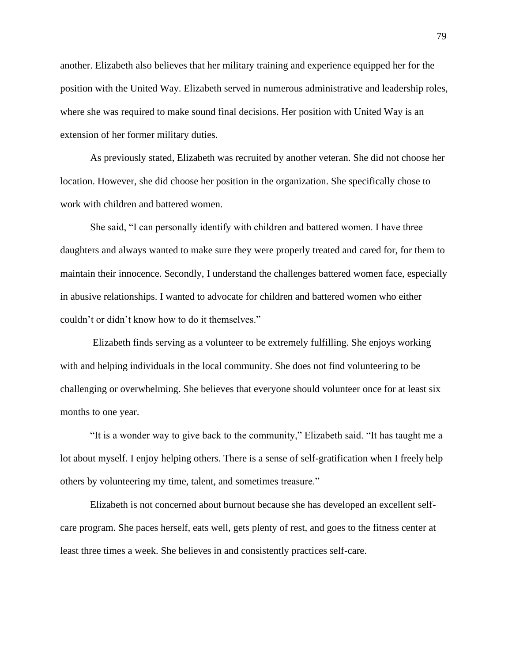another. Elizabeth also believes that her military training and experience equipped her for the position with the United Way. Elizabeth served in numerous administrative and leadership roles, where she was required to make sound final decisions. Her position with United Way is an extension of her former military duties.

As previously stated, Elizabeth was recruited by another veteran. She did not choose her location. However, she did choose her position in the organization. She specifically chose to work with children and battered women.

She said, "I can personally identify with children and battered women. I have three daughters and always wanted to make sure they were properly treated and cared for, for them to maintain their innocence. Secondly, I understand the challenges battered women face, especially in abusive relationships. I wanted to advocate for children and battered women who either couldn't or didn't know how to do it themselves."

Elizabeth finds serving as a volunteer to be extremely fulfilling. She enjoys working with and helping individuals in the local community. She does not find volunteering to be challenging or overwhelming. She believes that everyone should volunteer once for at least six months to one year.

"It is a wonder way to give back to the community," Elizabeth said. "It has taught me a lot about myself. I enjoy helping others. There is a sense of self-gratification when I freely help others by volunteering my time, talent, and sometimes treasure."

Elizabeth is not concerned about burnout because she has developed an excellent selfcare program. She paces herself, eats well, gets plenty of rest, and goes to the fitness center at least three times a week. She believes in and consistently practices self-care.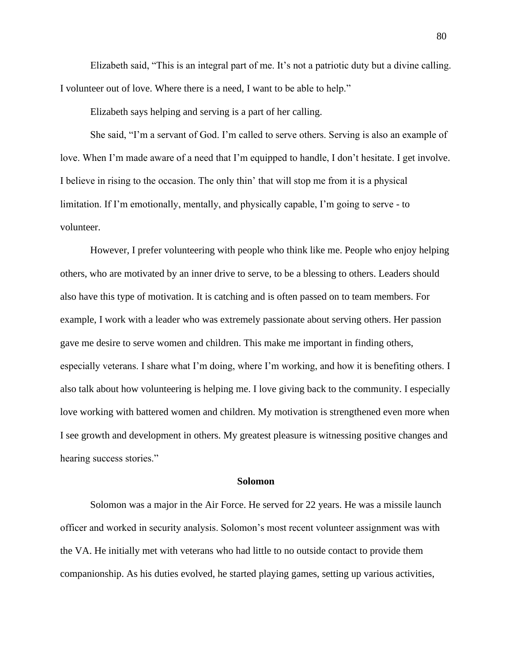Elizabeth said, "This is an integral part of me. It's not a patriotic duty but a divine calling. I volunteer out of love. Where there is a need, I want to be able to help."

Elizabeth says helping and serving is a part of her calling.

She said, "I'm a servant of God. I'm called to serve others. Serving is also an example of love. When I'm made aware of a need that I'm equipped to handle, I don't hesitate. I get involve. I believe in rising to the occasion. The only thin' that will stop me from it is a physical limitation. If I'm emotionally, mentally, and physically capable, I'm going to serve - to volunteer.

However, I prefer volunteering with people who think like me. People who enjoy helping others, who are motivated by an inner drive to serve, to be a blessing to others. Leaders should also have this type of motivation. It is catching and is often passed on to team members. For example, I work with a leader who was extremely passionate about serving others. Her passion gave me desire to serve women and children. This make me important in finding others, especially veterans. I share what I'm doing, where I'm working, and how it is benefiting others. I also talk about how volunteering is helping me. I love giving back to the community. I especially love working with battered women and children. My motivation is strengthened even more when I see growth and development in others. My greatest pleasure is witnessing positive changes and hearing success stories."

#### **Solomon**

Solomon was a major in the Air Force. He served for 22 years. He was a missile launch officer and worked in security analysis. Solomon's most recent volunteer assignment was with the VA. He initially met with veterans who had little to no outside contact to provide them companionship. As his duties evolved, he started playing games, setting up various activities,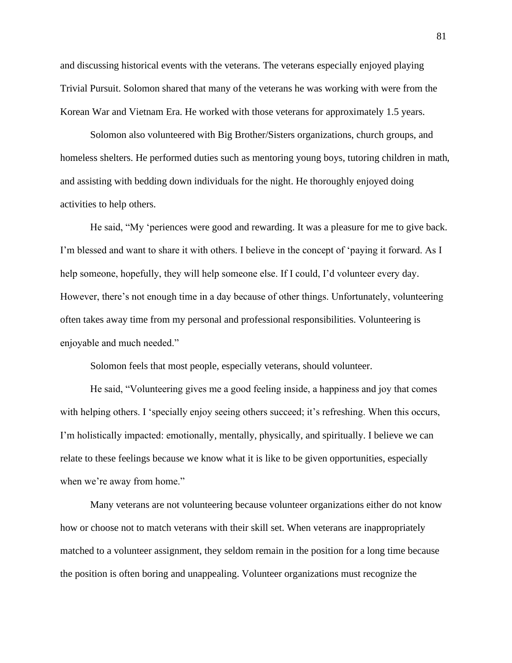and discussing historical events with the veterans. The veterans especially enjoyed playing Trivial Pursuit. Solomon shared that many of the veterans he was working with were from the Korean War and Vietnam Era. He worked with those veterans for approximately 1.5 years.

Solomon also volunteered with Big Brother/Sisters organizations, church groups, and homeless shelters. He performed duties such as mentoring young boys, tutoring children in math, and assisting with bedding down individuals for the night. He thoroughly enjoyed doing activities to help others.

He said, "My 'periences were good and rewarding. It was a pleasure for me to give back. I'm blessed and want to share it with others. I believe in the concept of 'paying it forward. As I help someone, hopefully, they will help someone else. If I could, I'd volunteer every day. However, there's not enough time in a day because of other things. Unfortunately, volunteering often takes away time from my personal and professional responsibilities. Volunteering is enjoyable and much needed."

Solomon feels that most people, especially veterans, should volunteer.

He said, "Volunteering gives me a good feeling inside, a happiness and joy that comes with helping others. I 'specially enjoy seeing others succeed; it's refreshing. When this occurs, I'm holistically impacted: emotionally, mentally, physically, and spiritually. I believe we can relate to these feelings because we know what it is like to be given opportunities, especially when we're away from home."

Many veterans are not volunteering because volunteer organizations either do not know how or choose not to match veterans with their skill set. When veterans are inappropriately matched to a volunteer assignment, they seldom remain in the position for a long time because the position is often boring and unappealing. Volunteer organizations must recognize the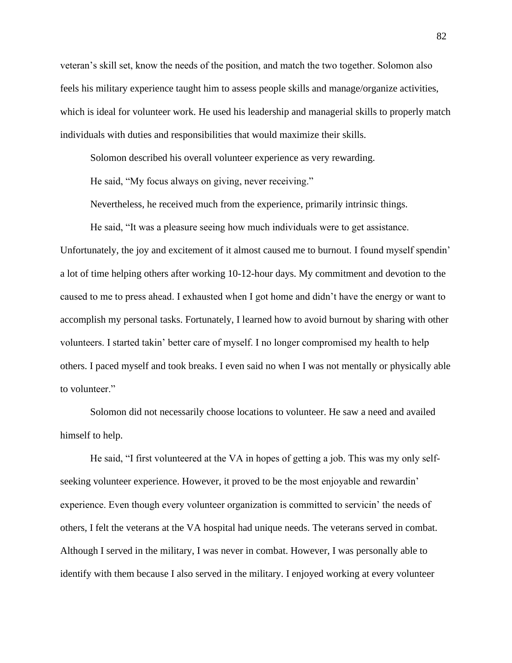veteran's skill set, know the needs of the position, and match the two together. Solomon also feels his military experience taught him to assess people skills and manage/organize activities, which is ideal for volunteer work. He used his leadership and managerial skills to properly match individuals with duties and responsibilities that would maximize their skills.

Solomon described his overall volunteer experience as very rewarding.

He said, "My focus always on giving, never receiving."

Nevertheless, he received much from the experience, primarily intrinsic things.

He said, "It was a pleasure seeing how much individuals were to get assistance. Unfortunately, the joy and excitement of it almost caused me to burnout. I found myself spendin' a lot of time helping others after working 10-12-hour days. My commitment and devotion to the caused to me to press ahead. I exhausted when I got home and didn't have the energy or want to accomplish my personal tasks. Fortunately, I learned how to avoid burnout by sharing with other volunteers. I started takin' better care of myself. I no longer compromised my health to help others. I paced myself and took breaks. I even said no when I was not mentally or physically able to volunteer."

Solomon did not necessarily choose locations to volunteer. He saw a need and availed himself to help.

He said, "I first volunteered at the VA in hopes of getting a job. This was my only selfseeking volunteer experience. However, it proved to be the most enjoyable and rewardin' experience. Even though every volunteer organization is committed to servicin' the needs of others, I felt the veterans at the VA hospital had unique needs. The veterans served in combat. Although I served in the military, I was never in combat. However, I was personally able to identify with them because I also served in the military. I enjoyed working at every volunteer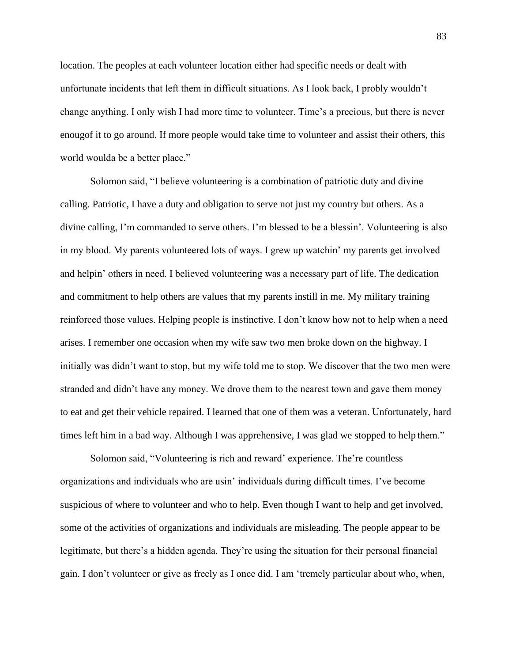location. The peoples at each volunteer location either had specific needs or dealt with unfortunate incidents that left them in difficult situations. As I look back, I probly wouldn't change anything. I only wish I had more time to volunteer. Time's a precious, but there is never enougof it to go around. If more people would take time to volunteer and assist their others, this world woulda be a better place."

Solomon said, "I believe volunteering is a combination of patriotic duty and divine calling. Patriotic, I have a duty and obligation to serve not just my country but others. As a divine calling, I'm commanded to serve others. I'm blessed to be a blessin'. Volunteering is also in my blood. My parents volunteered lots of ways. I grew up watchin' my parents get involved and helpin' others in need. I believed volunteering was a necessary part of life. The dedication and commitment to help others are values that my parents instill in me. My military training reinforced those values. Helping people is instinctive. I don't know how not to help when a need arises. I remember one occasion when my wife saw two men broke down on the highway. I initially was didn't want to stop, but my wife told me to stop. We discover that the two men were stranded and didn't have any money. We drove them to the nearest town and gave them money to eat and get their vehicle repaired. I learned that one of them was a veteran. Unfortunately, hard times left him in a bad way. Although I was apprehensive, I was glad we stopped to help them."

Solomon said, "Volunteering is rich and reward' experience. The're countless organizations and individuals who are usin' individuals during difficult times. I've become suspicious of where to volunteer and who to help. Even though I want to help and get involved, some of the activities of organizations and individuals are misleading. The people appear to be legitimate, but there's a hidden agenda. They're using the situation for their personal financial gain. I don't volunteer or give as freely as I once did. I am 'tremely particular about who, when,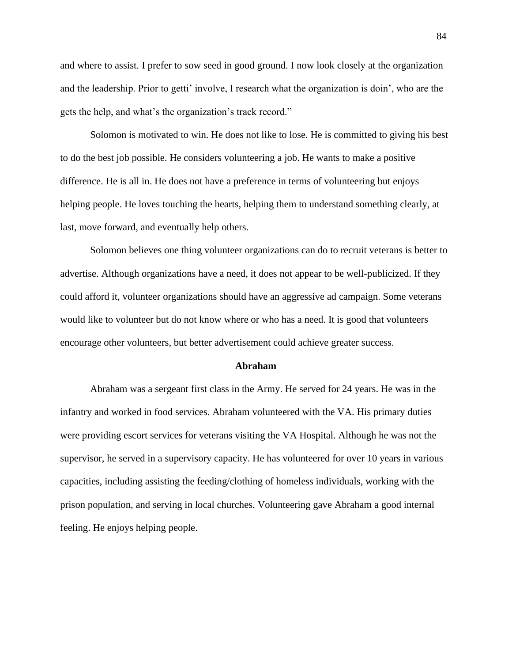and where to assist. I prefer to sow seed in good ground. I now look closely at the organization and the leadership. Prior to getti' involve, I research what the organization is doin', who are the gets the help, and what's the organization's track record."

Solomon is motivated to win. He does not like to lose. He is committed to giving his best to do the best job possible. He considers volunteering a job. He wants to make a positive difference. He is all in. He does not have a preference in terms of volunteering but enjoys helping people. He loves touching the hearts, helping them to understand something clearly, at last, move forward, and eventually help others.

Solomon believes one thing volunteer organizations can do to recruit veterans is better to advertise. Although organizations have a need, it does not appear to be well-publicized. If they could afford it, volunteer organizations should have an aggressive ad campaign. Some veterans would like to volunteer but do not know where or who has a need. It is good that volunteers encourage other volunteers, but better advertisement could achieve greater success.

#### **Abraham**

Abraham was a sergeant first class in the Army. He served for 24 years. He was in the infantry and worked in food services. Abraham volunteered with the VA. His primary duties were providing escort services for veterans visiting the VA Hospital. Although he was not the supervisor, he served in a supervisory capacity. He has volunteered for over 10 years in various capacities, including assisting the feeding/clothing of homeless individuals, working with the prison population, and serving in local churches. Volunteering gave Abraham a good internal feeling. He enjoys helping people.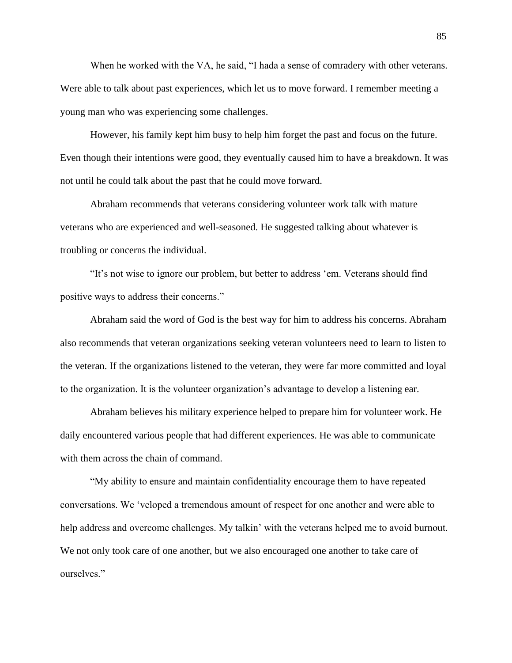When he worked with the VA, he said, "I hada a sense of comradery with other veterans. Were able to talk about past experiences, which let us to move forward. I remember meeting a young man who was experiencing some challenges.

However, his family kept him busy to help him forget the past and focus on the future. Even though their intentions were good, they eventually caused him to have a breakdown. It was not until he could talk about the past that he could move forward.

Abraham recommends that veterans considering volunteer work talk with mature veterans who are experienced and well-seasoned. He suggested talking about whatever is troubling or concerns the individual.

"It's not wise to ignore our problem, but better to address 'em. Veterans should find positive ways to address their concerns."

Abraham said the word of God is the best way for him to address his concerns. Abraham also recommends that veteran organizations seeking veteran volunteers need to learn to listen to the veteran. If the organizations listened to the veteran, they were far more committed and loyal to the organization. It is the volunteer organization's advantage to develop a listening ear.

Abraham believes his military experience helped to prepare him for volunteer work. He daily encountered various people that had different experiences. He was able to communicate with them across the chain of command.

"My ability to ensure and maintain confidentiality encourage them to have repeated conversations. We 'veloped a tremendous amount of respect for one another and were able to help address and overcome challenges. My talkin' with the veterans helped me to avoid burnout. We not only took care of one another, but we also encouraged one another to take care of ourselves."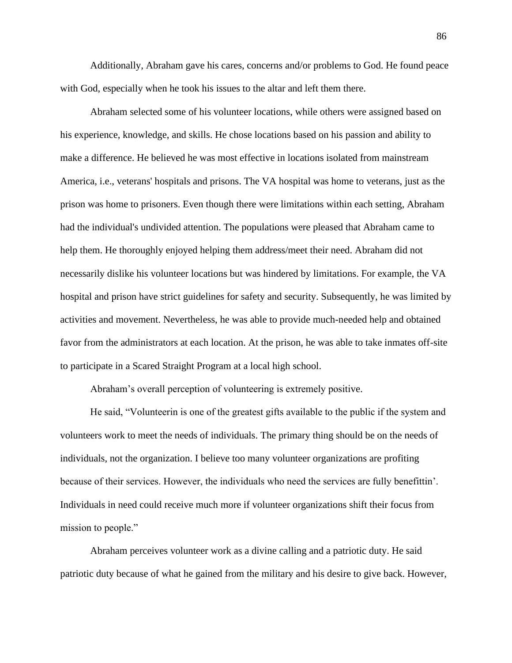Additionally, Abraham gave his cares, concerns and/or problems to God. He found peace with God, especially when he took his issues to the altar and left them there.

Abraham selected some of his volunteer locations, while others were assigned based on his experience, knowledge, and skills. He chose locations based on his passion and ability to make a difference. He believed he was most effective in locations isolated from mainstream America, i.e., veterans' hospitals and prisons. The VA hospital was home to veterans, just as the prison was home to prisoners. Even though there were limitations within each setting, Abraham had the individual's undivided attention. The populations were pleased that Abraham came to help them. He thoroughly enjoyed helping them address/meet their need. Abraham did not necessarily dislike his volunteer locations but was hindered by limitations. For example, the VA hospital and prison have strict guidelines for safety and security. Subsequently, he was limited by activities and movement. Nevertheless, he was able to provide much-needed help and obtained favor from the administrators at each location. At the prison, he was able to take inmates off-site to participate in a Scared Straight Program at a local high school.

Abraham's overall perception of volunteering is extremely positive.

He said, "Volunteerin is one of the greatest gifts available to the public if the system and volunteers work to meet the needs of individuals. The primary thing should be on the needs of individuals, not the organization. I believe too many volunteer organizations are profiting because of their services. However, the individuals who need the services are fully benefittin'. Individuals in need could receive much more if volunteer organizations shift their focus from mission to people."

Abraham perceives volunteer work as a divine calling and a patriotic duty. He said patriotic duty because of what he gained from the military and his desire to give back. However,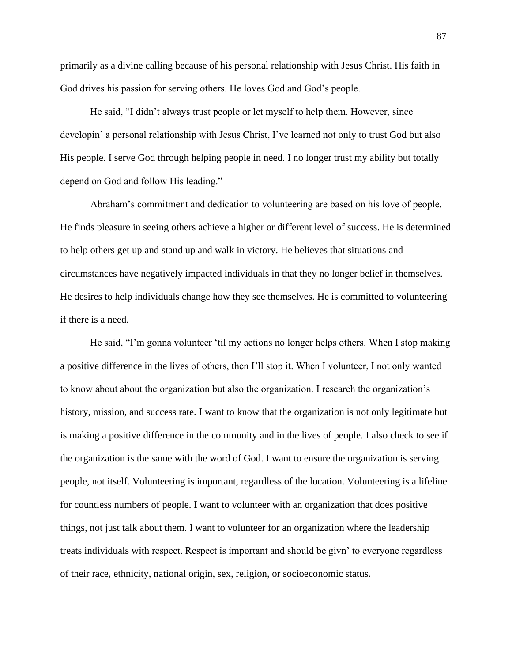primarily as a divine calling because of his personal relationship with Jesus Christ. His faith in God drives his passion for serving others. He loves God and God's people.

He said, "I didn't always trust people or let myself to help them. However, since developin' a personal relationship with Jesus Christ, I've learned not only to trust God but also His people. I serve God through helping people in need. I no longer trust my ability but totally depend on God and follow His leading."

Abraham's commitment and dedication to volunteering are based on his love of people. He finds pleasure in seeing others achieve a higher or different level of success. He is determined to help others get up and stand up and walk in victory. He believes that situations and circumstances have negatively impacted individuals in that they no longer belief in themselves. He desires to help individuals change how they see themselves. He is committed to volunteering if there is a need.

He said, "I'm gonna volunteer 'til my actions no longer helps others. When I stop making a positive difference in the lives of others, then I'll stop it. When I volunteer, I not only wanted to know about about the organization but also the organization. I research the organization's history, mission, and success rate. I want to know that the organization is not only legitimate but is making a positive difference in the community and in the lives of people. I also check to see if the organization is the same with the word of God. I want to ensure the organization is serving people, not itself. Volunteering is important, regardless of the location. Volunteering is a lifeline for countless numbers of people. I want to volunteer with an organization that does positive things, not just talk about them. I want to volunteer for an organization where the leadership treats individuals with respect. Respect is important and should be givn' to everyone regardless of their race, ethnicity, national origin, sex, religion, or socioeconomic status.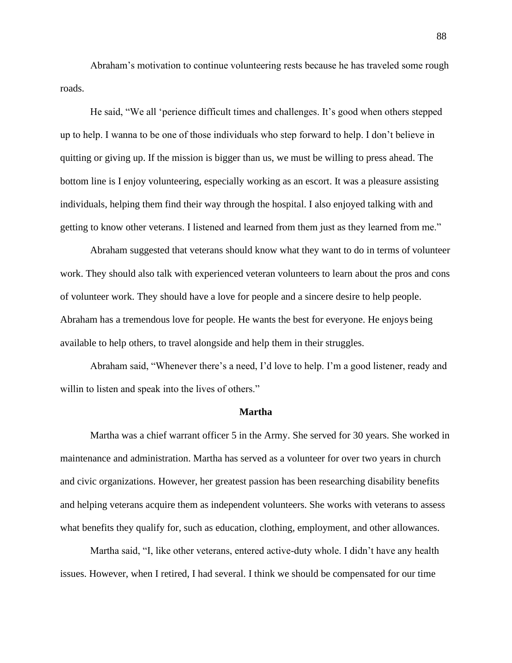Abraham's motivation to continue volunteering rests because he has traveled some rough roads.

He said, "We all 'perience difficult times and challenges. It's good when others stepped up to help. I wanna to be one of those individuals who step forward to help. I don't believe in quitting or giving up. If the mission is bigger than us, we must be willing to press ahead. The bottom line is I enjoy volunteering, especially working as an escort. It was a pleasure assisting individuals, helping them find their way through the hospital. I also enjoyed talking with and getting to know other veterans. I listened and learned from them just as they learned from me."

Abraham suggested that veterans should know what they want to do in terms of volunteer work. They should also talk with experienced veteran volunteers to learn about the pros and cons of volunteer work. They should have a love for people and a sincere desire to help people. Abraham has a tremendous love for people. He wants the best for everyone. He enjoys being available to help others, to travel alongside and help them in their struggles.

Abraham said, "Whenever there's a need, I'd love to help. I'm a good listener, ready and willin to listen and speak into the lives of others."

#### **Martha**

Martha was a chief warrant officer 5 in the Army. She served for 30 years. She worked in maintenance and administration. Martha has served as a volunteer for over two years in church and civic organizations. However, her greatest passion has been researching disability benefits and helping veterans acquire them as independent volunteers. She works with veterans to assess what benefits they qualify for, such as education, clothing, employment, and other allowances.

Martha said, "I, like other veterans, entered active-duty whole. I didn't have any health issues. However, when I retired, I had several. I think we should be compensated for our time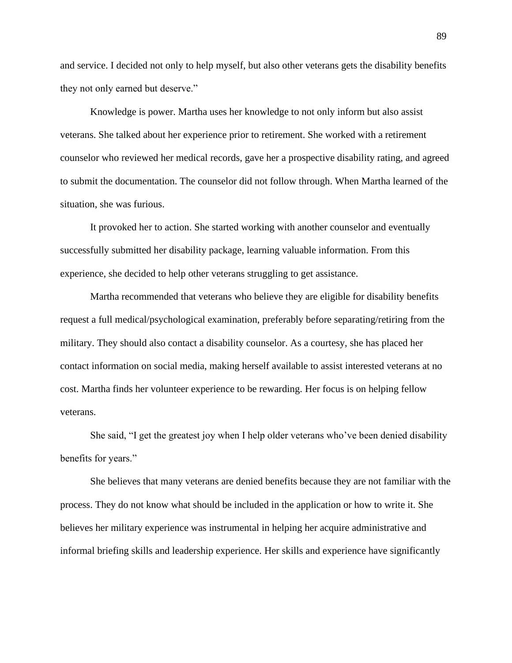and service. I decided not only to help myself, but also other veterans gets the disability benefits they not only earned but deserve."

Knowledge is power. Martha uses her knowledge to not only inform but also assist veterans. She talked about her experience prior to retirement. She worked with a retirement counselor who reviewed her medical records, gave her a prospective disability rating, and agreed to submit the documentation. The counselor did not follow through. When Martha learned of the situation, she was furious.

It provoked her to action. She started working with another counselor and eventually successfully submitted her disability package, learning valuable information. From this experience, she decided to help other veterans struggling to get assistance.

Martha recommended that veterans who believe they are eligible for disability benefits request a full medical/psychological examination, preferably before separating/retiring from the military. They should also contact a disability counselor. As a courtesy, she has placed her contact information on social media, making herself available to assist interested veterans at no cost. Martha finds her volunteer experience to be rewarding. Her focus is on helping fellow veterans.

She said, "I get the greatest joy when I help older veterans who've been denied disability benefits for years."

She believes that many veterans are denied benefits because they are not familiar with the process. They do not know what should be included in the application or how to write it. She believes her military experience was instrumental in helping her acquire administrative and informal briefing skills and leadership experience. Her skills and experience have significantly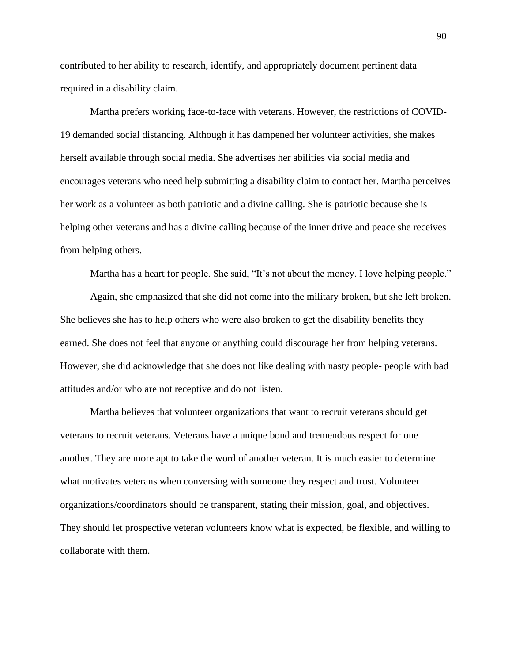contributed to her ability to research, identify, and appropriately document pertinent data required in a disability claim.

Martha prefers working face-to-face with veterans. However, the restrictions of COVID-19 demanded social distancing. Although it has dampened her volunteer activities, she makes herself available through social media. She advertises her abilities via social media and encourages veterans who need help submitting a disability claim to contact her. Martha perceives her work as a volunteer as both patriotic and a divine calling. She is patriotic because she is helping other veterans and has a divine calling because of the inner drive and peace she receives from helping others.

Martha has a heart for people. She said, "It's not about the money. I love helping people."

Again, she emphasized that she did not come into the military broken, but she left broken. She believes she has to help others who were also broken to get the disability benefits they earned. She does not feel that anyone or anything could discourage her from helping veterans. However, she did acknowledge that she does not like dealing with nasty people- people with bad attitudes and/or who are not receptive and do not listen.

Martha believes that volunteer organizations that want to recruit veterans should get veterans to recruit veterans. Veterans have a unique bond and tremendous respect for one another. They are more apt to take the word of another veteran. It is much easier to determine what motivates veterans when conversing with someone they respect and trust. Volunteer organizations/coordinators should be transparent, stating their mission, goal, and objectives. They should let prospective veteran volunteers know what is expected, be flexible, and willing to collaborate with them.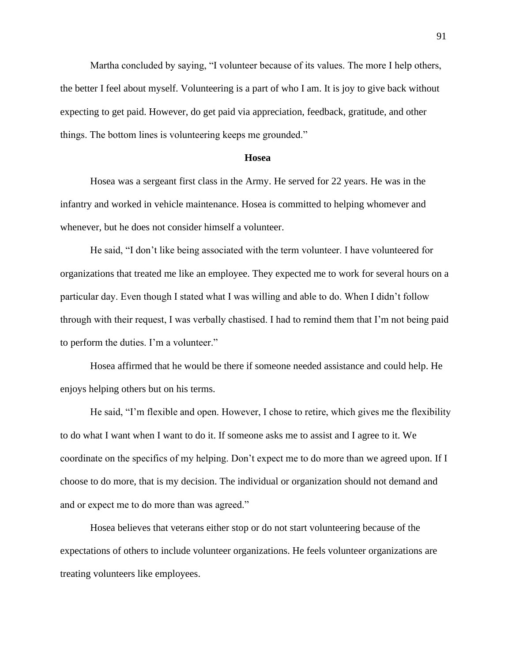Martha concluded by saying, "I volunteer because of its values. The more I help others, the better I feel about myself. Volunteering is a part of who I am. It is joy to give back without expecting to get paid. However, do get paid via appreciation, feedback, gratitude, and other things. The bottom lines is volunteering keeps me grounded."

#### **Hosea**

Hosea was a sergeant first class in the Army. He served for 22 years. He was in the infantry and worked in vehicle maintenance. Hosea is committed to helping whomever and whenever, but he does not consider himself a volunteer.

He said, "I don't like being associated with the term volunteer. I have volunteered for organizations that treated me like an employee. They expected me to work for several hours on a particular day. Even though I stated what I was willing and able to do. When I didn't follow through with their request, I was verbally chastised. I had to remind them that I'm not being paid to perform the duties. I'm a volunteer."

Hosea affirmed that he would be there if someone needed assistance and could help. He enjoys helping others but on his terms.

He said, "I'm flexible and open. However, I chose to retire, which gives me the flexibility to do what I want when I want to do it. If someone asks me to assist and I agree to it. We coordinate on the specifics of my helping. Don't expect me to do more than we agreed upon. If I choose to do more, that is my decision. The individual or organization should not demand and and or expect me to do more than was agreed."

Hosea believes that veterans either stop or do not start volunteering because of the expectations of others to include volunteer organizations. He feels volunteer organizations are treating volunteers like employees.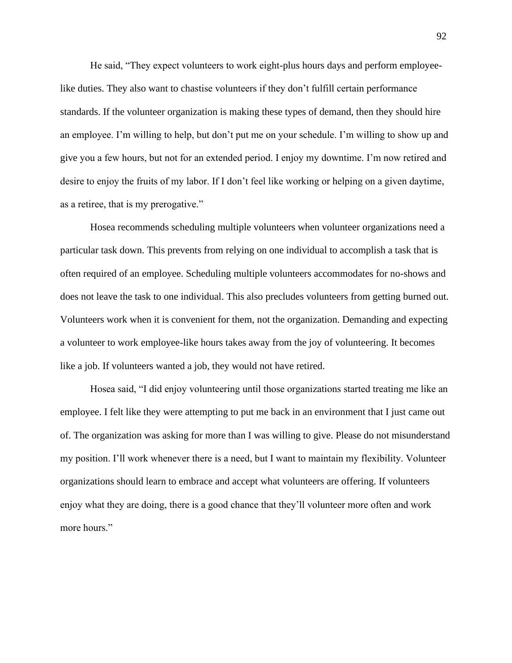He said, "They expect volunteers to work eight-plus hours days and perform employeelike duties. They also want to chastise volunteers if they don't fulfill certain performance standards. If the volunteer organization is making these types of demand, then they should hire an employee. I'm willing to help, but don't put me on your schedule. I'm willing to show up and give you a few hours, but not for an extended period. I enjoy my downtime. I'm now retired and desire to enjoy the fruits of my labor. If I don't feel like working or helping on a given daytime, as a retiree, that is my prerogative."

Hosea recommends scheduling multiple volunteers when volunteer organizations need a particular task down. This prevents from relying on one individual to accomplish a task that is often required of an employee. Scheduling multiple volunteers accommodates for no-shows and does not leave the task to one individual. This also precludes volunteers from getting burned out. Volunteers work when it is convenient for them, not the organization. Demanding and expecting a volunteer to work employee-like hours takes away from the joy of volunteering. It becomes like a job. If volunteers wanted a job, they would not have retired.

Hosea said, "I did enjoy volunteering until those organizations started treating me like an employee. I felt like they were attempting to put me back in an environment that I just came out of. The organization was asking for more than I was willing to give. Please do not misunderstand my position. I'll work whenever there is a need, but I want to maintain my flexibility. Volunteer organizations should learn to embrace and accept what volunteers are offering. If volunteers enjoy what they are doing, there is a good chance that they'll volunteer more often and work more hours."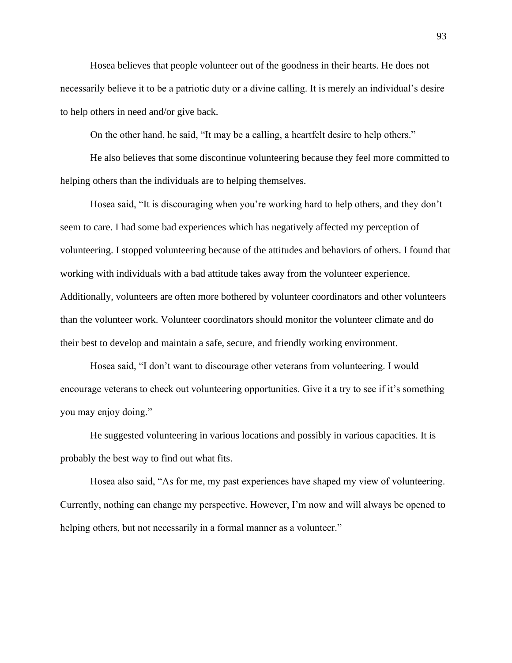Hosea believes that people volunteer out of the goodness in their hearts. He does not necessarily believe it to be a patriotic duty or a divine calling. It is merely an individual's desire to help others in need and/or give back.

On the other hand, he said, "It may be a calling, a heartfelt desire to help others."

He also believes that some discontinue volunteering because they feel more committed to helping others than the individuals are to helping themselves.

Hosea said, "It is discouraging when you're working hard to help others, and they don't seem to care. I had some bad experiences which has negatively affected my perception of volunteering. I stopped volunteering because of the attitudes and behaviors of others. I found that working with individuals with a bad attitude takes away from the volunteer experience. Additionally, volunteers are often more bothered by volunteer coordinators and other volunteers than the volunteer work. Volunteer coordinators should monitor the volunteer climate and do their best to develop and maintain a safe, secure, and friendly working environment.

Hosea said, "I don't want to discourage other veterans from volunteering. I would encourage veterans to check out volunteering opportunities. Give it a try to see if it's something you may enjoy doing."

He suggested volunteering in various locations and possibly in various capacities. It is probably the best way to find out what fits.

Hosea also said, "As for me, my past experiences have shaped my view of volunteering. Currently, nothing can change my perspective. However, I'm now and will always be opened to helping others, but not necessarily in a formal manner as a volunteer."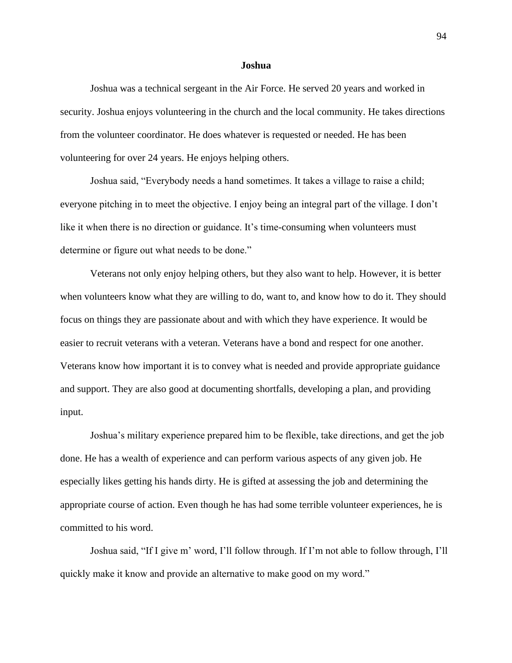#### **Joshua**

Joshua was a technical sergeant in the Air Force. He served 20 years and worked in security. Joshua enjoys volunteering in the church and the local community. He takes directions from the volunteer coordinator. He does whatever is requested or needed. He has been volunteering for over 24 years. He enjoys helping others.

Joshua said, "Everybody needs a hand sometimes. It takes a village to raise a child; everyone pitching in to meet the objective. I enjoy being an integral part of the village. I don't like it when there is no direction or guidance. It's time-consuming when volunteers must determine or figure out what needs to be done."

Veterans not only enjoy helping others, but they also want to help. However, it is better when volunteers know what they are willing to do, want to, and know how to do it. They should focus on things they are passionate about and with which they have experience. It would be easier to recruit veterans with a veteran. Veterans have a bond and respect for one another. Veterans know how important it is to convey what is needed and provide appropriate guidance and support. They are also good at documenting shortfalls, developing a plan, and providing input.

Joshua's military experience prepared him to be flexible, take directions, and get the job done. He has a wealth of experience and can perform various aspects of any given job. He especially likes getting his hands dirty. He is gifted at assessing the job and determining the appropriate course of action. Even though he has had some terrible volunteer experiences, he is committed to his word.

Joshua said, "If I give m' word, I'll follow through. If I'm not able to follow through, I'll quickly make it know and provide an alternative to make good on my word."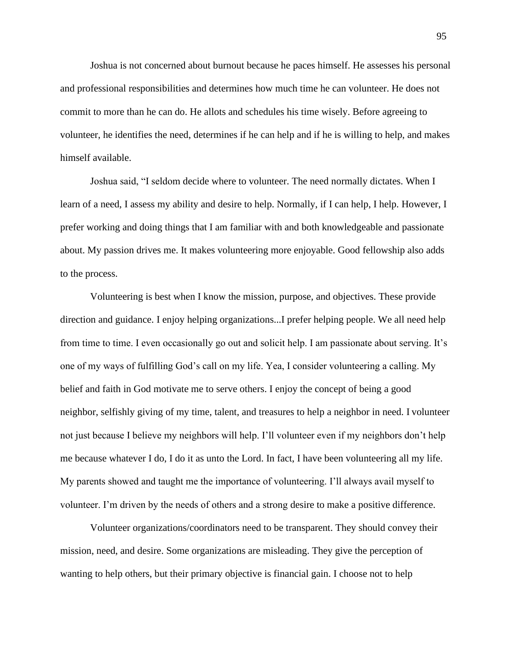Joshua is not concerned about burnout because he paces himself. He assesses his personal and professional responsibilities and determines how much time he can volunteer. He does not commit to more than he can do. He allots and schedules his time wisely. Before agreeing to volunteer, he identifies the need, determines if he can help and if he is willing to help, and makes himself available.

Joshua said, "I seldom decide where to volunteer. The need normally dictates. When I learn of a need, I assess my ability and desire to help. Normally, if I can help, I help. However, I prefer working and doing things that I am familiar with and both knowledgeable and passionate about. My passion drives me. It makes volunteering more enjoyable. Good fellowship also adds to the process.

Volunteering is best when I know the mission, purpose, and objectives. These provide direction and guidance. I enjoy helping organizations...I prefer helping people. We all need help from time to time. I even occasionally go out and solicit help. I am passionate about serving. It's one of my ways of fulfilling God's call on my life. Yea, I consider volunteering a calling. My belief and faith in God motivate me to serve others. I enjoy the concept of being a good neighbor, selfishly giving of my time, talent, and treasures to help a neighbor in need. I volunteer not just because I believe my neighbors will help. I'll volunteer even if my neighbors don't help me because whatever I do, I do it as unto the Lord. In fact, I have been volunteering all my life. My parents showed and taught me the importance of volunteering. I'll always avail myself to volunteer. I'm driven by the needs of others and a strong desire to make a positive difference.

Volunteer organizations/coordinators need to be transparent. They should convey their mission, need, and desire. Some organizations are misleading. They give the perception of wanting to help others, but their primary objective is financial gain. I choose not to help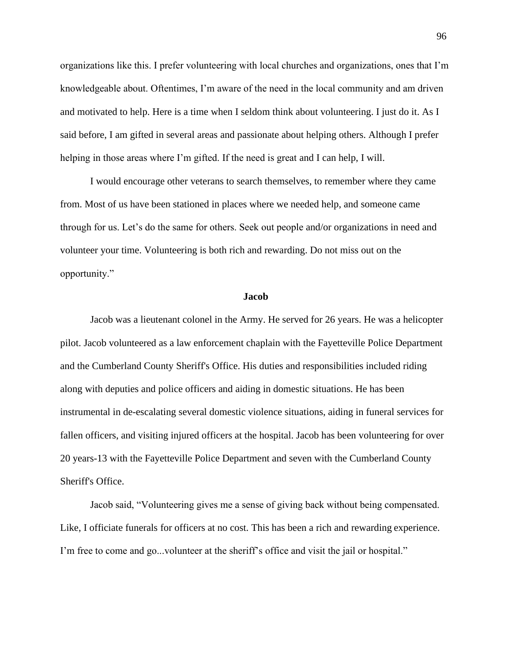organizations like this. I prefer volunteering with local churches and organizations, ones that I'm knowledgeable about. Oftentimes, I'm aware of the need in the local community and am driven and motivated to help. Here is a time when I seldom think about volunteering. I just do it. As I said before, I am gifted in several areas and passionate about helping others. Although I prefer helping in those areas where I'm gifted. If the need is great and I can help, I will.

I would encourage other veterans to search themselves, to remember where they came from. Most of us have been stationed in places where we needed help, and someone came through for us. Let's do the same for others. Seek out people and/or organizations in need and volunteer your time. Volunteering is both rich and rewarding. Do not miss out on the opportunity."

#### **Jacob**

Jacob was a lieutenant colonel in the Army. He served for 26 years. He was a helicopter pilot. Jacob volunteered as a law enforcement chaplain with the Fayetteville Police Department and the Cumberland County Sheriff's Office. His duties and responsibilities included riding along with deputies and police officers and aiding in domestic situations. He has been instrumental in de-escalating several domestic violence situations, aiding in funeral services for fallen officers, and visiting injured officers at the hospital. Jacob has been volunteering for over 20 years-13 with the Fayetteville Police Department and seven with the Cumberland County Sheriff's Office.

Jacob said, "Volunteering gives me a sense of giving back without being compensated. Like, I officiate funerals for officers at no cost. This has been a rich and rewarding experience. I'm free to come and go...volunteer at the sheriff's office and visit the jail or hospital."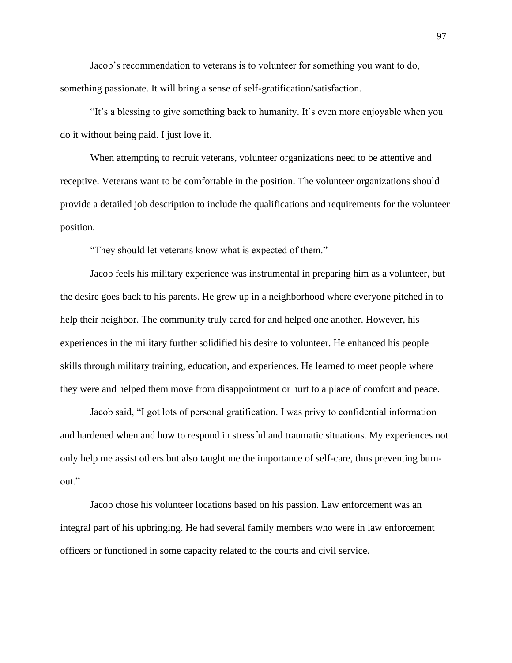Jacob's recommendation to veterans is to volunteer for something you want to do, something passionate. It will bring a sense of self-gratification/satisfaction.

"It's a blessing to give something back to humanity. It's even more enjoyable when you do it without being paid. I just love it.

When attempting to recruit veterans, volunteer organizations need to be attentive and receptive. Veterans want to be comfortable in the position. The volunteer organizations should provide a detailed job description to include the qualifications and requirements for the volunteer position.

"They should let veterans know what is expected of them."

Jacob feels his military experience was instrumental in preparing him as a volunteer, but the desire goes back to his parents. He grew up in a neighborhood where everyone pitched in to help their neighbor. The community truly cared for and helped one another. However, his experiences in the military further solidified his desire to volunteer. He enhanced his people skills through military training, education, and experiences. He learned to meet people where they were and helped them move from disappointment or hurt to a place of comfort and peace.

Jacob said, "I got lots of personal gratification. I was privy to confidential information and hardened when and how to respond in stressful and traumatic situations. My experiences not only help me assist others but also taught me the importance of self-care, thus preventing burnout."

Jacob chose his volunteer locations based on his passion. Law enforcement was an integral part of his upbringing. He had several family members who were in law enforcement officers or functioned in some capacity related to the courts and civil service.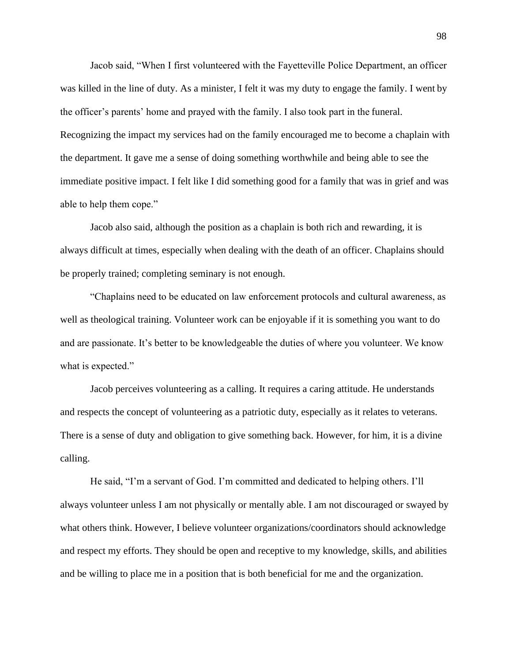Jacob said, "When I first volunteered with the Fayetteville Police Department, an officer was killed in the line of duty. As a minister, I felt it was my duty to engage the family. I went by the officer's parents' home and prayed with the family. I also took part in the funeral. Recognizing the impact my services had on the family encouraged me to become a chaplain with the department. It gave me a sense of doing something worthwhile and being able to see the immediate positive impact. I felt like I did something good for a family that was in grief and was able to help them cope."

Jacob also said, although the position as a chaplain is both rich and rewarding, it is always difficult at times, especially when dealing with the death of an officer. Chaplains should be properly trained; completing seminary is not enough.

"Chaplains need to be educated on law enforcement protocols and cultural awareness, as well as theological training. Volunteer work can be enjoyable if it is something you want to do and are passionate. It's better to be knowledgeable the duties of where you volunteer. We know what is expected."

Jacob perceives volunteering as a calling. It requires a caring attitude. He understands and respects the concept of volunteering as a patriotic duty, especially as it relates to veterans. There is a sense of duty and obligation to give something back. However, for him, it is a divine calling.

He said, "I'm a servant of God. I'm committed and dedicated to helping others. I'll always volunteer unless I am not physically or mentally able. I am not discouraged or swayed by what others think. However, I believe volunteer organizations/coordinators should acknowledge and respect my efforts. They should be open and receptive to my knowledge, skills, and abilities and be willing to place me in a position that is both beneficial for me and the organization.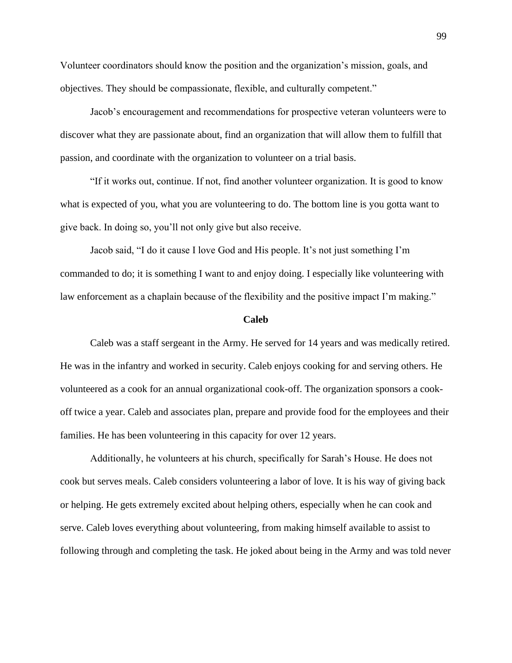Volunteer coordinators should know the position and the organization's mission, goals, and objectives. They should be compassionate, flexible, and culturally competent."

Jacob's encouragement and recommendations for prospective veteran volunteers were to discover what they are passionate about, find an organization that will allow them to fulfill that passion, and coordinate with the organization to volunteer on a trial basis.

"If it works out, continue. If not, find another volunteer organization. It is good to know what is expected of you, what you are volunteering to do. The bottom line is you gotta want to give back. In doing so, you'll not only give but also receive.

Jacob said, "I do it cause I love God and His people. It's not just something I'm commanded to do; it is something I want to and enjoy doing. I especially like volunteering with law enforcement as a chaplain because of the flexibility and the positive impact I'm making."

#### **Caleb**

Caleb was a staff sergeant in the Army. He served for 14 years and was medically retired. He was in the infantry and worked in security. Caleb enjoys cooking for and serving others. He volunteered as a cook for an annual organizational cook-off. The organization sponsors a cookoff twice a year. Caleb and associates plan, prepare and provide food for the employees and their families. He has been volunteering in this capacity for over 12 years.

Additionally, he volunteers at his church, specifically for Sarah's House. He does not cook but serves meals. Caleb considers volunteering a labor of love. It is his way of giving back or helping. He gets extremely excited about helping others, especially when he can cook and serve. Caleb loves everything about volunteering, from making himself available to assist to following through and completing the task. He joked about being in the Army and was told never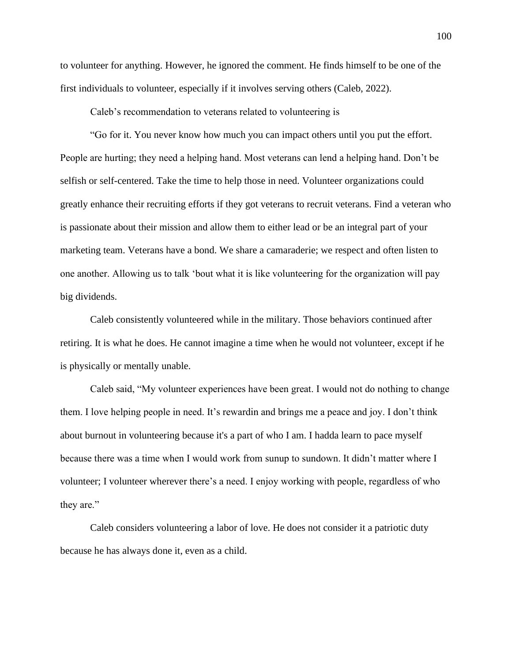to volunteer for anything. However, he ignored the comment. He finds himself to be one of the first individuals to volunteer, especially if it involves serving others (Caleb, 2022).

Caleb's recommendation to veterans related to volunteering is

"Go for it. You never know how much you can impact others until you put the effort. People are hurting; they need a helping hand. Most veterans can lend a helping hand. Don't be selfish or self-centered. Take the time to help those in need. Volunteer organizations could greatly enhance their recruiting efforts if they got veterans to recruit veterans. Find a veteran who is passionate about their mission and allow them to either lead or be an integral part of your marketing team. Veterans have a bond. We share a camaraderie; we respect and often listen to one another. Allowing us to talk 'bout what it is like volunteering for the organization will pay big dividends.

Caleb consistently volunteered while in the military. Those behaviors continued after retiring. It is what he does. He cannot imagine a time when he would not volunteer, except if he is physically or mentally unable.

Caleb said, "My volunteer experiences have been great. I would not do nothing to change them. I love helping people in need. It's rewardin and brings me a peace and joy. I don't think about burnout in volunteering because it's a part of who I am. I hadda learn to pace myself because there was a time when I would work from sunup to sundown. It didn't matter where I volunteer; I volunteer wherever there's a need. I enjoy working with people, regardless of who they are."

Caleb considers volunteering a labor of love. He does not consider it a patriotic duty because he has always done it, even as a child.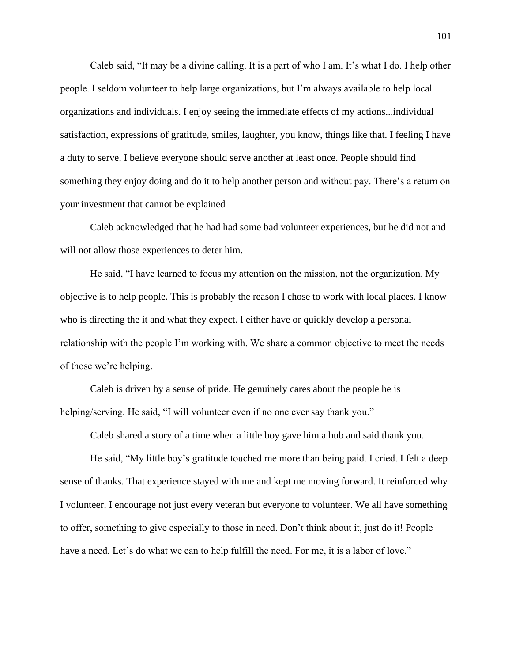Caleb said, "It may be a divine calling. It is a part of who I am. It's what I do. I help other people. I seldom volunteer to help large organizations, but I'm always available to help local organizations and individuals. I enjoy seeing the immediate effects of my actions...individual satisfaction, expressions of gratitude, smiles, laughter, you know, things like that. I feeling I have a duty to serve. I believe everyone should serve another at least once. People should find something they enjoy doing and do it to help another person and without pay. There's a return on your investment that cannot be explained

Caleb acknowledged that he had had some bad volunteer experiences, but he did not and will not allow those experiences to deter him.

He said, "I have learned to focus my attention on the mission, not the organization. My objective is to help people. This is probably the reason I chose to work with local places. I know who is directing the it and what they expect. I either have or quickly develop a personal relationship with the people I'm working with. We share a common objective to meet the needs of those we're helping.

Caleb is driven by a sense of pride. He genuinely cares about the people he is helping/serving. He said, "I will volunteer even if no one ever say thank you."

Caleb shared a story of a time when a little boy gave him a hub and said thank you.

He said, "My little boy's gratitude touched me more than being paid. I cried. I felt a deep sense of thanks. That experience stayed with me and kept me moving forward. It reinforced why I volunteer. I encourage not just every veteran but everyone to volunteer. We all have something to offer, something to give especially to those in need. Don't think about it, just do it! People have a need. Let's do what we can to help fulfill the need. For me, it is a labor of love."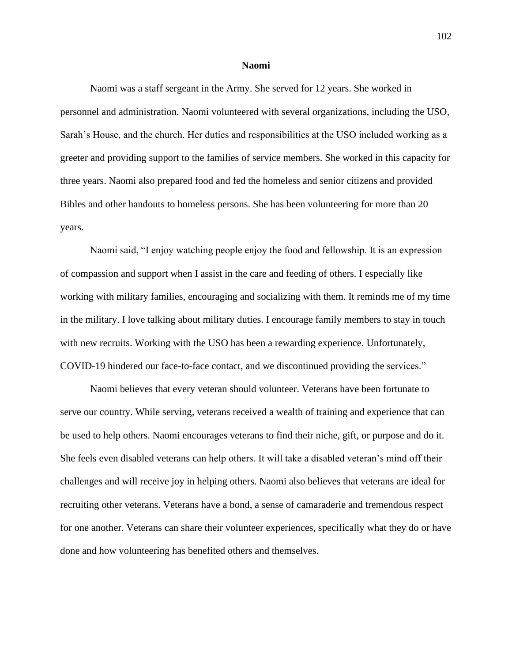#### **Naomi**

Naomi was a staff sergeant in the Army. She served for 12 years. She worked in personnel and administration. Naomi volunteered with several organizations, including the USO, Sarah's House, and the church. Her duties and responsibilities at the USO included working as a greeter and providing support to the families of service members. She worked in this capacity for three years. Naomi also prepared food and fed the homeless and senior citizens and provided Bibles and other handouts to homeless persons. She has been volunteering for more than 20 years.

Naomi said, "I enjoy watching people enjoy the food and fellowship. It is an expression of compassion and support when I assist in the care and feeding of others. I especially like working with military families, encouraging and socializing with them. It reminds me of my time in the military. I love talking about military duties. I encourage family members to stay in touch with new recruits. Working with the USO has been a rewarding experience. Unfortunately, COVID-19 hindered our face-to-face contact, and we discontinued providing the services."

Naomi believes that every veteran should volunteer. Veterans have been fortunate to serve our country. While serving, veterans received a wealth of training and experience that can be used to help others. Naomi encourages veterans to find their niche, gift, or purpose and do it. She feels even disabled veterans can help others. It will take a disabled veteran's mind off their challenges and will receive joy in helping others. Naomi also believes that veterans are ideal for recruiting other veterans. Veterans have a bond, a sense of camaraderie and tremendous respect for one another. Veterans can share their volunteer experiences, specifically what they do or have done and how volunteering has benefited others and themselves.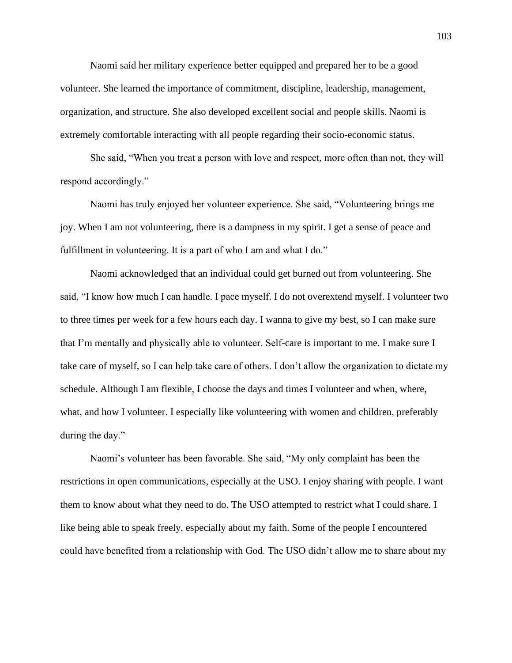Naomi said her military experience better equipped and prepared her to be a good volunteer. She learned the importance of commitment, discipline, leadership, management, organization, and structure. She also developed excellent social and people skills. Naomi is extremely comfortable interacting with all people regarding their socio-economic status.

She said, "When you treat a person with love and respect, more often than not, they will respond accordingly."

Naomi has truly enjoyed her volunteer experience. She said, "Volunteering brings me joy. When I am not volunteering, there is a dampness in my spirit. I get a sense of peace and fulfillment in volunteering. It is a part of who I am and what I do."

Naomi acknowledged that an individual could get burned out from volunteering. She said, "I know how much I can handle. I pace myself. I do not overextend myself. I volunteer two to three times per week for a few hours each day. I wanna to give my best, so I can make sure that I'm mentally and physically able to volunteer. Self-care is important to me. I make sure I take care of myself, so I can help take care of others. I don't allow the organization to dictate my schedule. Although I am flexible, I choose the days and times I volunteer and when, where, what, and how I volunteer. I especially like volunteering with women and children, preferably during the day."

Naomi's volunteer has been favorable. She said, "My only complaint has been the restrictions in open communications, especially at the USO. I enjoy sharing with people. I want them to know about what they need to do. The USO attempted to restrict what I could share. I like being able to speak freely, especially about my faith. Some of the people I encountered could have benefited from a relationship with God. The USO didn't allow me to share about my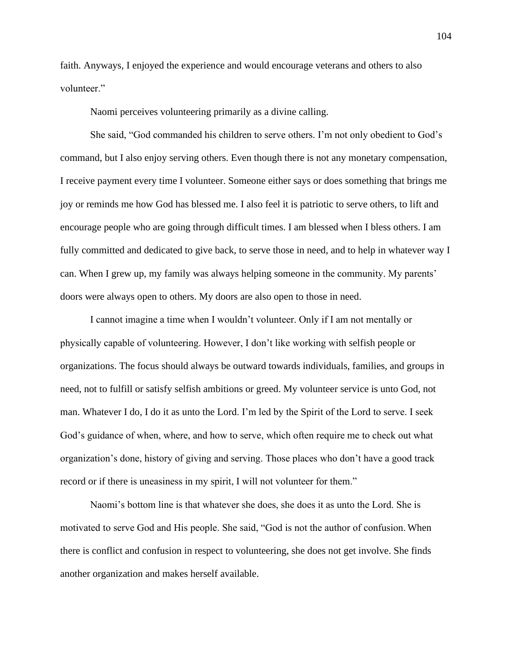faith. Anyways, I enjoyed the experience and would encourage veterans and others to also volunteer."

Naomi perceives volunteering primarily as a divine calling.

She said, "God commanded his children to serve others. I'm not only obedient to God's command, but I also enjoy serving others. Even though there is not any monetary compensation, I receive payment every time I volunteer. Someone either says or does something that brings me joy or reminds me how God has blessed me. I also feel it is patriotic to serve others, to lift and encourage people who are going through difficult times. I am blessed when I bless others. I am fully committed and dedicated to give back, to serve those in need, and to help in whatever way I can. When I grew up, my family was always helping someone in the community. My parents' doors were always open to others. My doors are also open to those in need.

I cannot imagine a time when I wouldn't volunteer. Only if I am not mentally or physically capable of volunteering. However, I don't like working with selfish people or organizations. The focus should always be outward towards individuals, families, and groups in need, not to fulfill or satisfy selfish ambitions or greed. My volunteer service is unto God, not man. Whatever I do, I do it as unto the Lord. I'm led by the Spirit of the Lord to serve. I seek God's guidance of when, where, and how to serve, which often require me to check out what organization's done, history of giving and serving. Those places who don't have a good track record or if there is uneasiness in my spirit, I will not volunteer for them."

Naomi's bottom line is that whatever she does, she does it as unto the Lord. She is motivated to serve God and His people. She said, "God is not the author of confusion. When there is conflict and confusion in respect to volunteering, she does not get involve. She finds another organization and makes herself available.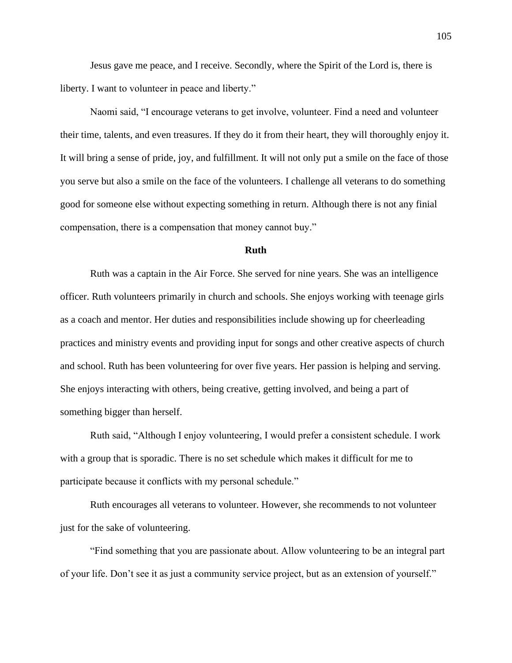Jesus gave me peace, and I receive. Secondly, where the Spirit of the Lord is, there is liberty. I want to volunteer in peace and liberty."

Naomi said, "I encourage veterans to get involve, volunteer. Find a need and volunteer their time, talents, and even treasures. If they do it from their heart, they will thoroughly enjoy it. It will bring a sense of pride, joy, and fulfillment. It will not only put a smile on the face of those you serve but also a smile on the face of the volunteers. I challenge all veterans to do something good for someone else without expecting something in return. Although there is not any finial compensation, there is a compensation that money cannot buy."

#### **Ruth**

Ruth was a captain in the Air Force. She served for nine years. She was an intelligence officer. Ruth volunteers primarily in church and schools. She enjoys working with teenage girls as a coach and mentor. Her duties and responsibilities include showing up for cheerleading practices and ministry events and providing input for songs and other creative aspects of church and school. Ruth has been volunteering for over five years. Her passion is helping and serving. She enjoys interacting with others, being creative, getting involved, and being a part of something bigger than herself.

Ruth said, "Although I enjoy volunteering, I would prefer a consistent schedule. I work with a group that is sporadic. There is no set schedule which makes it difficult for me to participate because it conflicts with my personal schedule."

Ruth encourages all veterans to volunteer. However, she recommends to not volunteer just for the sake of volunteering.

"Find something that you are passionate about. Allow volunteering to be an integral part of your life. Don't see it as just a community service project, but as an extension of yourself."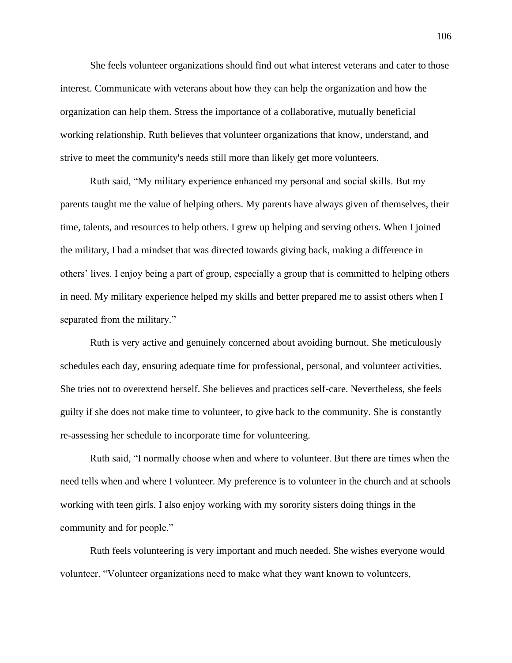She feels volunteer organizations should find out what interest veterans and cater to those interest. Communicate with veterans about how they can help the organization and how the organization can help them. Stress the importance of a collaborative, mutually beneficial working relationship. Ruth believes that volunteer organizations that know, understand, and strive to meet the community's needs still more than likely get more volunteers.

Ruth said, "My military experience enhanced my personal and social skills. But my parents taught me the value of helping others. My parents have always given of themselves, their time, talents, and resources to help others. I grew up helping and serving others. When I joined the military, I had a mindset that was directed towards giving back, making a difference in others' lives. I enjoy being a part of group, especially a group that is committed to helping others in need. My military experience helped my skills and better prepared me to assist others when I separated from the military."

Ruth is very active and genuinely concerned about avoiding burnout. She meticulously schedules each day, ensuring adequate time for professional, personal, and volunteer activities. She tries not to overextend herself. She believes and practices self-care. Nevertheless, she feels guilty if she does not make time to volunteer, to give back to the community. She is constantly re-assessing her schedule to incorporate time for volunteering.

Ruth said, "I normally choose when and where to volunteer. But there are times when the need tells when and where I volunteer. My preference is to volunteer in the church and at schools working with teen girls. I also enjoy working with my sorority sisters doing things in the community and for people."

Ruth feels volunteering is very important and much needed. She wishes everyone would volunteer. "Volunteer organizations need to make what they want known to volunteers,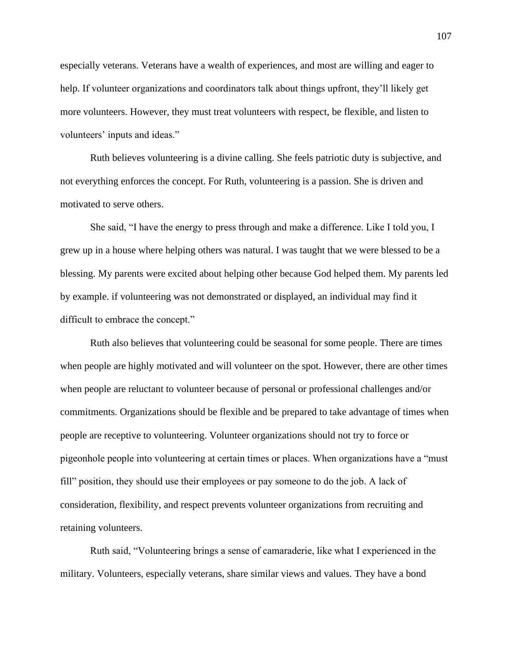especially veterans. Veterans have a wealth of experiences, and most are willing and eager to help. If volunteer organizations and coordinators talk about things upfront, they'll likely get more volunteers. However, they must treat volunteers with respect, be flexible, and listen to volunteers' inputs and ideas."

Ruth believes volunteering is a divine calling. She feels patriotic duty is subjective, and not everything enforces the concept. For Ruth, volunteering is a passion. She is driven and motivated to serve others.

She said, "I have the energy to press through and make a difference. Like I told you, I grew up in a house where helping others was natural. I was taught that we were blessed to be a blessing. My parents were excited about helping other because God helped them. My parents led by example. if volunteering was not demonstrated or displayed, an individual may find it difficult to embrace the concept."

Ruth also believes that volunteering could be seasonal for some people. There are times when people are highly motivated and will volunteer on the spot. However, there are other times when people are reluctant to volunteer because of personal or professional challenges and/or commitments. Organizations should be flexible and be prepared to take advantage of times when people are receptive to volunteering. Volunteer organizations should not try to force or pigeonhole people into volunteering at certain times or places. When organizations have a "must fill" position, they should use their employees or pay someone to do the job. A lack of consideration, flexibility, and respect prevents volunteer organizations from recruiting and retaining volunteers.

Ruth said, "Volunteering brings a sense of camaraderie, like what I experienced in the military. Volunteers, especially veterans, share similar views and values. They have a bond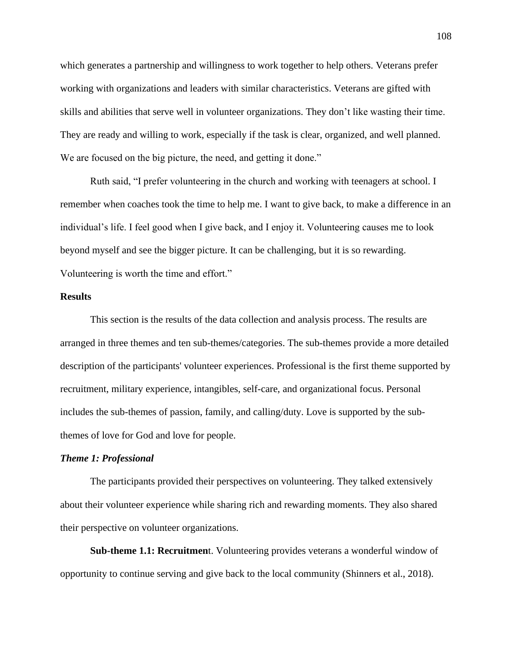which generates a partnership and willingness to work together to help others. Veterans prefer working with organizations and leaders with similar characteristics. Veterans are gifted with skills and abilities that serve well in volunteer organizations. They don't like wasting their time. They are ready and willing to work, especially if the task is clear, organized, and well planned. We are focused on the big picture, the need, and getting it done."

Ruth said, "I prefer volunteering in the church and working with teenagers at school. I remember when coaches took the time to help me. I want to give back, to make a difference in an individual's life. I feel good when I give back, and I enjoy it. Volunteering causes me to look beyond myself and see the bigger picture. It can be challenging, but it is so rewarding. Volunteering is worth the time and effort."

#### **Results**

This section is the results of the data collection and analysis process. The results are arranged in three themes and ten sub-themes/categories. The sub-themes provide a more detailed description of the participants' volunteer experiences. Professional is the first theme supported by recruitment, military experience, intangibles, self-care, and organizational focus. Personal includes the sub-themes of passion, family, and calling/duty. Love is supported by the subthemes of love for God and love for people.

#### *Theme 1: Professional*

The participants provided their perspectives on volunteering. They talked extensively about their volunteer experience while sharing rich and rewarding moments. They also shared their perspective on volunteer organizations.

**Sub-theme 1.1: Recruitmen**t. Volunteering provides veterans a wonderful window of opportunity to continue serving and give back to the local community (Shinners et al., 2018).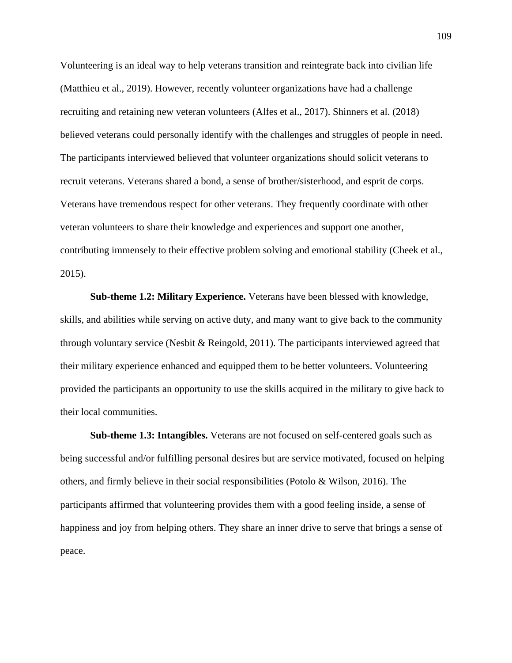Volunteering is an ideal way to help veterans transition and reintegrate back into civilian life (Matthieu et al., 2019). However, recently volunteer organizations have had a challenge recruiting and retaining new veteran volunteers (Alfes et al., 2017). Shinners et al. (2018) believed veterans could personally identify with the challenges and struggles of people in need. The participants interviewed believed that volunteer organizations should solicit veterans to recruit veterans. Veterans shared a bond, a sense of brother/sisterhood, and esprit de corps. Veterans have tremendous respect for other veterans. They frequently coordinate with other veteran volunteers to share their knowledge and experiences and support one another, contributing immensely to their effective problem solving and emotional stability (Cheek et al., 2015).

**Sub-theme 1.2: Military Experience.** Veterans have been blessed with knowledge, skills, and abilities while serving on active duty, and many want to give back to the community through voluntary service (Nesbit & Reingold, 2011). The participants interviewed agreed that their military experience enhanced and equipped them to be better volunteers. Volunteering provided the participants an opportunity to use the skills acquired in the military to give back to their local communities.

**Sub-theme 1.3: Intangibles.** Veterans are not focused on self-centered goals such as being successful and/or fulfilling personal desires but are service motivated, focused on helping others, and firmly believe in their social responsibilities (Potolo & Wilson, 2016). The participants affirmed that volunteering provides them with a good feeling inside, a sense of happiness and joy from helping others. They share an inner drive to serve that brings a sense of peace.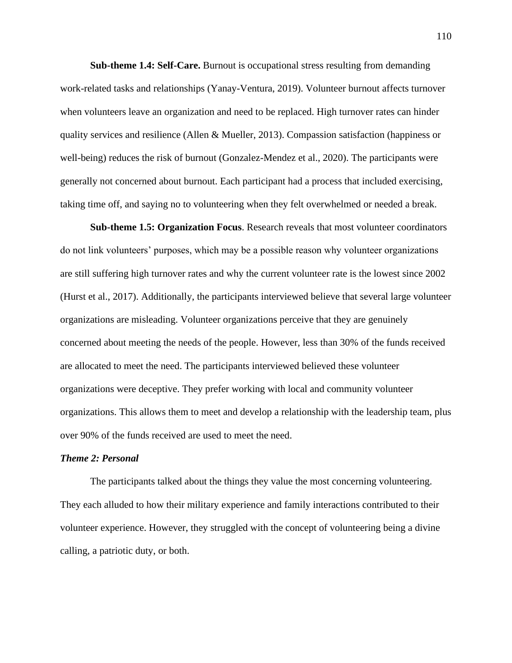**Sub-theme 1.4: Self-Care.** Burnout is occupational stress resulting from demanding work-related tasks and relationships (Yanay-Ventura, 2019). Volunteer burnout affects turnover when volunteers leave an organization and need to be replaced. High turnover rates can hinder quality services and resilience (Allen & Mueller, 2013). Compassion satisfaction (happiness or well-being) reduces the risk of burnout (Gonzalez-Mendez et al., 2020). The participants were generally not concerned about burnout. Each participant had a process that included exercising, taking time off, and saying no to volunteering when they felt overwhelmed or needed a break.

**Sub-theme 1.5: Organization Focus**. Research reveals that most volunteer coordinators do not link volunteers' purposes, which may be a possible reason why volunteer organizations are still suffering high turnover rates and why the current volunteer rate is the lowest since 2002 (Hurst et al., 2017). Additionally, the participants interviewed believe that several large volunteer organizations are misleading. Volunteer organizations perceive that they are genuinely concerned about meeting the needs of the people. However, less than 30% of the funds received are allocated to meet the need. The participants interviewed believed these volunteer organizations were deceptive. They prefer working with local and community volunteer organizations. This allows them to meet and develop a relationship with the leadership team, plus over 90% of the funds received are used to meet the need.

#### *Theme 2: Personal*

The participants talked about the things they value the most concerning volunteering. They each alluded to how their military experience and family interactions contributed to their volunteer experience. However, they struggled with the concept of volunteering being a divine calling, a patriotic duty, or both.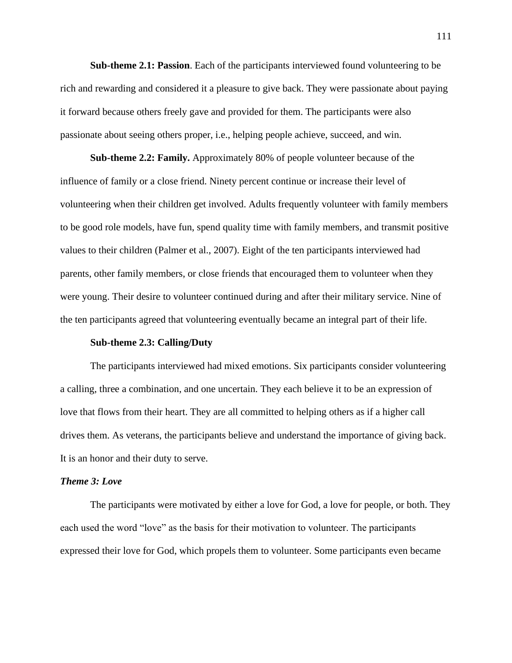**Sub-theme 2.1: Passion**. Each of the participants interviewed found volunteering to be rich and rewarding and considered it a pleasure to give back. They were passionate about paying it forward because others freely gave and provided for them. The participants were also passionate about seeing others proper, i.e., helping people achieve, succeed, and win.

**Sub-theme 2.2: Family.** Approximately 80% of people volunteer because of the influence of family or a close friend. Ninety percent continue or increase their level of volunteering when their children get involved. Adults frequently volunteer with family members to be good role models, have fun, spend quality time with family members, and transmit positive values to their children (Palmer et al., 2007). Eight of the ten participants interviewed had parents, other family members, or close friends that encouraged them to volunteer when they were young. Their desire to volunteer continued during and after their military service. Nine of the ten participants agreed that volunteering eventually became an integral part of their life.

#### **Sub-theme 2.3: Calling/Duty**

The participants interviewed had mixed emotions. Six participants consider volunteering a calling, three a combination, and one uncertain. They each believe it to be an expression of love that flows from their heart. They are all committed to helping others as if a higher call drives them. As veterans, the participants believe and understand the importance of giving back. It is an honor and their duty to serve.

#### *Theme 3: Love*

The participants were motivated by either a love for God, a love for people, or both. They each used the word "love" as the basis for their motivation to volunteer. The participants expressed their love for God, which propels them to volunteer. Some participants even became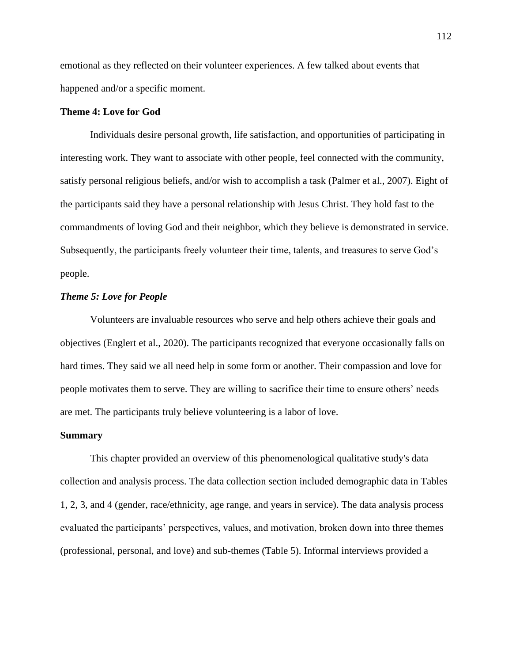emotional as they reflected on their volunteer experiences. A few talked about events that happened and/or a specific moment.

# **Theme 4: Love for God**

Individuals desire personal growth, life satisfaction, and opportunities of participating in interesting work. They want to associate with other people, feel connected with the community, satisfy personal religious beliefs, and/or wish to accomplish a task (Palmer et al., 2007). Eight of the participants said they have a personal relationship with Jesus Christ. They hold fast to the commandments of loving God and their neighbor, which they believe is demonstrated in service. Subsequently, the participants freely volunteer their time, talents, and treasures to serve God's people.

## *Theme 5: Love for People*

Volunteers are invaluable resources who serve and help others achieve their goals and objectives (Englert et al., 2020). The participants recognized that everyone occasionally falls on hard times. They said we all need help in some form or another. Their compassion and love for people motivates them to serve. They are willing to sacrifice their time to ensure others' needs are met. The participants truly believe volunteering is a labor of love.

#### **Summary**

This chapter provided an overview of this phenomenological qualitative study's data collection and analysis process. The data collection section included demographic data in Tables 1, 2, 3, and 4 (gender, race/ethnicity, age range, and years in service). The data analysis process evaluated the participants' perspectives, values, and motivation, broken down into three themes (professional, personal, and love) and sub-themes (Table 5). Informal interviews provided a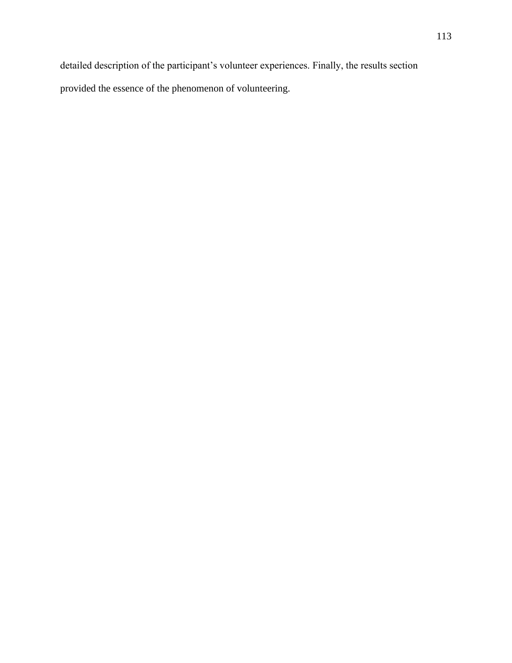detailed description of the participant's volunteer experiences. Finally, the results section provided the essence of the phenomenon of volunteering.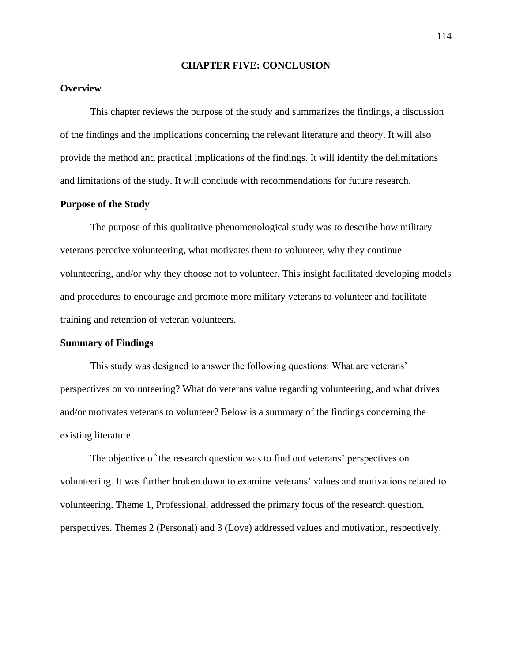#### **CHAPTER FIVE: CONCLUSION**

# **Overview**

This chapter reviews the purpose of the study and summarizes the findings, a discussion of the findings and the implications concerning the relevant literature and theory. It will also provide the method and practical implications of the findings. It will identify the delimitations and limitations of the study. It will conclude with recommendations for future research.

#### **Purpose of the Study**

The purpose of this qualitative phenomenological study was to describe how military veterans perceive volunteering, what motivates them to volunteer, why they continue volunteering, and/or why they choose not to volunteer. This insight facilitated developing models and procedures to encourage and promote more military veterans to volunteer and facilitate training and retention of veteran volunteers.

#### **Summary of Findings**

This study was designed to answer the following questions: What are veterans' perspectives on volunteering? What do veterans value regarding volunteering, and what drives and/or motivates veterans to volunteer? Below is a summary of the findings concerning the existing literature.

The objective of the research question was to find out veterans' perspectives on volunteering. It was further broken down to examine veterans' values and motivations related to volunteering. Theme 1, Professional, addressed the primary focus of the research question, perspectives. Themes 2 (Personal) and 3 (Love) addressed values and motivation, respectively.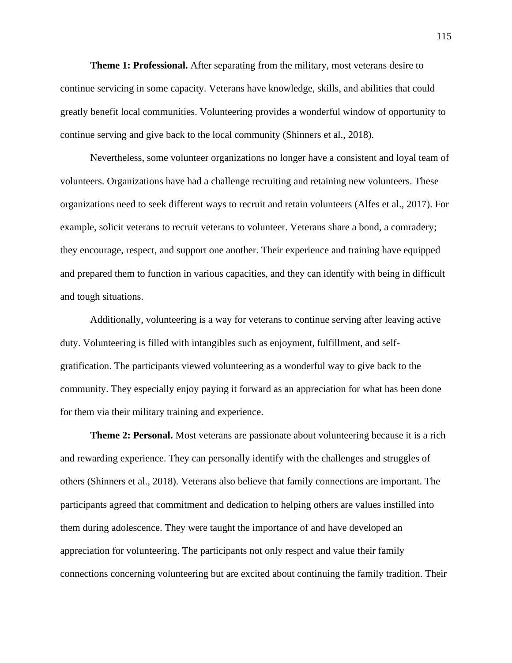**Theme 1: Professional.** After separating from the military, most veterans desire to continue servicing in some capacity. Veterans have knowledge, skills, and abilities that could greatly benefit local communities. Volunteering provides a wonderful window of opportunity to continue serving and give back to the local community (Shinners et al., 2018).

Nevertheless, some volunteer organizations no longer have a consistent and loyal team of volunteers. Organizations have had a challenge recruiting and retaining new volunteers. These organizations need to seek different ways to recruit and retain volunteers (Alfes et al., 2017). For example, solicit veterans to recruit veterans to volunteer. Veterans share a bond, a comradery; they encourage, respect, and support one another. Their experience and training have equipped and prepared them to function in various capacities, and they can identify with being in difficult and tough situations.

Additionally, volunteering is a way for veterans to continue serving after leaving active duty. Volunteering is filled with intangibles such as enjoyment, fulfillment, and selfgratification. The participants viewed volunteering as a wonderful way to give back to the community. They especially enjoy paying it forward as an appreciation for what has been done for them via their military training and experience.

**Theme 2: Personal.** Most veterans are passionate about volunteering because it is a rich and rewarding experience. They can personally identify with the challenges and struggles of others (Shinners et al., 2018). Veterans also believe that family connections are important. The participants agreed that commitment and dedication to helping others are values instilled into them during adolescence. They were taught the importance of and have developed an appreciation for volunteering. The participants not only respect and value their family connections concerning volunteering but are excited about continuing the family tradition. Their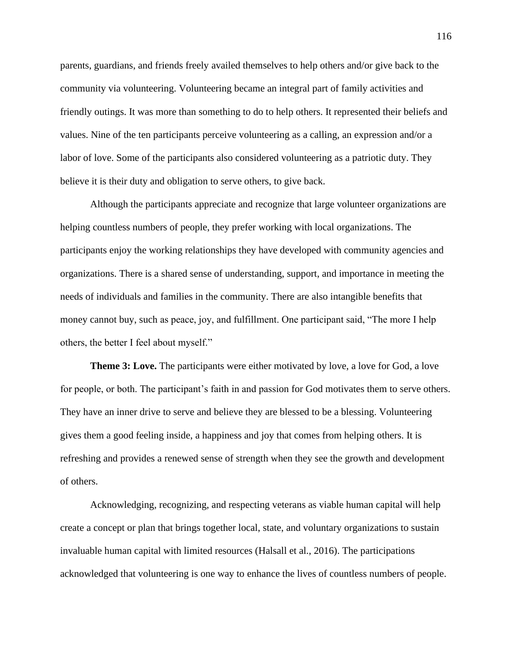parents, guardians, and friends freely availed themselves to help others and/or give back to the community via volunteering. Volunteering became an integral part of family activities and friendly outings. It was more than something to do to help others. It represented their beliefs and values. Nine of the ten participants perceive volunteering as a calling, an expression and/or a labor of love. Some of the participants also considered volunteering as a patriotic duty. They believe it is their duty and obligation to serve others, to give back.

Although the participants appreciate and recognize that large volunteer organizations are helping countless numbers of people, they prefer working with local organizations. The participants enjoy the working relationships they have developed with community agencies and organizations. There is a shared sense of understanding, support, and importance in meeting the needs of individuals and families in the community. There are also intangible benefits that money cannot buy, such as peace, joy, and fulfillment. One participant said, "The more I help others, the better I feel about myself."

**Theme 3: Love.** The participants were either motivated by love, a love for God, a love for people, or both. The participant's faith in and passion for God motivates them to serve others. They have an inner drive to serve and believe they are blessed to be a blessing. Volunteering gives them a good feeling inside, a happiness and joy that comes from helping others. It is refreshing and provides a renewed sense of strength when they see the growth and development of others.

Acknowledging, recognizing, and respecting veterans as viable human capital will help create a concept or plan that brings together local, state, and voluntary organizations to sustain invaluable human capital with limited resources (Halsall et al., 2016). The participations acknowledged that volunteering is one way to enhance the lives of countless numbers of people.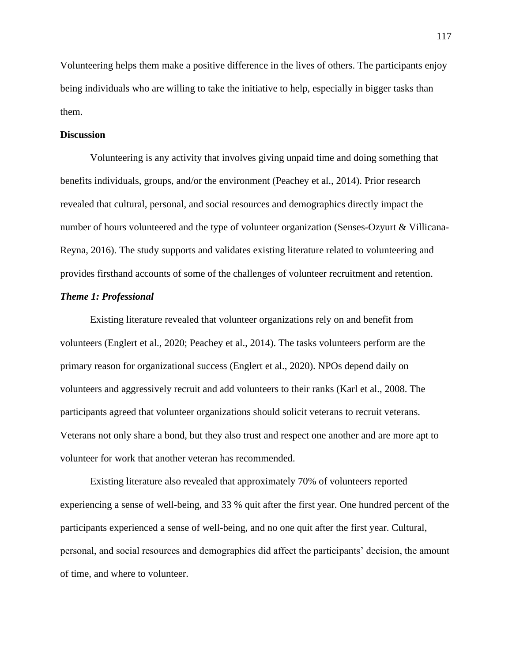Volunteering helps them make a positive difference in the lives of others. The participants enjoy being individuals who are willing to take the initiative to help, especially in bigger tasks than them.

#### **Discussion**

Volunteering is any activity that involves giving unpaid time and doing something that benefits individuals, groups, and/or the environment (Peachey et al., 2014). Prior research revealed that cultural, personal, and social resources and demographics directly impact the number of hours volunteered and the type of volunteer organization (Senses-Ozyurt & Villicana-Reyna, 2016). The study supports and validates existing literature related to volunteering and provides firsthand accounts of some of the challenges of volunteer recruitment and retention.

## *Theme 1: Professional*

Existing literature revealed that volunteer organizations rely on and benefit from volunteers (Englert et al., 2020; Peachey et al., 2014). The tasks volunteers perform are the primary reason for organizational success (Englert et al., 2020). NPOs depend daily on volunteers and aggressively recruit and add volunteers to their ranks (Karl et al., 2008. The participants agreed that volunteer organizations should solicit veterans to recruit veterans. Veterans not only share a bond, but they also trust and respect one another and are more apt to volunteer for work that another veteran has recommended.

Existing literature also revealed that approximately 70% of volunteers reported experiencing a sense of well-being, and 33 % quit after the first year. One hundred percent of the participants experienced a sense of well-being, and no one quit after the first year. Cultural, personal, and social resources and demographics did affect the participants' decision, the amount of time, and where to volunteer.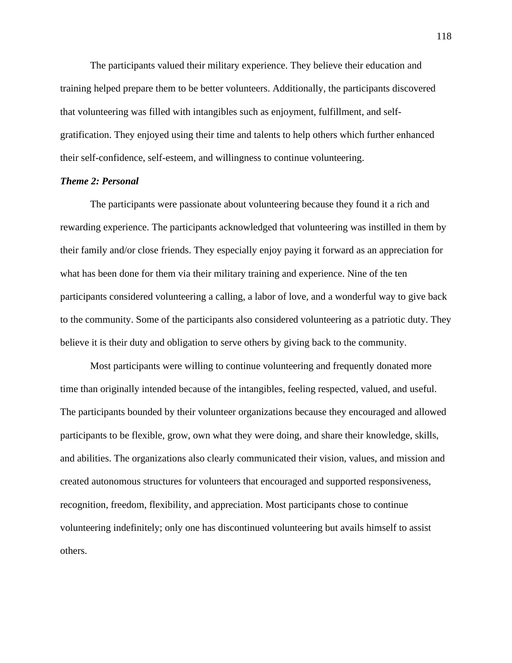The participants valued their military experience. They believe their education and training helped prepare them to be better volunteers. Additionally, the participants discovered that volunteering was filled with intangibles such as enjoyment, fulfillment, and selfgratification. They enjoyed using their time and talents to help others which further enhanced their self-confidence, self-esteem, and willingness to continue volunteering.

#### *Theme 2: Personal*

The participants were passionate about volunteering because they found it a rich and rewarding experience. The participants acknowledged that volunteering was instilled in them by their family and/or close friends. They especially enjoy paying it forward as an appreciation for what has been done for them via their military training and experience. Nine of the ten participants considered volunteering a calling, a labor of love, and a wonderful way to give back to the community. Some of the participants also considered volunteering as a patriotic duty. They believe it is their duty and obligation to serve others by giving back to the community.

Most participants were willing to continue volunteering and frequently donated more time than originally intended because of the intangibles, feeling respected, valued, and useful. The participants bounded by their volunteer organizations because they encouraged and allowed participants to be flexible, grow, own what they were doing, and share their knowledge, skills, and abilities. The organizations also clearly communicated their vision, values, and mission and created autonomous structures for volunteers that encouraged and supported responsiveness, recognition, freedom, flexibility, and appreciation. Most participants chose to continue volunteering indefinitely; only one has discontinued volunteering but avails himself to assist others.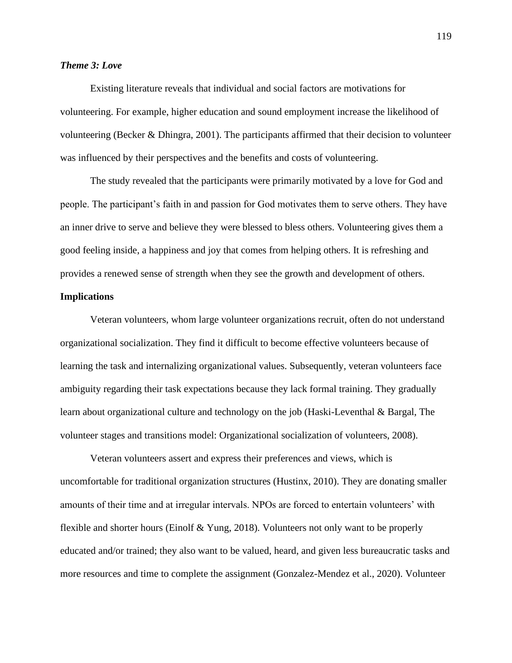# *Theme 3: Love*

Existing literature reveals that individual and social factors are motivations for volunteering. For example, higher education and sound employment increase the likelihood of volunteering (Becker & Dhingra, 2001). The participants affirmed that their decision to volunteer was influenced by their perspectives and the benefits and costs of volunteering.

The study revealed that the participants were primarily motivated by a love for God and people. The participant's faith in and passion for God motivates them to serve others. They have an inner drive to serve and believe they were blessed to bless others. Volunteering gives them a good feeling inside, a happiness and joy that comes from helping others. It is refreshing and provides a renewed sense of strength when they see the growth and development of others.

# **Implications**

Veteran volunteers, whom large volunteer organizations recruit, often do not understand organizational socialization. They find it difficult to become effective volunteers because of learning the task and internalizing organizational values. Subsequently, veteran volunteers face ambiguity regarding their task expectations because they lack formal training. They gradually learn about organizational culture and technology on the job (Haski-Leventhal & Bargal, The volunteer stages and transitions model: Organizational socialization of volunteers, 2008).

Veteran volunteers assert and express their preferences and views, which is uncomfortable for traditional organization structures (Hustinx, 2010). They are donating smaller amounts of their time and at irregular intervals. NPOs are forced to entertain volunteers' with flexible and shorter hours (Einolf & Yung, 2018). Volunteers not only want to be properly educated and/or trained; they also want to be valued, heard, and given less bureaucratic tasks and more resources and time to complete the assignment (Gonzalez-Mendez et al., 2020). Volunteer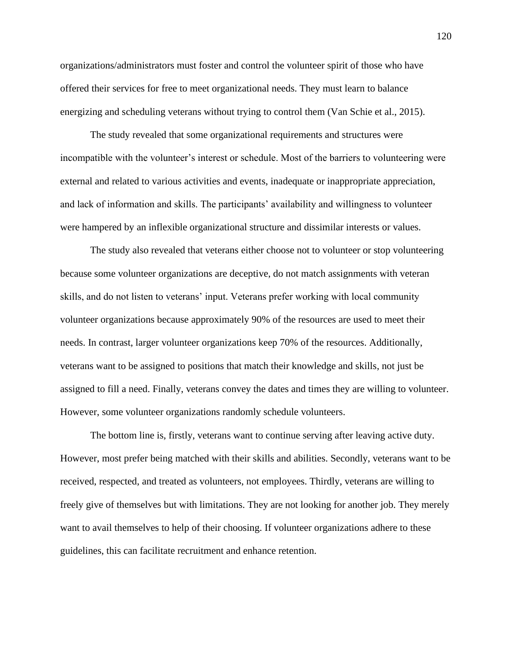organizations/administrators must foster and control the volunteer spirit of those who have offered their services for free to meet organizational needs. They must learn to balance energizing and scheduling veterans without trying to control them (Van Schie et al., 2015).

The study revealed that some organizational requirements and structures were incompatible with the volunteer's interest or schedule. Most of the barriers to volunteering were external and related to various activities and events, inadequate or inappropriate appreciation, and lack of information and skills. The participants' availability and willingness to volunteer were hampered by an inflexible organizational structure and dissimilar interests or values.

The study also revealed that veterans either choose not to volunteer or stop volunteering because some volunteer organizations are deceptive, do not match assignments with veteran skills, and do not listen to veterans' input. Veterans prefer working with local community volunteer organizations because approximately 90% of the resources are used to meet their needs. In contrast, larger volunteer organizations keep 70% of the resources. Additionally, veterans want to be assigned to positions that match their knowledge and skills, not just be assigned to fill a need. Finally, veterans convey the dates and times they are willing to volunteer. However, some volunteer organizations randomly schedule volunteers.

The bottom line is, firstly, veterans want to continue serving after leaving active duty. However, most prefer being matched with their skills and abilities. Secondly, veterans want to be received, respected, and treated as volunteers, not employees. Thirdly, veterans are willing to freely give of themselves but with limitations. They are not looking for another job. They merely want to avail themselves to help of their choosing. If volunteer organizations adhere to these guidelines, this can facilitate recruitment and enhance retention.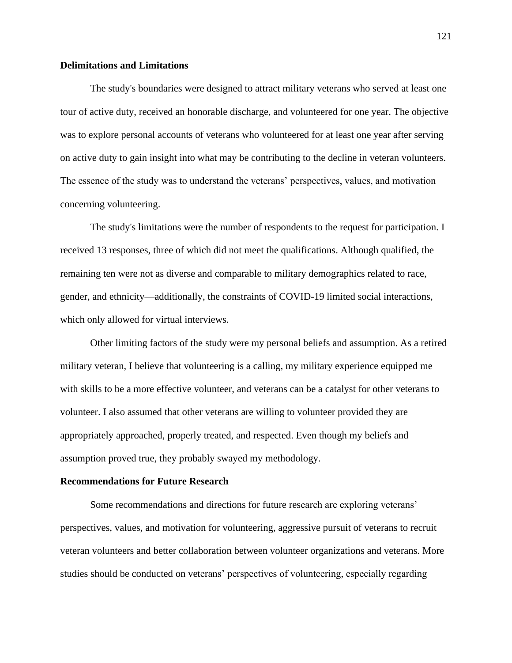# **Delimitations and Limitations**

The study's boundaries were designed to attract military veterans who served at least one tour of active duty, received an honorable discharge, and volunteered for one year. The objective was to explore personal accounts of veterans who volunteered for at least one year after serving on active duty to gain insight into what may be contributing to the decline in veteran volunteers. The essence of the study was to understand the veterans' perspectives, values, and motivation concerning volunteering.

The study's limitations were the number of respondents to the request for participation. I received 13 responses, three of which did not meet the qualifications. Although qualified, the remaining ten were not as diverse and comparable to military demographics related to race, gender, and ethnicity—additionally, the constraints of COVID-19 limited social interactions, which only allowed for virtual interviews.

Other limiting factors of the study were my personal beliefs and assumption. As a retired military veteran, I believe that volunteering is a calling, my military experience equipped me with skills to be a more effective volunteer, and veterans can be a catalyst for other veterans to volunteer. I also assumed that other veterans are willing to volunteer provided they are appropriately approached, properly treated, and respected. Even though my beliefs and assumption proved true, they probably swayed my methodology.

#### **Recommendations for Future Research**

Some recommendations and directions for future research are exploring veterans' perspectives, values, and motivation for volunteering, aggressive pursuit of veterans to recruit veteran volunteers and better collaboration between volunteer organizations and veterans. More studies should be conducted on veterans' perspectives of volunteering, especially regarding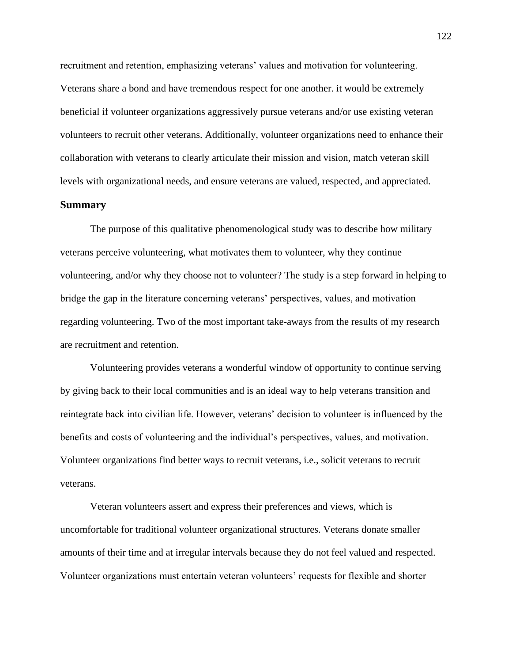recruitment and retention, emphasizing veterans' values and motivation for volunteering. Veterans share a bond and have tremendous respect for one another. it would be extremely beneficial if volunteer organizations aggressively pursue veterans and/or use existing veteran volunteers to recruit other veterans. Additionally, volunteer organizations need to enhance their collaboration with veterans to clearly articulate their mission and vision, match veteran skill levels with organizational needs, and ensure veterans are valued, respected, and appreciated.

#### **Summary**

The purpose of this qualitative phenomenological study was to describe how military veterans perceive volunteering, what motivates them to volunteer, why they continue volunteering, and/or why they choose not to volunteer? The study is a step forward in helping to bridge the gap in the literature concerning veterans' perspectives, values, and motivation regarding volunteering. Two of the most important take-aways from the results of my research are recruitment and retention.

Volunteering provides veterans a wonderful window of opportunity to continue serving by giving back to their local communities and is an ideal way to help veterans transition and reintegrate back into civilian life. However, veterans' decision to volunteer is influenced by the benefits and costs of volunteering and the individual's perspectives, values, and motivation. Volunteer organizations find better ways to recruit veterans, i.e., solicit veterans to recruit veterans.

Veteran volunteers assert and express their preferences and views, which is uncomfortable for traditional volunteer organizational structures. Veterans donate smaller amounts of their time and at irregular intervals because they do not feel valued and respected. Volunteer organizations must entertain veteran volunteers' requests for flexible and shorter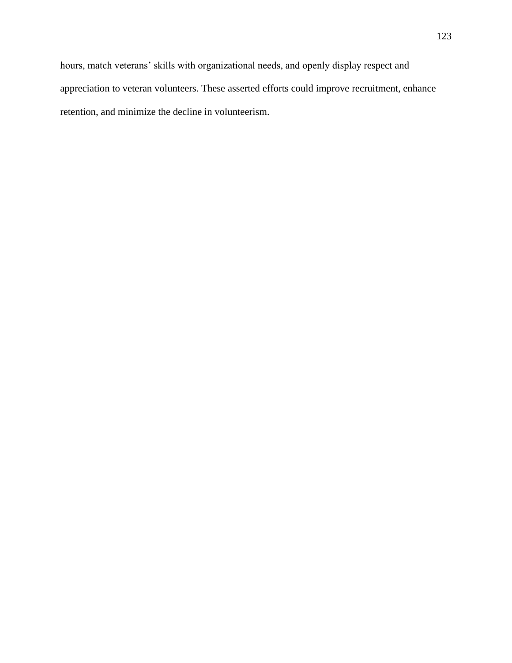retention, and minimize the decline in volunteerism.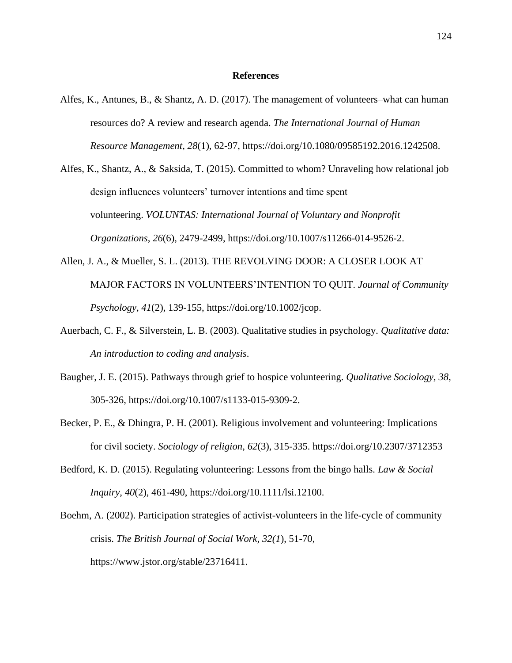#### **References**

- Alfes, K., Antunes, B., & Shantz, A. D. (2017). The management of volunteers–what can human resources do? A review and research agenda. *The International Journal of Human Resource Management*, *28*(1), 62-97, https://doi.org/10.1080/09585192.2016.1242508.
- Alfes, K., Shantz, A., & Saksida, T. (2015). Committed to whom? Unraveling how relational job design influences volunteers' turnover intentions and time spent volunteering. *VOLUNTAS: International Journal of Voluntary and Nonprofit Organizations*, *26*(6), 2479-2499, https://doi.org/10.1007/s11266-014-9526-2.
- Allen, J. A., & Mueller, S. L. (2013). THE REVOLVING DOOR: A CLOSER LOOK AT MAJOR FACTORS IN VOLUNTEERS'INTENTION TO QUIT. *Journal of Community Psychology*, *41*(2), 139-155, https://doi.org/10.1002/jcop.
- Auerbach, C. F., & Silverstein, L. B. (2003). Qualitative studies in psychology. *Qualitative data: An introduction to coding and analysis*.
- Baugher, J. E. (2015). Pathways through grief to hospice volunteering. *Qualitative Sociology, 38*, 305-326, https://doi.org/10.1007/s1133-015-9309-2.
- Becker, P. E., & Dhingra, P. H. (2001). Religious involvement and volunteering: Implications for civil society. *Sociology of religion*, *62*(3), 315-335. https://doi.org/10.2307/3712353
- Bedford, K. D. (2015). Regulating volunteering: Lessons from the bingo halls. *Law & Social Inquiry*, *40*(2), 461-490, https://doi.org/10.1111/lsi.12100.

Boehm, A. (2002). Participation strategies of activist-volunteers in the life-cycle of community crisis. *The British Journal of Social Work, 32(1*), 51-70, ht[tps://www.jstor.org/stable/23716411.](http://www.jstor.org/stable/23716411)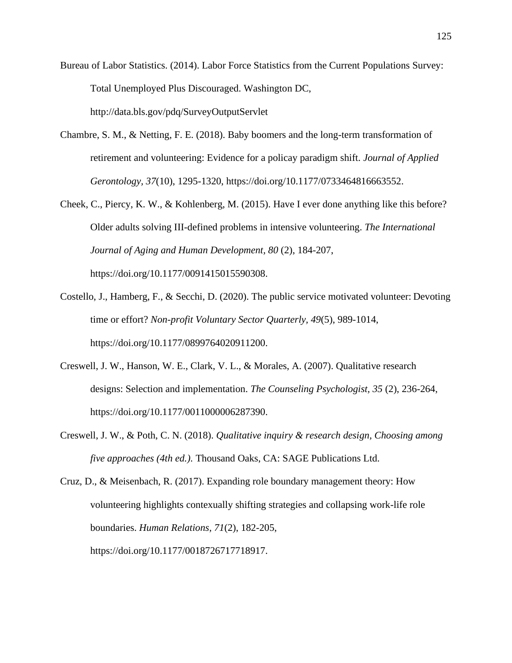Bureau of Labor Statistics. (2014). Labor Force Statistics from the Current Populations Survey: Total Unemployed Plus Discouraged. Washington DC, <http://data.bls.gov/pdq/SurveyOutputServlet>

- Chambre, S. M., & Netting, F. E. (2018). Baby boomers and the long-term transformation of retirement and volunteering: Evidence for a policay paradigm shift. *Journal of Applied Gerontology, 37*(10), 1295-1320, https://doi.org/10.1177/0733464816663552.
- Cheek, C., Piercy, K. W., & Kohlenberg, M. (2015). Have I ever done anything like this before? Older adults solving III-defined problems in intensive volunteering. *The International Journal of Aging and Human Development, 80* (2), 184-207, https://doi.org/10.1177/0091415015590308.
- Costello, J., Hamberg, F., & Secchi, D. (2020). The public service motivated volunteer: Devoting time or effort? *Non-profit Voluntary Sector Quarterly, 49*(5), 989-1014, https://doi.org/10.1177/0899764020911200.
- Creswell, J. W., Hanson, W. E., Clark, V. L., & Morales, A. (2007). Qualitative research designs: Selection and implementation. *The Counseling Psychologist, 35* (2), 236-264, https://doi.org/10.1177/0011000006287390.
- Creswell, J. W., & Poth, C. N. (2018). *Qualitative inquiry & research design, Choosing among five approaches (4th ed.).* Thousand Oaks, CA: SAGE Publications Ltd.

Cruz, D., & Meisenbach, R. (2017). Expanding role boundary management theory: How volunteering highlights contexually shifting strategies and collapsing work-life role boundaries. *Human Relations, 71*(2), 182-205, https://doi.org/10.1177/0018726717718917.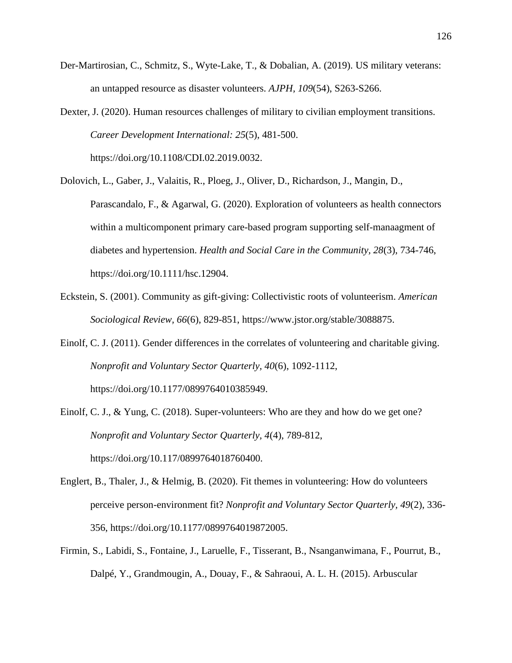- Der-Martirosian, C., Schmitz, S., Wyte-Lake, T., & Dobalian, A. (2019). US military veterans: an untapped resource as disaster volunteers. *AJPH, 109*(54), S263-S266.
- Dexter, J. (2020). Human resources challenges of military to civilian employment transitions. *Career Development International: 25*(5), 481-500. https://doi.org/10.1108/CDI.02.2019.0032.
- Dolovich, L., Gaber, J., Valaitis, R., Ploeg, J., Oliver, D., Richardson, J., Mangin, D., Parascandalo, F., & Agarwal, G. (2020). Exploration of volunteers as health connectors within a multicomponent primary care-based program supporting self-manaagment of diabetes and hypertension. *Health and Social Care in the Community, 28*(3), 734-746, https://doi.org/10.1111/hsc.12904.
- Eckstein, S. (2001). Community as gift-giving: Collectivistic roots of volunteerism. *American Sociological Review, 66*(6), 829-851, ht[tps://www.jstor.org/stable/3088875.](http://www.jstor.org/stable/3088875)
- Einolf, C. J. (2011). Gender differences in the correlates of volunteering and charitable giving. *Nonprofit and Voluntary Sector Quarterly, 40*(6), 1092-1112, https://doi.org/10.1177/0899764010385949.
- Einolf, C. J., & Yung, C. (2018). Super-volunteers: Who are they and how do we get one? *Nonprofit and Voluntary Sector Quarterly, 4*(4), 789-812, https://doi.org/10.117/0899764018760400.
- Englert, B., Thaler, J., & Helmig, B. (2020). Fit themes in volunteering: How do volunteers perceive person-environment fit? *Nonprofit and Voluntary Sector Quarterly, 49*(2), 336- 356, https://doi.org/10.1177/0899764019872005.
- Firmin, S., Labidi, S., Fontaine, J., Laruelle, F., Tisserant, B., Nsanganwimana, F., Pourrut, B., Dalpé, Y., Grandmougin, A., Douay, F., & Sahraoui, A. L. H. (2015). Arbuscular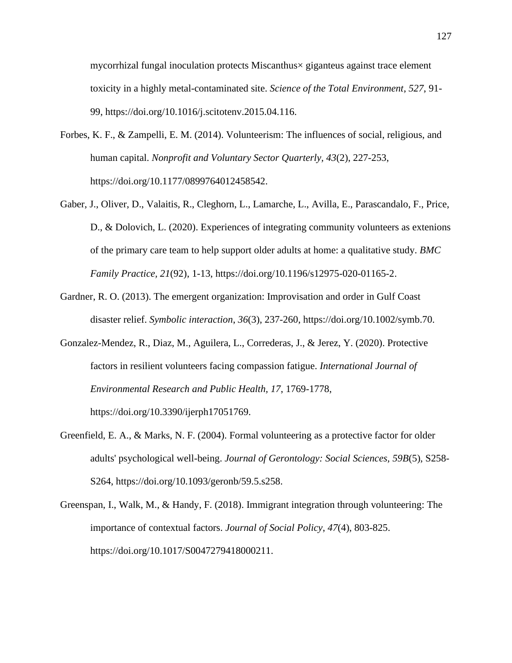mycorrhizal fungal inoculation protects Miscanthus× giganteus against trace element toxicity in a highly metal-contaminated site. *Science of the Total Environment*, *527*, 91- 99, https://doi.org/10.1016/j.scitotenv.2015.04.116.

- Forbes, K. F., & Zampelli, E. M. (2014). Volunteerism: The influences of social, religious, and human capital. *Nonprofit and Voluntary Sector Quarterly, 43*(2), 227-253, https://doi.org/10.1177/0899764012458542.
- Gaber, J., Oliver, D., Valaitis, R., Cleghorn, L., Lamarche, L., Avilla, E., Parascandalo, F., Price, D., & Dolovich, L. (2020). Experiences of integrating community volunteers as extenions of the primary care team to help support older adults at home: a qualitative study. *BMC Family Practice, 21*(92), 1-13, https://doi.org/10.1196/s12975-020-01165-2.
- Gardner, R. O. (2013). The emergent organization: Improvisation and order in Gulf Coast disaster relief. *Symbolic interaction*, *36*(3), 237-260, https://doi.org/10.1002/symb.70.
- Gonzalez-Mendez, R., Diaz, M., Aguilera, L., Correderas, J., & Jerez, Y. (2020). Protective factors in resilient volunteers facing compassion fatigue. *International Journal of Environmental Research and Public Health, 17*, 1769-1778,

https://doi.org/10.3390/ijerph17051769.

- Greenfield, E. A., & Marks, N. F. (2004). Formal volunteering as a protective factor for older adults' psychological well-being. *Journal of Gerontology: Social Sciences, 59B*(5), S258- S264, https://doi.org/10.1093/geronb/59.5.s258.
- Greenspan, I., Walk, M., & Handy, F. (2018). Immigrant integration through volunteering: The importance of contextual factors. *Journal of Social Policy*, *47*(4), 803-825. https://doi.org/10.1017/S0047279418000211.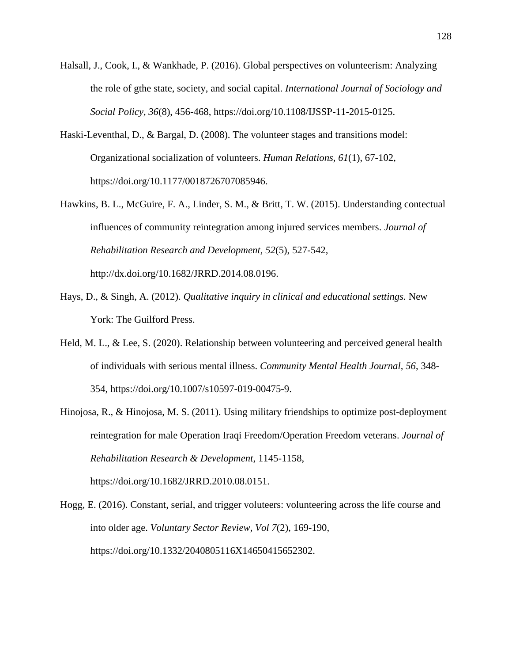- Halsall, J., Cook, I., & Wankhade, P. (2016). Global perspectives on volunteerism: Analyzing the role of gthe state, society, and social capital. *International Journal of Sociology and Social Policy, 36*(8), 456-468, https://doi.org/10.1108/IJSSP-11-2015-0125.
- Haski-Leventhal, D., & Bargal, D. (2008). The volunteer stages and transitions model: Organizational socialization of volunteers. *Human Relations, 61*(1), 67-102, https://doi.org/10.1177/0018726707085946.
- Hawkins, B. L., McGuire, F. A., Linder, S. M., & Britt, T. W. (2015). Understanding contectual influences of community reintegration among injured services members. *Journal of Rehabilitation Research and Development, 52*(5), 527-542, [http://dx.doi.org/10.1682/JRRD.2014.08.0196.](http://dx.doi.org/10.1682/JRRD.2014.08.0196)
- Hays, D., & Singh, A. (2012). *Qualitative inquiry in clinical and educational settings.* New York: The Guilford Press.
- Held, M. L., & Lee, S. (2020). Relationship between volunteering and perceived general health of individuals with serious mental illness. *Community Mental Health Journal, 56*, 348- 354, https://doi.org/10.1007/s10597-019-00475-9.
- Hinojosa, R., & Hinojosa, M. S. (2011). Using military friendships to optimize post-deployment reintegration for male Operation Iraqi Freedom/Operation Freedom veterans. *Journal of Rehabilitation Research & Development*, 1145-1158,

https://doi.org/10.1682/JRRD.2010.08.0151.

Hogg, E. (2016). Constant, serial, and trigger voluteers: volunteering across the life course and into older age. *Voluntary Sector Review, Vol 7*(2), 169-190, https://doi.org/10.1332/2040805116X14650415652302.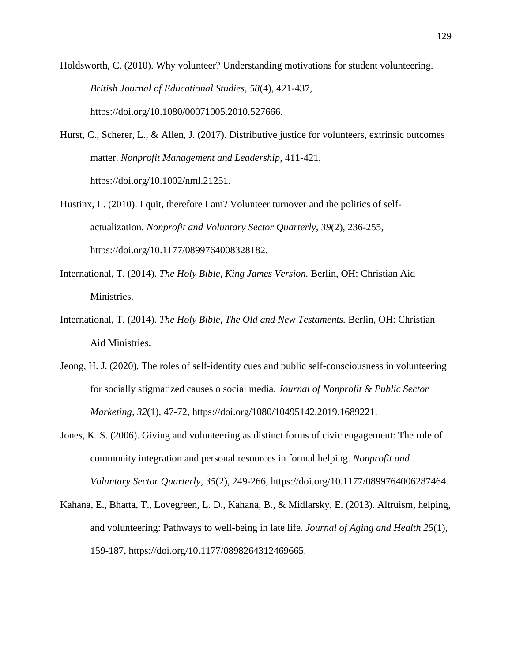Holdsworth, C. (2010). Why volunteer? Understanding motivations for student volunteering. *British Journal of Educational Studies, 58*(4), 421-437, https://doi.org/10.1080/00071005.2010.527666.

- Hurst, C., Scherer, L., & Allen, J. (2017). Distributive justice for volunteers, extrinsic outcomes matter. *Nonprofit Management and Leadership*, 411-421, https://doi.org/10.1002/nml.21251.
- Hustinx, L. (2010). I quit, therefore I am? Volunteer turnover and the politics of selfactualization. *Nonprofit and Voluntary Sector Quarterly, 39*(2), 236-255, https://doi.org/10.1177/0899764008328182.
- International, T. (2014). *The Holy Bible, King James Version.* Berlin, OH: Christian Aid Ministries.
- International, T. (2014). *The Holy Bible, The Old and New Testaments.* Berlin, OH: Christian Aid Ministries.
- Jeong, H. J. (2020). The roles of self-identity cues and public self-consciousness in volunteering for socially stigmatized causes o social media. *Journal of Nonprofit & Public Sector Marketing, 32*(1), 47-72, https://doi.org/1080/10495142.2019.1689221.
- Jones, K. S. (2006). Giving and volunteering as distinct forms of civic engagement: The role of community integration and personal resources in formal helping. *Nonprofit and Voluntary Sector Quarterly, 35*(2), 249-266, https://doi.org/10.1177/0899764006287464.
- Kahana, E., Bhatta, T., Lovegreen, L. D., Kahana, B., & Midlarsky, E. (2013). Altruism, helping, and volunteering: Pathways to well-being in late life. *Journal of Aging and Health 25*(1), 159-187, https://doi.org/10.1177/0898264312469665.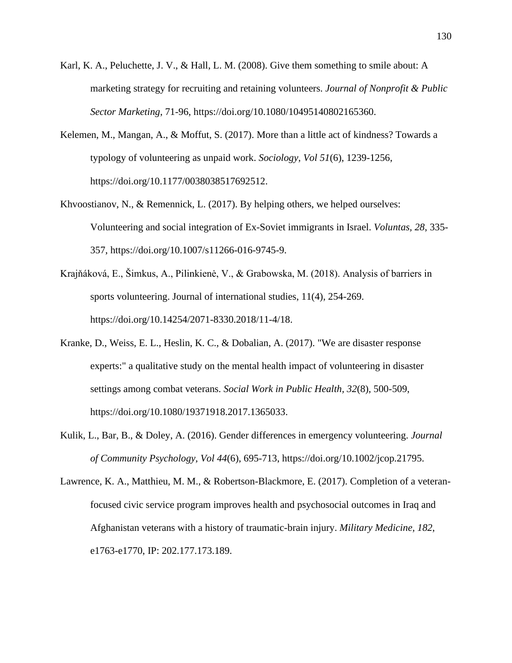- Karl, K. A., Peluchette, J. V., & Hall, L. M. (2008). Give them something to smile about: A marketing strategy for recruiting and retaining volunteers. *Journal of Nonprofit & Public Sector Marketing*, 71-96, https://doi.org/10.1080/10495140802165360.
- Kelemen, M., Mangan, A., & Moffut, S. (2017). More than a little act of kindness? Towards a typology of volunteering as unpaid work. *Sociology, Vol 51*(6), 1239-1256, https://doi.org/10.1177/0038038517692512.
- Khvoostianov, N., & Remennick, L. (2017). By helping others, we helped ourselves: Volunteering and social integration of Ex-Soviet immigrants in Israel. *Voluntas, 28*, 335- 357, https://doi.org/10.1007/s11266-016-9745-9.
- Krajňáková, E., Šimkus, A., Pilinkienė, V., & Grabowska, M. (2018). Analysis of barriers in sports volunteering. Journal of international studies, 11(4), 254-269. https://doi.org/10.14254/2071-8330.2018/11-4/18.
- Kranke, D., Weiss, E. L., Heslin, K. C., & Dobalian, A. (2017). "We are disaster response experts:" a qualitative study on the mental health impact of volunteering in disaster settings among combat veterans. *Social Work in Public Health, 32*(8), 500-509, https://doi.org/10.1080/19371918.2017.1365033.
- Kulik, L., Bar, B., & Doley, A. (2016). Gender differences in emergency volunteering. *Journal of Community Psychology, Vol 44*(6), 695-713, https://doi.org/10.1002/jcop.21795.
- Lawrence, K. A., Matthieu, M. M., & Robertson-Blackmore, E. (2017). Completion of a veteranfocused civic service program improves health and psychosocial outcomes in Iraq and Afghanistan veterans with a history of traumatic-brain injury. *Military Medicine, 182*, e1763-e1770, IP: 202.177.173.189.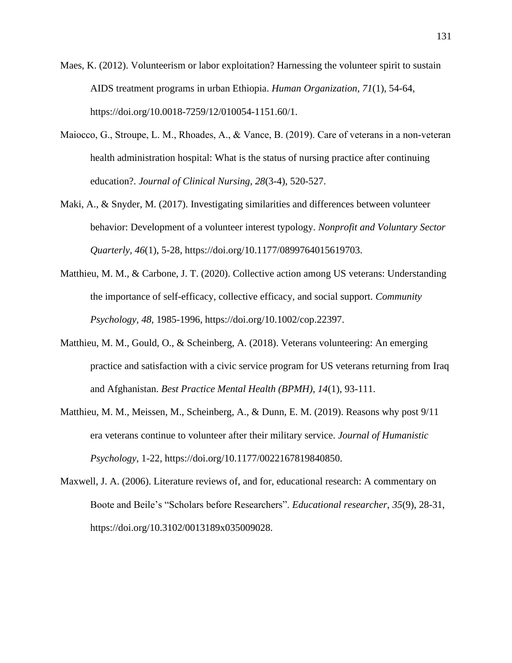- Maes, K. (2012). Volunteerism or labor exploitation? Harnessing the volunteer spirit to sustain AIDS treatment programs in urban Ethiopia. *Human Organization, 71*(1), 54-64, https://doi.org/10.0018-7259/12/010054-1151.60/1.
- Maiocco, G., Stroupe, L. M., Rhoades, A., & Vance, B. (2019). Care of veterans in a non-veteran health administration hospital: What is the status of nursing practice after continuing education?. *Journal of Clinical Nursing*, *28*(3-4), 520-527.
- Maki, A., & Snyder, M. (2017). Investigating similarities and differences between volunteer behavior: Development of a volunteer interest typology. *Nonprofit and Voluntary Sector Quarterly, 46*(1), 5-28, https://doi.org/10.1177/0899764015619703.
- Matthieu, M. M., & Carbone, J. T. (2020). Collective action among US veterans: Understanding the importance of self-efficacy, collective efficacy, and social support. *Community Psychology, 48*, 1985-1996, https://doi.org/10.1002/cop.22397.
- Matthieu, M. M., Gould, O., & Scheinberg, A. (2018). Veterans volunteering: An emerging practice and satisfaction with a civic service program for US veterans returning from Iraq and Afghanistan. *Best Practice Mental Health (BPMH), 14*(1), 93-111.
- Matthieu, M. M., Meissen, M., Scheinberg, A., & Dunn, E. M. (2019). Reasons why post 9/11 era veterans continue to volunteer after their military service. *Journal of Humanistic Psychology*, 1-22, https://doi.org/10.1177/0022167819840850.
- Maxwell, J. A. (2006). Literature reviews of, and for, educational research: A commentary on Boote and Beile's "Scholars before Researchers". *Educational researcher*, *35*(9), 28-31, https://doi.org/10.3102/0013189x035009028.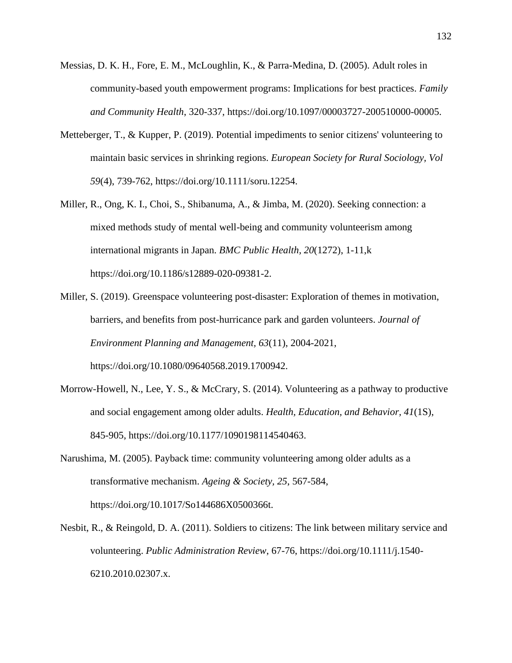- Messias, D. K. H., Fore, E. M., McLoughlin, K., & Parra-Medina, D. (2005). Adult roles in community-based youth empowerment programs: Implications for best practices. *Family and Community Health*, 320-337, https://doi.org/10.1097/00003727-200510000-00005.
- Metteberger, T., & Kupper, P. (2019). Potential impediments to senior citizens' volunteering to maintain basic services in shrinking regions. *European Society for Rural Sociology, Vol 59*(4), 739-762, https://doi.org/10.1111/soru.12254.
- Miller, R., Ong, K. I., Choi, S., Shibanuma, A., & Jimba, M. (2020). Seeking connection: a mixed methods study of mental well-being and community volunteerism among international migrants in Japan. *BMC Public Health, 20*(1272), 1-11,k https://doi.org/10.1186/s12889-020-09381-2.
- Miller, S. (2019). Greenspace volunteering post-disaster: Exploration of themes in motivation, barriers, and benefits from post-hurricance park and garden volunteers. *Journal of Environment Planning and Management, 63*(11), 2004-2021, https://doi.org/10.1080/09640568.2019.1700942.
- Morrow-Howell, N., Lee, Y. S., & McCrary, S. (2014). Volunteering as a pathway to productive and social engagement among older adults. *Health, Education, and Behavior, 41*(1S), 845-905, https://doi.org/10.1177/1090198114540463.
- Narushima, M. (2005). Payback time: community volunteering among older adults as a transformative mechanism. *Ageing & Society, 25*, 567-584, https://doi.org/10.1017/So144686X0500366t.
- Nesbit, R., & Reingold, D. A. (2011). Soldiers to citizens: The link between military service and volunteering. *Public Administration Review*, 67-76, https://doi.org/10.1111/j.1540- 6210.2010.02307.x.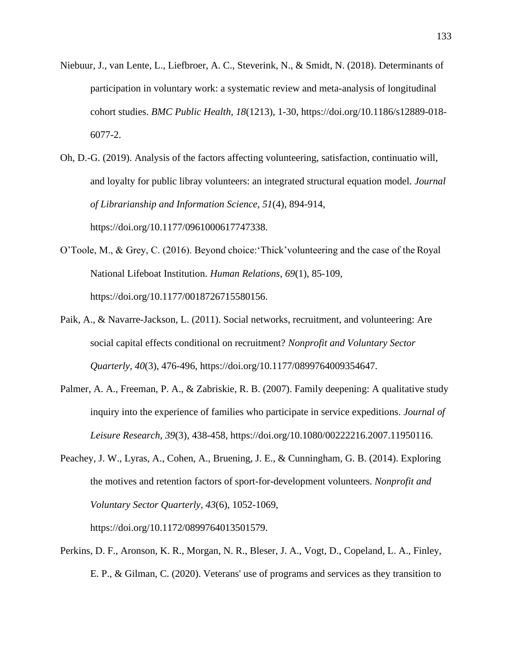- Niebuur, J., van Lente, L., Liefbroer, A. C., Steverink, N., & Smidt, N. (2018). Determinants of participation in voluntary work: a systematic review and meta-analysis of longitudinal cohort studies. *BMC Public Health, 18*(1213), 1-30, https://doi.org/10.1186/s12889-018- 6077-2.
- Oh, D.-G. (2019). Analysis of the factors affecting volunteering, satisfaction, continuatio will, and loyalty for public libray volunteers: an integrated structural equation model. *Journal of Librarianship and Information Science, 51*(4), 894-914, https://doi.org/10.1177/0961000617747338.
- O'Toole, M., & Grey, C. (2016). Beyond choice:'Thick'volunteering and the case of the Royal National Lifeboat Institution. *Human Relations*, *69*(1), 85-109, https://doi.org/10.1177/0018726715580156.
- Paik, A., & Navarre-Jackson, L. (2011). Social networks, recruitment, and volunteering: Are social capital effects conditional on recruitment? *Nonprofit and Voluntary Sector Quarterly, 40*(3), 476-496, https://doi.org/10.1177/0899764009354647.
- Palmer, A. A., Freeman, P. A., & Zabriskie, R. B. (2007). Family deepening: A qualitative study inquiry into the experience of families who participate in service expeditions. *Journal of Leisure Research, 39*(3), 438-458, https://doi.org/10.1080/00222216.2007.11950116.
- Peachey, J. W., Lyras, A., Cohen, A., Bruening, J. E., & Cunningham, G. B. (2014). Exploring the motives and retention factors of sport-for-development volunteers. *Nonprofit and Voluntary Sector Quarterly, 43*(6), 1052-1069,

https://doi.org/10.1172/0899764013501579.

Perkins, D. F., Aronson, K. R., Morgan, N. R., Bleser, J. A., Vogt, D., Copeland, L. A., Finley, E. P., & Gilman, C. (2020). Veterans' use of programs and services as they transition to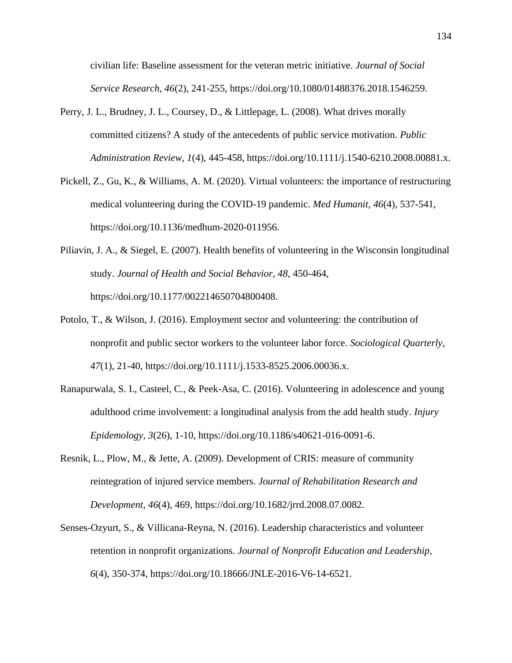civilian life: Baseline assessment for the veteran metric initiative. *Journal of Social Service Research, 46*(2), 241-255, https://doi.org/10.1080/01488376.2018.1546259.

- Perry, J. L., Brudney, J. L., Coursey, D., & Littlepage, L. (2008). What drives morally committed citizens? A study of the antecedents of public service motivation. *Public Administration Review, 1*(4), 445-458, https://doi.org/10.1111/j.1540-6210.2008.00881.x.
- Pickell, Z., Gu, K., & Williams, A. M. (2020). Virtual volunteers: the importance of restructuring medical volunteering during the COVID-19 pandemic. *Med Humanit, 46*(4), 537-541, https://doi.org/10.1136/medhum-2020-011956.
- Piliavin, J. A., & Siegel, E. (2007). Health benefits of volunteering in the Wisconsin longitudinal study. *Journal of Health and Social Behavior, 48*, 450-464, https://doi.org/10.1177/002214650704800408.
- Potolo, T., & Wilson, J. (2016). Employment sector and volunteering: the contribution of nonprofit and public sector workers to the volunteer labor force. *Sociological Quarterly, 47*(1), 21-40, https://doi.org/10.1111/j.1533-8525.2006.00036.x.
- Ranapurwala, S. I., Casteel, C., & Peek-Asa, C. (2016). Volunteering in adolescence and young adulthood crime involvement: a longitudinal analysis from the add health study. *Injury Epidemology, 3*(26), 1-10, https://doi.org/10.1186/s40621-016-0091-6.
- Resnik, L., Plow, M., & Jette, A. (2009). Development of CRIS: measure of community reintegration of injured service members. *Journal of Rehabilitation Research and Development*, *46*(4), 469, https://doi.org/10.1682/jrrd.2008.07.0082.
- Senses-Ozyurt, S., & Villicana-Reyna, N. (2016). Leadership characteristics and volunteer retention in nonprofit organizations. *Journal of Nonprofit Education and Leadership, 6*(4), 350-374, https://doi.org/10.18666/JNLE-2016-V6-14-6521.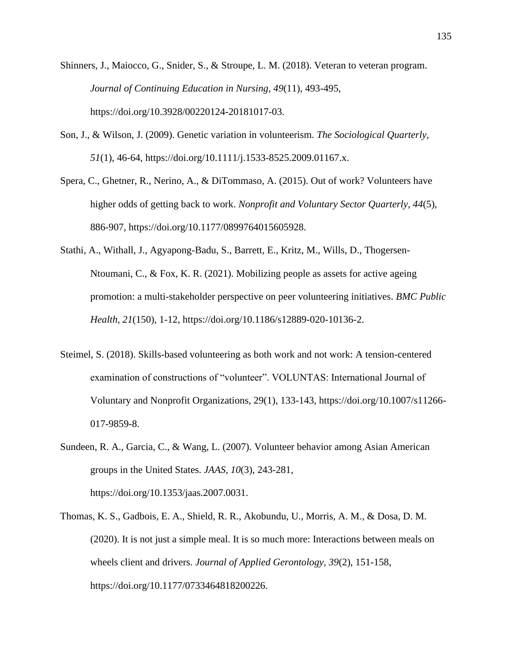- Shinners, J., Maiocco, G., Snider, S., & Stroupe, L. M. (2018). Veteran to veteran program. *Journal of Continuing Education in Nursing, 49*(11), 493-495, https://doi.org/10.3928/00220124-20181017-03.
- Son, J., & Wilson, J. (2009). Genetic variation in volunteerism. *The Sociological Quarterly, 51*(1), 46-64, https://doi.org/10.1111/j.1533-8525.2009.01167.x.
- Spera, C., Ghetner, R., Nerino, A., & DiTommaso, A. (2015). Out of work? Volunteers have higher odds of getting back to work. *Nonprofit and Voluntary Sector Quarterly, 44*(5), 886-907, https://doi.org/10.1177/0899764015605928.
- Stathi, A., Withall, J., Agyapong-Badu, S., Barrett, E., Kritz, M., Wills, D., Thogersen-Ntoumani, C., & Fox, K. R. (2021). Mobilizing people as assets for active ageing promotion: a multi-stakeholder perspective on peer volunteering initiatives. *BMC Public Health, 21*(150), 1-12, https://doi.org/10.1186/s12889-020-10136-2.
- Steimel, S. (2018). Skills-based volunteering as both work and not work: A tension-centered examination of constructions of "volunteer". VOLUNTAS: International Journal of Voluntary and Nonprofit Organizations, 29(1), 133-143, https://doi.org/10.1007/s11266- 017-9859-8.
- Sundeen, R. A., Garcia, C., & Wang, L. (2007). Volunteer behavior among Asian American groups in the United States. *JAAS, 10*(3), 243-281, https://doi.org/10.1353/jaas.2007.0031.
- Thomas, K. S., Gadbois, E. A., Shield, R. R., Akobundu, U., Morris, A. M., & Dosa, D. M. (2020). It is not just a simple meal. It is so much more: Interactions between meals on wheels client and drivers. *Journal of Applied Gerontology, 39*(2), 151-158, https://doi.org/10.1177/0733464818200226.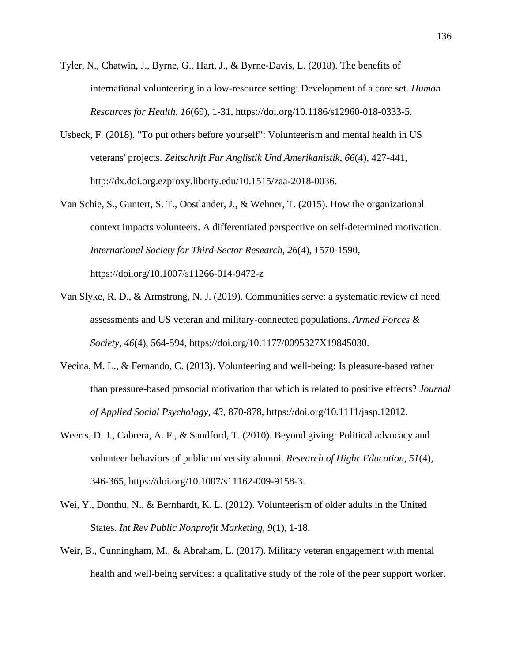- Tyler, N., Chatwin, J., Byrne, G., Hart, J., & Byrne-Davis, L. (2018). The benefits of international volunteering in a low-resource setting: Development of a core set. *Human Resources for Health, 16*(69), 1-31, https://doi.org/10.1186/s12960-018-0333-5.
- Usbeck, F. (2018). "To put others before yourself": Volunteerism and mental health in US veterans' projects. *Zeitschrift Fur Anglistik Und Amerikanistik, 66*(4), 427-441, [http://dx.doi.org.ezproxy.liberty.edu/10.1515/zaa-2018-0036.](http://dx.doi.org.ezproxy.liberty.edu/10.1515/zaa-2018-0036)
- Van Schie, S., Guntert, S. T., Oostlander, J., & Wehner, T. (2015). How the organizational context impacts volunteers. A differentiated perspective on self-determined motivation. *International Society for Third-Sector Research, 26*(4), 1570-1590, https://doi.org/10.1007/s11266-014-9472-z
- Van Slyke, R. D., & Armstrong, N. J. (2019). Communities serve: a systematic review of need assessments and US veteran and military-connected populations. *Armed Forces & Society, 46*(4), 564-594, https://doi.org/10.1177/0095327X19845030.
- Vecina, M. L., & Fernando, C. (2013). Volunteering and well-being: Is pleasure-based rather than pressure-based prosocial motivation that which is related to positive effects? *Journal of Applied Social Psychology, 43*, 870-878, https://doi.org/10.1111/jasp.12012.
- Weerts, D. J., Cabrera, A. F., & Sandford, T. (2010). Beyond giving: Political advocacy and volunteer behaviors of public university alumni. *Research of Highr Education, 51*(4), 346-365, https://doi.org/10.1007/s11162-009-9158-3.
- Wei, Y., Donthu, N., & Bernhardt, K. L. (2012). Volunteerism of older adults in the United States. *Int Rev Public Nonprofit Marketing, 9*(1), 1-18.
- Weir, B., Cunningham, M., & Abraham, L. (2017). Military veteran engagement with mental health and well-being services: a qualitative study of the role of the peer support worker.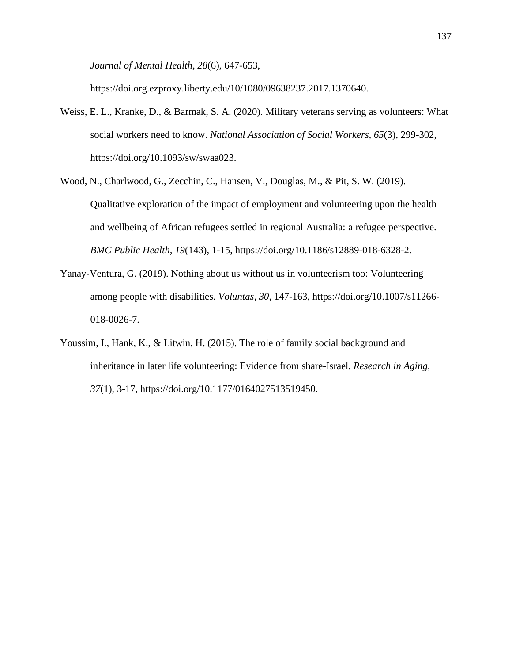*Journal of Mental Health, 28*(6), 647-653,

https://doi.org.ezproxy.liberty.edu/10/1080/09638237.2017.1370640.

- Weiss, E. L., Kranke, D., & Barmak, S. A. (2020). Military veterans serving as volunteers: What social workers need to know. *National Association of Social Workers, 65*(3), 299-302, https://doi.org/10.1093/sw/swaa023.
- Wood, N., Charlwood, G., Zecchin, C., Hansen, V., Douglas, M., & Pit, S. W. (2019). Qualitative exploration of the impact of employment and volunteering upon the health and wellbeing of African refugees settled in regional Australia: a refugee perspective. *BMC Public Health, 19*(143), 1-15, https://doi.org/10.1186/s12889-018-6328-2.
- Yanay-Ventura, G. (2019). Nothing about us without us in volunteerism too: Volunteering among people with disabilities. *Voluntas, 30*, 147-163, https://doi.org/10.1007/s11266- 018-0026-7.
- Youssim, I., Hank, K., & Litwin, H. (2015). The role of family social background and inheritance in later life volunteering: Evidence from share-Israel. *Research in Aging, 37*(1), 3-17, https://doi.org/10.1177/0164027513519450.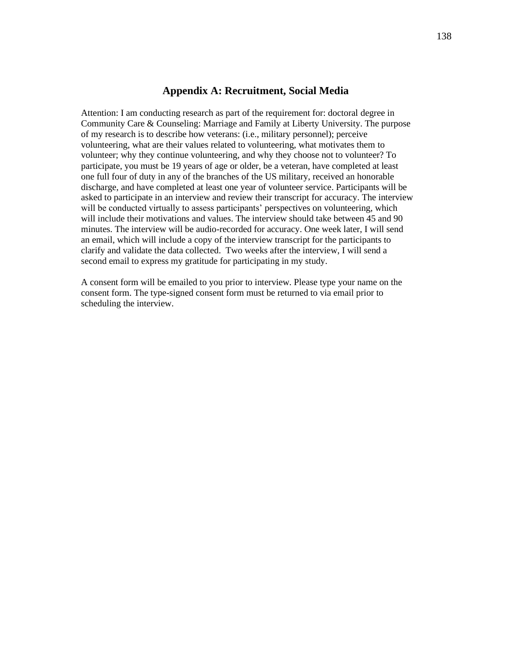#### **Appendix A: Recruitment, Social Media**

Attention: I am conducting research as part of the requirement for: doctoral degree in Community Care & Counseling: Marriage and Family at Liberty University. The purpose of my research is to describe how veterans: (i.e., military personnel); perceive volunteering, what are their values related to volunteering, what motivates them to volunteer; why they continue volunteering, and why they choose not to volunteer? To participate, you must be 19 years of age or older, be a veteran, have completed at least one full four of duty in any of the branches of the US military, received an honorable discharge, and have completed at least one year of volunteer service. Participants will be asked to participate in an interview and review their transcript for accuracy. The interview will be conducted virtually to assess participants' perspectives on volunteering, which will include their motivations and values. The interview should take between 45 and 90 minutes. The interview will be audio-recorded for accuracy. One week later, I will send an email, which will include a copy of the interview transcript for the participants to clarify and validate the data collected. Two weeks after the interview, I will send a second email to express my gratitude for participating in my study.

A consent form will be emailed to you prior to interview. Please type your name on the consent form. The type-signed consent form must be returned to via email prior to scheduling the interview.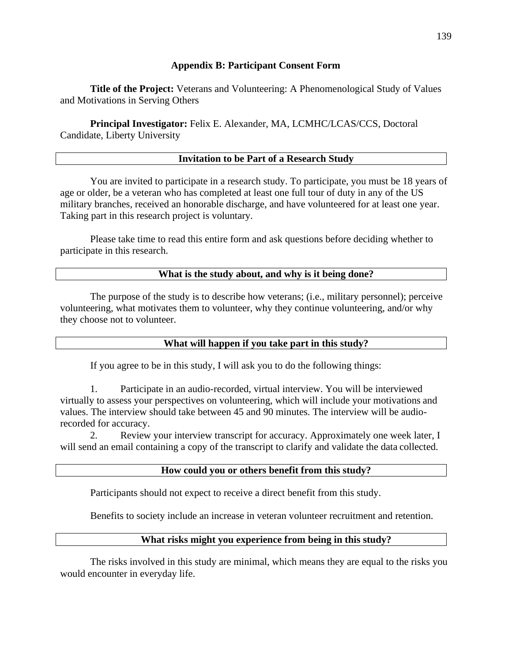# **Appendix B: Participant Consent Form**

**Title of the Project:** Veterans and Volunteering: A Phenomenological Study of Values and Motivations in Serving Others

**Principal Investigator:** Felix E. Alexander, MA, LCMHC/LCAS/CCS, Doctoral Candidate, Liberty University

# **Invitation to be Part of a Research Study**

You are invited to participate in a research study. To participate, you must be 18 years of age or older, be a veteran who has completed at least one full tour of duty in any of the US military branches, received an honorable discharge, and have volunteered for at least one year. Taking part in this research project is voluntary.

Please take time to read this entire form and ask questions before deciding whether to participate in this research.

## **What is the study about, and why is it being done?**

The purpose of the study is to describe how veterans; (i.e., military personnel); perceive volunteering, what motivates them to volunteer, why they continue volunteering, and/or why they choose not to volunteer.

## **What will happen if you take part in this study?**

If you agree to be in this study, I will ask you to do the following things:

1. Participate in an audio-recorded, virtual interview. You will be interviewed virtually to assess your perspectives on volunteering, which will include your motivations and values. The interview should take between 45 and 90 minutes. The interview will be audiorecorded for accuracy.

2. Review your interview transcript for accuracy. Approximately one week later, I will send an email containing a copy of the transcript to clarify and validate the data collected.

## **How could you or others benefit from this study?**

Participants should not expect to receive a direct benefit from this study.

Benefits to society include an increase in veteran volunteer recruitment and retention.

# **What risks might you experience from being in this study?**

The risks involved in this study are minimal, which means they are equal to the risks you would encounter in everyday life.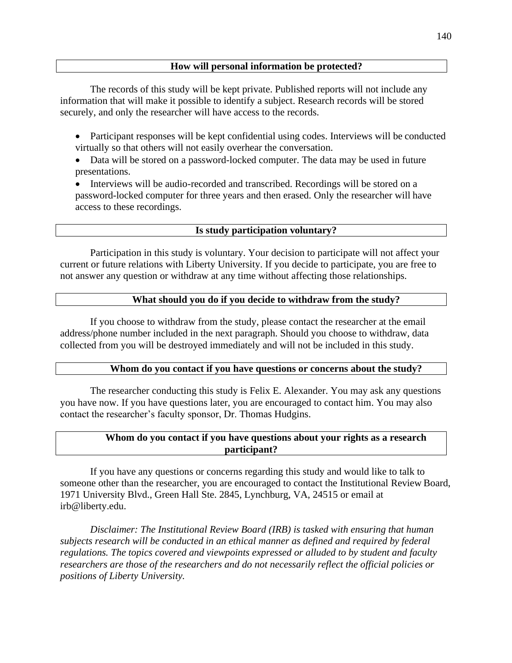The records of this study will be kept private. Published reports will not include any information that will make it possible to identify a subject. Research records will be stored securely, and only the researcher will have access to the records.

- Participant responses will be kept confidential using codes. Interviews will be conducted virtually so that others will not easily overhear the conversation.
- Data will be stored on a password-locked computer. The data may be used in future presentations.
- Interviews will be audio-recorded and transcribed. Recordings will be stored on a password-locked computer for three years and then erased. Only the researcher will have access to these recordings.

# **Is study participation voluntary?**

Participation in this study is voluntary. Your decision to participate will not affect your current or future relations with Liberty University. If you decide to participate, you are free to not answer any question or withdraw at any time without affecting those relationships.

# **What should you do if you decide to withdraw from the study?**

If you choose to withdraw from the study, please contact the researcher at the email address/phone number included in the next paragraph. Should you choose to withdraw, data collected from you will be destroyed immediately and will not be included in this study.

# **Whom do you contact if you have questions or concerns about the study?**

The researcher conducting this study is Felix E. Alexander. You may ask any questions you have now. If you have questions later, you are encouraged to contact him. You may also contact the researcher's faculty sponsor, Dr. Thomas [Hudgins.](mailto:thudgins5@liberty.edu)

# **Whom do you contact if you have questions about your rights as a research participant?**

If you have any questions or concerns regarding this study and would like to talk to someone other than the researcher, you are encouraged to contact the Institutional Review Board, 1971 University Blvd., Green Hall Ste. 2845, Lynchburg, VA, 24515 or email at [irb@liberty.edu.](mailto:irb@liberty.edu)

*Disclaimer: The Institutional Review Board (IRB) is tasked with ensuring that human subjects research will be conducted in an ethical manner as defined and required by federal regulations. The topics covered and viewpoints expressed or alluded to by student and faculty researchers are those of the researchers and do not necessarily reflect the official policies or positions of Liberty University.*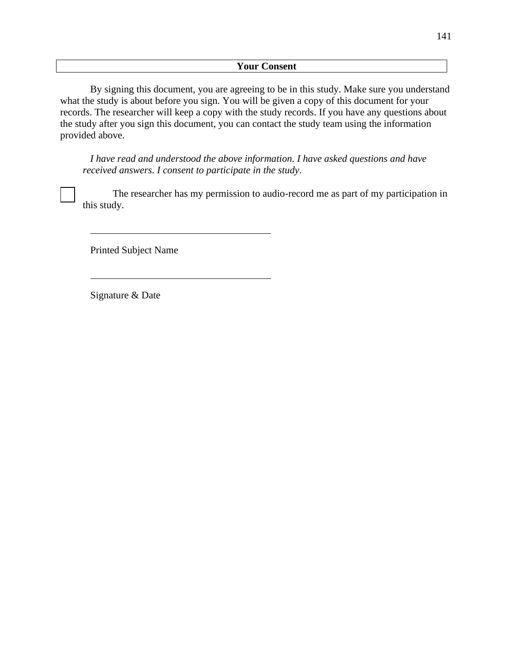By signing this document, you are agreeing to be in this study. Make sure you understand what the study is about before you sign. You will be given a copy of this document for your records. The researcher will keep a copy with the study records. If you have any questions about the study after you sign this document, you can contact the study team using the information provided above.

*I have read and understood the above information. I have asked questions and have received answers. I consent to participate in the study*.

The researcher has my permission to audio-record me as part of my participation in this study.

Printed Subject Name

Signature & Date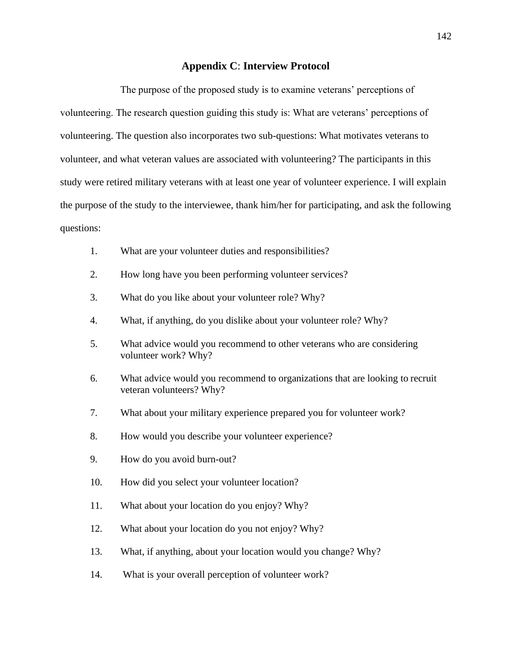# **Appendix C**: **Interview Protocol**

The purpose of the proposed study is to examine veterans' perceptions of volunteering. The research question guiding this study is: What are veterans' perceptions of volunteering. The question also incorporates two sub-questions: What motivates veterans to volunteer, and what veteran values are associated with volunteering? The participants in this study were retired military veterans with at least one year of volunteer experience. I will explain the purpose of the study to the interviewee, thank him/her for participating, and ask the following questions:

- 1. What are your volunteer duties and responsibilities?
- 2. How long have you been performing volunteer services?
- 3. What do you like about your volunteer role? Why?
- 4. What, if anything, do you dislike about your volunteer role? Why?
- 5. What advice would you recommend to other veterans who are considering volunteer work? Why?
- 6. What advice would you recommend to organizations that are looking to recruit veteran volunteers? Why?
- 7. What about your military experience prepared you for volunteer work?
- 8. How would you describe your volunteer experience?
- 9. How do you avoid burn-out?
- 10. How did you select your volunteer location?
- 11. What about your location do you enjoy? Why?
- 12. What about your location do you not enjoy? Why?
- 13. What, if anything, about your location would you change? Why?
- 14. What is your overall perception of volunteer work?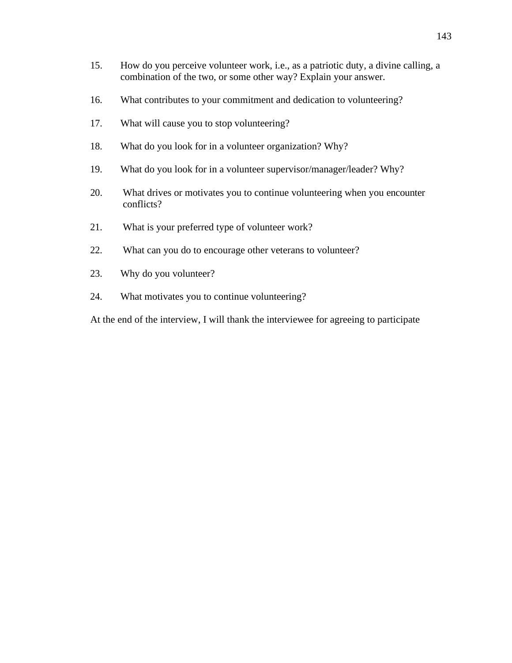- 15. How do you perceive volunteer work, i.e., as a patriotic duty, a divine calling, a combination of the two, or some other way? Explain your answer.
- 16. What contributes to your commitment and dedication to volunteering?
- 17. What will cause you to stop volunteering?
- 18. What do you look for in a volunteer organization? Why?
- 19. What do you look for in a volunteer supervisor/manager/leader? Why?
- 20. What drives or motivates you to continue volunteering when you encounter conflicts?
- 21. What is your preferred type of volunteer work?
- 22. What can you do to encourage other veterans to volunteer?
- 23. Why do you volunteer?
- 24. What motivates you to continue volunteering?

At the end of the interview, I will thank the interviewee for agreeing to participate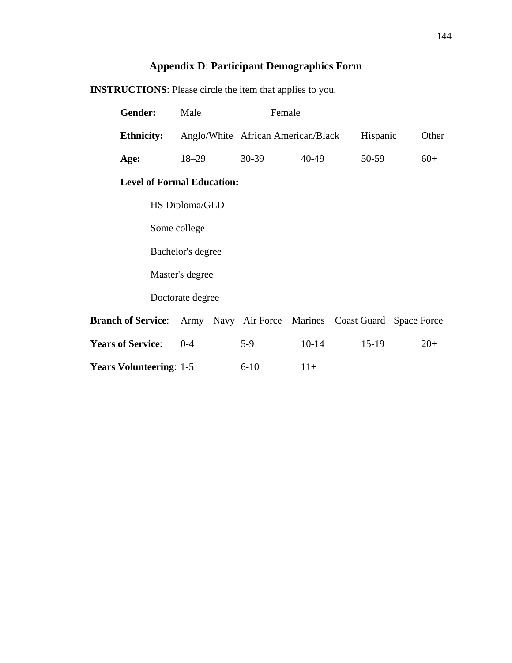# **Appendix D**: **Participant Demographics Form**

| Gender:                                                                       | Male              |          | Female                             |          |       |
|-------------------------------------------------------------------------------|-------------------|----------|------------------------------------|----------|-------|
| <b>Ethnicity:</b>                                                             |                   |          | Anglo/White African American/Black | Hispanic | Other |
| Age:                                                                          | $18 - 29$         | 30-39    | 40-49                              | 50-59    | $60+$ |
| <b>Level of Formal Education:</b>                                             |                   |          |                                    |          |       |
|                                                                               | HS Diploma/GED    |          |                                    |          |       |
|                                                                               | Some college      |          |                                    |          |       |
|                                                                               | Bachelor's degree |          |                                    |          |       |
| Master's degree                                                               |                   |          |                                    |          |       |
|                                                                               | Doctorate degree  |          |                                    |          |       |
| <b>Branch of Service:</b> Army Navy Air Force Marines Coast Guard Space Force |                   |          |                                    |          |       |
| <b>Years of Service:</b>                                                      | $0 - 4$           | $5-9$    | $10 - 14$                          | $15-19$  | $20+$ |
| <b>Years Volunteering: 1-5</b>                                                |                   | $6 - 10$ | $11+$                              |          |       |

**INSTRUCTIONS**: Please circle the item that applies to you.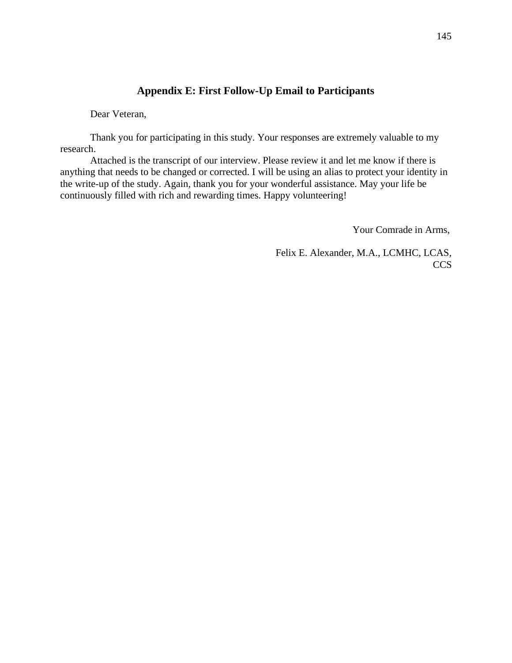## **Appendix E: First Follow-Up Email to Participants**

Dear Veteran,

Thank you for participating in this study. Your responses are extremely valuable to my research.

Attached is the transcript of our interview. Please review it and let me know if there is anything that needs to be changed or corrected. I will be using an alias to protect your identity in the write-up of the study. Again, thank you for your wonderful assistance. May your life be continuously filled with rich and rewarding times. Happy volunteering!

Your Comrade in Arms,

Felix E. Alexander, M.A., LCMHC, LCAS, **CCS**